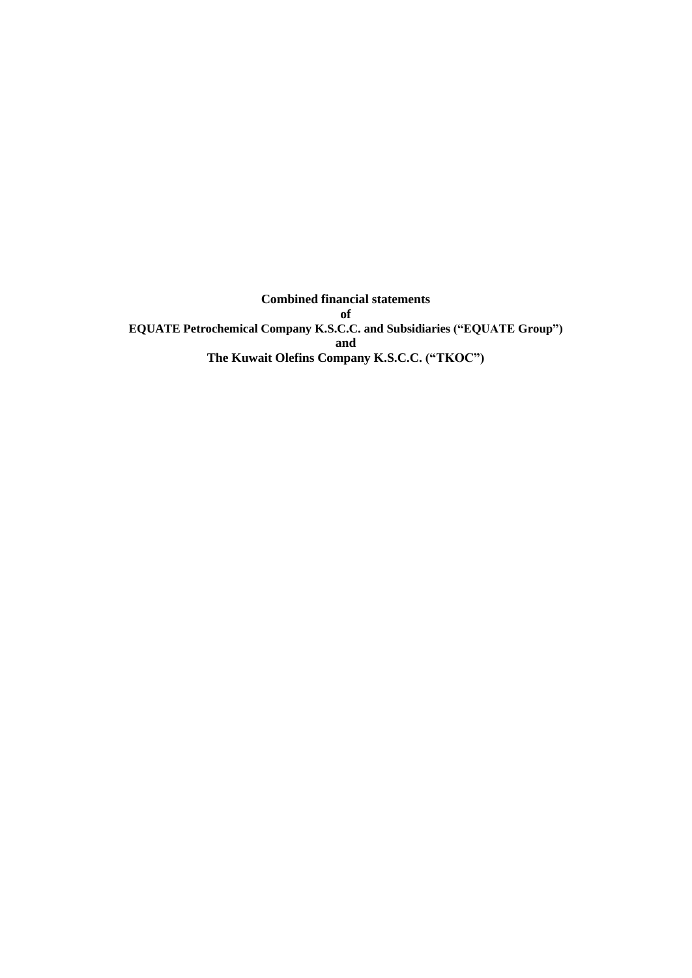**Combined financial statements of EQUATE Petrochemical Company K.S.C.C. and Subsidiaries ("EQUATE Group") and The Kuwait Olefins Company K.S.C.C. ("TKOC")**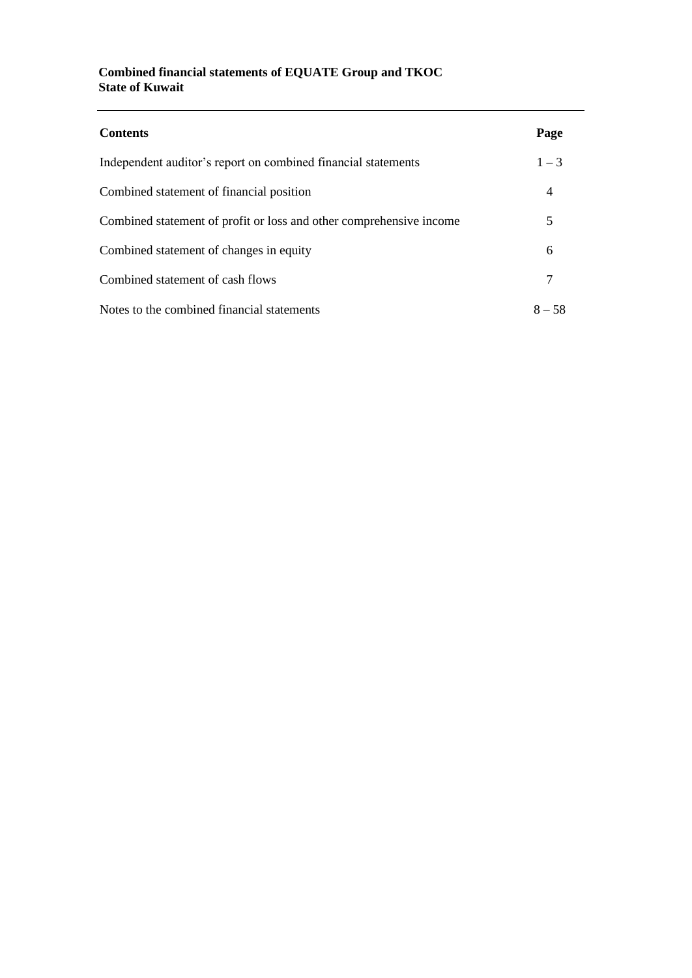### **Combined financial statements of EQUATE Group and TKOC State of Kuwait**

| <b>Contents</b>                                                     | Page     |
|---------------------------------------------------------------------|----------|
| Independent auditor's report on combined financial statements       | $1 - 3$  |
| Combined statement of financial position                            | 4        |
| Combined statement of profit or loss and other comprehensive income | 5        |
| Combined statement of changes in equity                             | 6        |
| Combined statement of cash flows                                    |          |
| Notes to the combined financial statements                          | $8 - 58$ |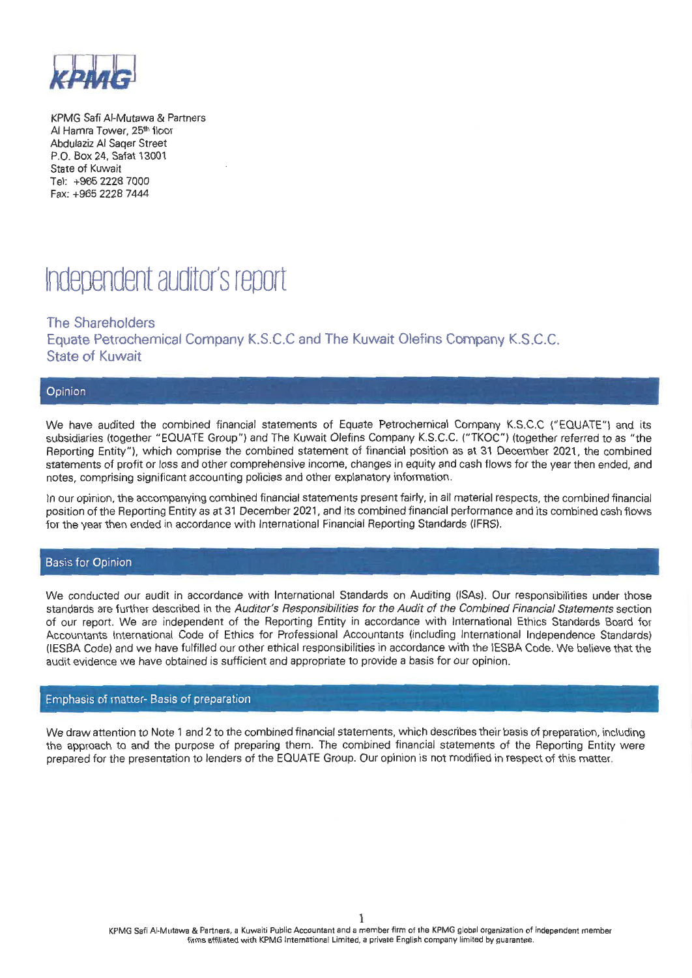

KPMG Safi Al-Mutawa & Partners Al Hamra Tower, 25th floor Abdulaziz Al Sager Street P.O. Box 24, Safat 13001 State of Kuwait Tel: +965 2228 7000 Fax: +965 2228 7444

# Independent auditor's report

The Shareholders Equate Petrochemical Company K.S.C.C and The Kuwait Olefins Company K.S.C.C. **State of Kuwait** 

#### Opinion

We have audited the combined financial statements of Equate Petrochemical Company K.S.C.C ("EQUATE") and its subsidiaries (together "EQUATE Group") and The Kuwait Olefins Company K.S.C.C. ("TKOC") (together referred to as "the Reporting Entity"), which comprise the combined statement of financial position as at 31 December 2021, the combined statements of profit or loss and other comprehensive income, changes in equity and cash flows for the vear then ended, and notes, comprising significant accounting policies and other explanatory information.

In our opinion, the accompanying combined financial statements present fairly, in all material respects, the combined financial position of the Reporting Entity as at 31 December 2021, and its combined financial performance and its combined cash flows for the year then ended in accordance with International Financial Reporting Standards (IFRS).

#### **Basis for Opinion**

We conducted our audit in accordance with International Standards on Auditing (ISAs). Our responsibilities under those standards are further described in the Auditor's Responsibilities for the Audit of the Combined Financial Statements section of our report. We are independent of the Reporting Entity in accordance with International Ethics Standards Board for Accountants International Code of Ethics for Professional Accountants (including International Independence Standards) (IESBA Code) and we have fulfilled our other ethical responsibilities in accordance with the IESBA Code. We believe that the audit evidence we have obtained is sufficient and appropriate to provide a basis for our opinion.

#### Emphasis of matter- Basis of preparation

We draw attention to Note 1 and 2 to the combined financial statements, which describes their basis of preparation, including the approach to and the purpose of preparing them. The combined financial statements of the Reporting Entity were prepared for the presentation to lenders of the EQUATE Group. Our opinion is not modified in respect of this matter.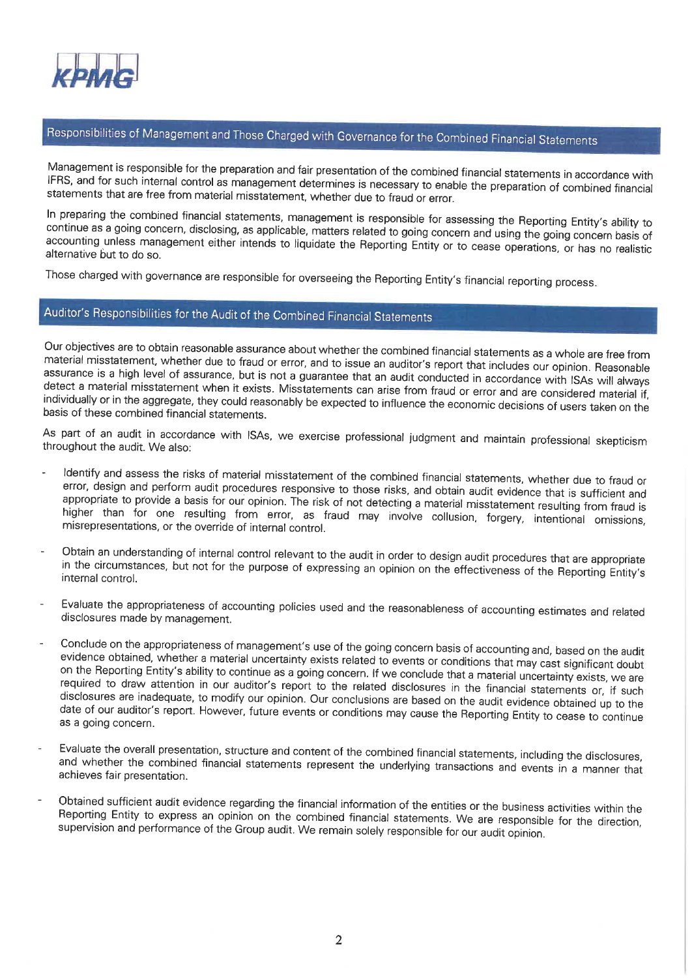

## Responsibilities of Management and Those Charged with Governance for the Combined Financial Statements

Management is responsible for the preparation and fair presentation of the combined financial statements in accordance with IFRS, and for such internal control as management determines is necessary to enable the preparation of combined financial statements that are free from material misstatement, whether due to fraud or error.

In preparing the combined financial statements, management is responsible for assessing the Reporting Entity's ability to continue as a going concern, disclosing, as applicable, matters related to going concern and using the going concern basis of accounting unless management either intends to liquidate the Reporting Entity or to cease operations, or has no realistic alternative but to do so.

Those charged with governance are responsible for overseeing the Reporting Entity's financial reporting process.

## Auditor's Responsibilities for the Audit of the Combined Financial Statements

Our objectives are to obtain reasonable assurance about whether the combined financial statements as a whole are free from material misstatement, whether due to fraud or error, and to issue an auditor's report that includes our opinion. Reasonable assurance is a high level of assurance, but is not a guarantee that an audit conducted in accordance with ISAs will always detect a material misstatement when it exists. Misstatements can arise from fraud or error and are considered material if, individually or in the aggregate, they could reasonably be expected to influence the economic decisions of users taken on the basis of these combined financial statements.

As part of an audit in accordance with ISAs, we exercise professional judgment and maintain professional skepticism throughout the audit. We also:

- Identify and assess the risks of material misstatement of the combined financial statements, whether due to fraud or error, design and perform audit procedures responsive to those risks, and obtain audit evidence that is sufficient and appropriate to provide a basis for our opinion. The risk of not detecting a material misstatement resulting from fraud is higher than for one resulting from error, as fraud may involve collusion, forgery, intentional omissions, misrepresentations, or the override of internal control.
- Obtain an understanding of internal control relevant to the audit in order to design audit procedures that are appropriate in the circumstances, but not for the purpose of expressing an opinion on the effectiveness of the Reporting Entity's internal control.
- Evaluate the appropriateness of accounting policies used and the reasonableness of accounting estimates and related disclosures made by management.
- Conclude on the appropriateness of management's use of the going concern basis of accounting and, based on the audit evidence obtained, whether a material uncertainty exists related to events or conditions that may cast significant doubt on the Reporting Entity's ability to continue as a going concern. If we conclude that a material uncertainty exists, we are required to draw attention in our auditor's report to the related disclosures in the financial statements or, if such disclosures are inadequate, to modify our opinion. Our conclusions are based on the audit evidence obtained up to the date of our auditor's report. However, future events or conditions may cause the Reporting Entity to cease to continue as a going concern.
- Evaluate the overall presentation, structure and content of the combined financial statements, including the disclosures, and whether the combined financial statements represent the underlying transactions and events in a manner that achieves fair presentation.
- Obtained sufficient audit evidence regarding the financial information of the entities or the business activities within the Reporting Entity to express an opinion on the combined financial statements. We are responsible for the direction, supervision and performance of the Group audit. We remain solely responsible for our audit opinion.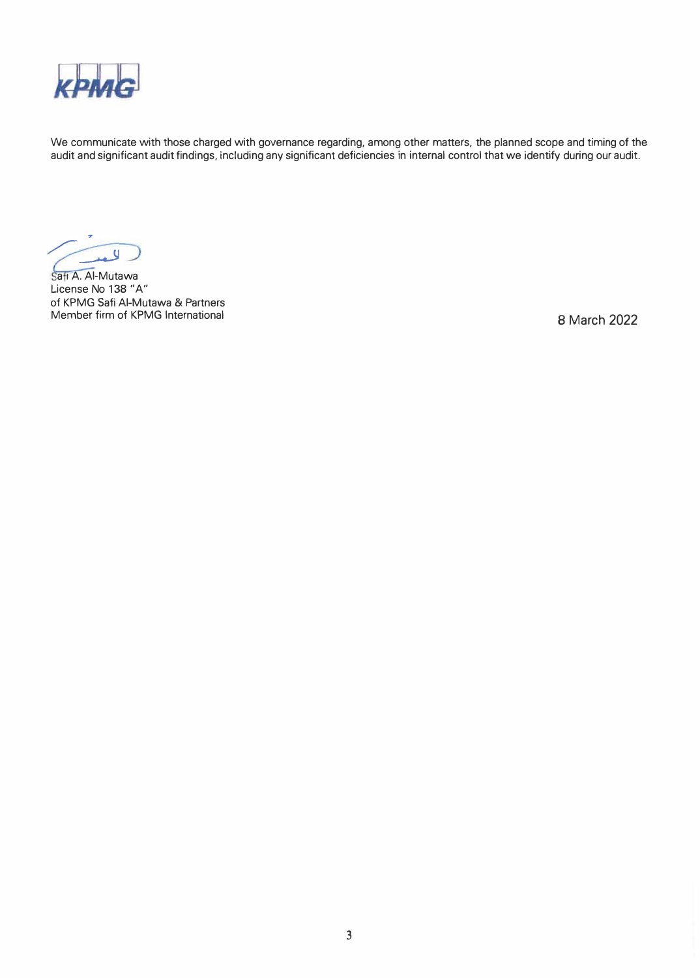

We communicate with those charged with governance regarding, among other matters, the planned scope and timing of the audit and significant audit findings, including any significant deficiencies in internal control that we identify during our audit.

 $\overline{u}$ 

Safi A. Al-Mutawa License No 138 "A" of KPMG Safi AI-Mutawa & Partners Member firm of KPMG International

8 March 2022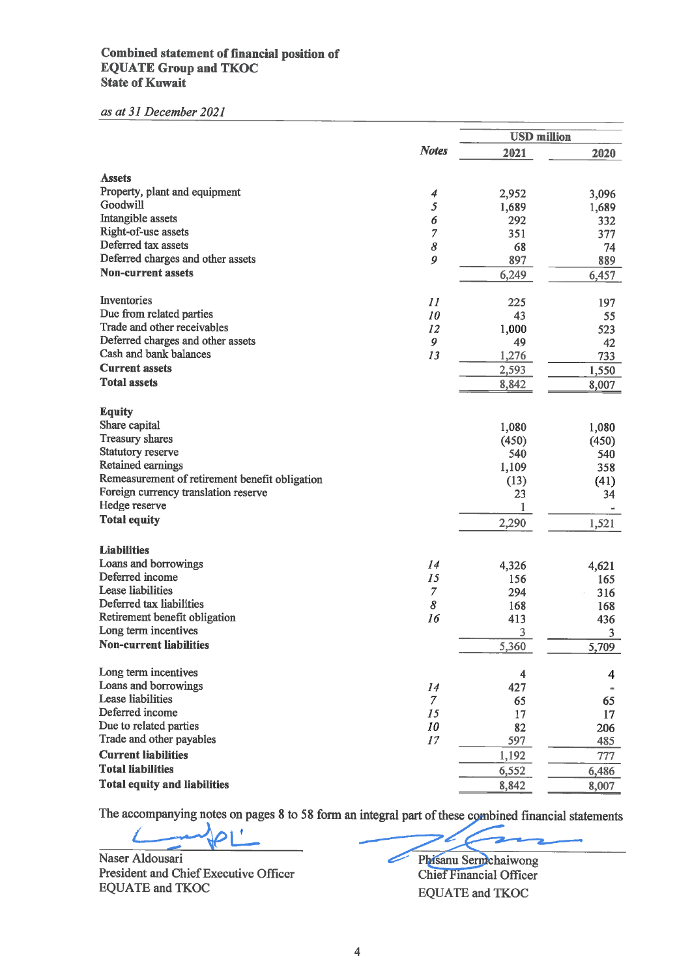#### Combined statement of financial position of **EQUATE Group and TKOC State of Kuwait**

#### as at 31 December 2021

|                                                |                           | <b>USD million</b> |       |
|------------------------------------------------|---------------------------|--------------------|-------|
|                                                | <b>Notes</b>              | 2021               | 2020  |
|                                                |                           |                    |       |
| <b>Assets</b>                                  |                           |                    |       |
| Property, plant and equipment                  | 4                         | 2,952              | 3,096 |
| Goodwill                                       | 5                         | 1,689              | 1,689 |
| Intangible assets<br>Right-of-use assets       | 6                         | 292                | 332   |
| Deferred tax assets                            | $\overline{7}$            | 351                | 377   |
| Deferred charges and other assets              | 8<br>9                    | 68                 | 74    |
| <b>Non-current assets</b>                      |                           | 897                | 889   |
|                                                |                           | 6,249              | 6,457 |
| Inventories                                    | $\overline{\mathfrak{U}}$ | 225                | 197   |
| Due from related parties                       | 10                        | 43                 | 55    |
| Trade and other receivables                    | 12                        | 1,000              | 523   |
| Deferred charges and other assets              | 9                         | 49                 | 42    |
| Cash and bank balances                         | 13                        | 1,276              | 733   |
| <b>Current assets</b>                          |                           | 2,593              | 1,550 |
| <b>Total assets</b>                            |                           | 8,842              | 8,007 |
|                                                |                           |                    |       |
| <b>Equity</b>                                  |                           |                    |       |
| Share capital                                  |                           | 1,080              | 1,080 |
| <b>Treasury shares</b>                         |                           | (450)              | (450) |
| Statutory reserve                              |                           | 540                | 540   |
| Retained earnings                              |                           | 1,109              | 358   |
| Remeasurement of retirement benefit obligation |                           | (13)               | (41)  |
| Foreign currency translation reserve           |                           | 23                 | 34    |
| Hedge reserve                                  |                           | 1                  |       |
| <b>Total equity</b>                            |                           | 2,290              | 1,521 |
|                                                |                           |                    |       |
| <b>Liabilities</b>                             |                           |                    |       |
| Loans and borrowings<br>Deferred income        | 14                        | 4,326              | 4,621 |
| Lease liabilities                              | 15                        | 156                | 165   |
| Deferred tax liabilities                       | 7<br>8                    | 294                | 316   |
| Retirement benefit obligation                  |                           | 168                | 168   |
| Long term incentives                           | 16                        | 413                | 436   |
| <b>Non-current liabilities</b>                 |                           | 3                  | 3     |
|                                                |                           | 5,360              | 5,709 |
| Long term incentives                           |                           | 4                  | 4     |
| Loans and borrowings                           | 14                        | 427                |       |
| <b>Lease liabilities</b>                       | 7                         | 65                 | 65    |
| Deferred income                                | 15                        | 17                 | 17    |
| Due to related parties                         | 10                        | 82                 | 206   |
| Trade and other payables                       | 17                        | 597                | 485   |
| <b>Current liabilities</b>                     |                           | 1,192              | 777   |
| <b>Total liabilities</b>                       |                           | 6,552              | 6,486 |
| <b>Total equity and liabilities</b>            |                           | 8,842              | 8,007 |
|                                                |                           |                    |       |

The accompanying notes on pages 8 to 58 form an integral part of these combined financial statements

 $\overline{\mathbf{r}}$ 

Naser Aldousari President and Chief Executive Officer **EQUATE and TKOC** 

Phisanu Sermchaiwong Í Chief Financial Officer **EQUATE** and **TKOC**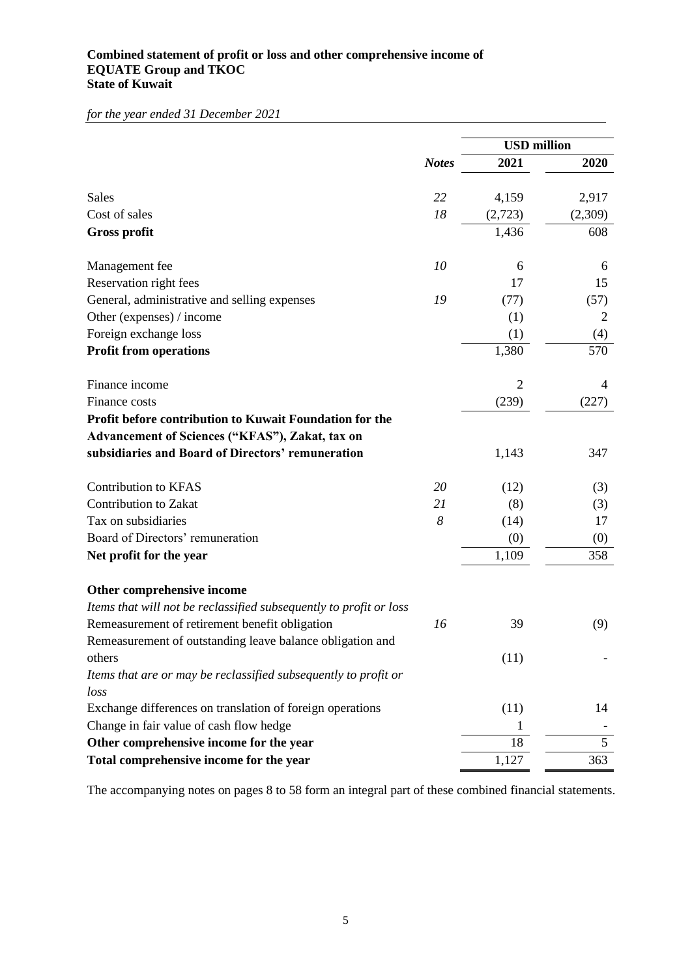#### **Combined statement of profit or loss and other comprehensive income of EQUATE Group and TKOC State of Kuwait**

*for the year ended 31 December 2021*

|                                                                    |              | <b>USD</b> million |         |  |
|--------------------------------------------------------------------|--------------|--------------------|---------|--|
|                                                                    | <b>Notes</b> | 2021               | 2020    |  |
|                                                                    |              |                    |         |  |
| <b>Sales</b>                                                       | 22           | 4,159              | 2,917   |  |
| Cost of sales                                                      | 18           | (2,723)            | (2,309) |  |
| <b>Gross profit</b>                                                |              | 1,436              | 608     |  |
| Management fee                                                     | 10           | 6                  | 6       |  |
| Reservation right fees                                             |              | 17                 | 15      |  |
| General, administrative and selling expenses                       | 19           | (77)               | (57)    |  |
| Other (expenses) / income                                          |              | (1)                | 2       |  |
| Foreign exchange loss                                              |              | (1)                | (4)     |  |
| <b>Profit from operations</b>                                      |              | 1,380              | 570     |  |
| Finance income                                                     |              | $\overline{2}$     | 4       |  |
| Finance costs                                                      |              | (239)              | (227)   |  |
| Profit before contribution to Kuwait Foundation for the            |              |                    |         |  |
| Advancement of Sciences ("KFAS"), Zakat, tax on                    |              |                    |         |  |
| subsidiaries and Board of Directors' remuneration                  |              | 1,143              | 347     |  |
| <b>Contribution to KFAS</b>                                        | 20           | (12)               | (3)     |  |
| Contribution to Zakat                                              | 21           | (8)                | (3)     |  |
| Tax on subsidiaries                                                | 8            | (14)               | 17      |  |
| Board of Directors' remuneration                                   |              | (0)                | (0)     |  |
| Net profit for the year                                            |              | 1,109              | 358     |  |
| Other comprehensive income                                         |              |                    |         |  |
| Items that will not be reclassified subsequently to profit or loss |              |                    |         |  |
| Remeasurement of retirement benefit obligation                     | 16           | 39                 | (9)     |  |
| Remeasurement of outstanding leave balance obligation and          |              |                    |         |  |
| others                                                             |              | (11)               |         |  |
| Items that are or may be reclassified subsequently to profit or    |              |                    |         |  |
| loss                                                               |              |                    |         |  |
| Exchange differences on translation of foreign operations          |              | (11)               | 14      |  |
| Change in fair value of cash flow hedge                            |              | 1                  |         |  |
| Other comprehensive income for the year                            |              | 18                 | 5       |  |
| Total comprehensive income for the year                            |              | 1,127              | 363     |  |

The accompanying notes on pages 8 to 58 form an integral part of these combined financial statements.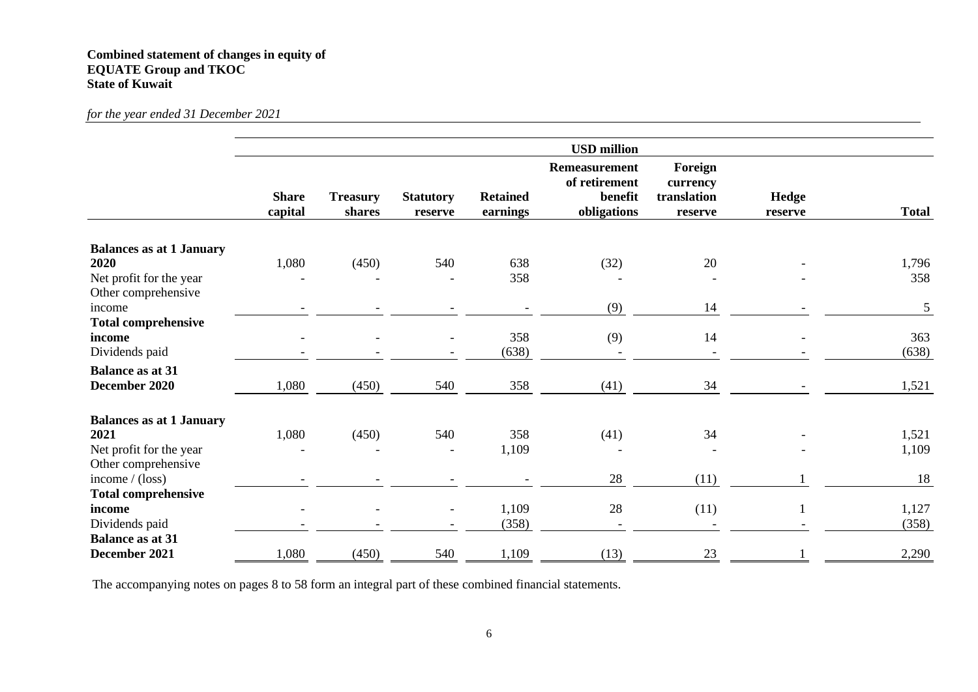#### **Combined statement of changes in equity of EQUATE Group and TKOC State of Kuwait**

*for the year ended 31 December 2021*

|                                 |                         |                           |                             |                             | <b>USD</b> million                                              |                                               |                  |              |
|---------------------------------|-------------------------|---------------------------|-----------------------------|-----------------------------|-----------------------------------------------------------------|-----------------------------------------------|------------------|--------------|
|                                 | <b>Share</b><br>capital | <b>Treasury</b><br>shares | <b>Statutory</b><br>reserve | <b>Retained</b><br>earnings | <b>Remeasurement</b><br>of retirement<br>benefit<br>obligations | Foreign<br>currency<br>translation<br>reserve | Hedge<br>reserve | <b>Total</b> |
| <b>Balances as at 1 January</b> |                         |                           |                             |                             |                                                                 |                                               |                  |              |
| 2020                            | 1,080                   | (450)                     | 540                         | 638                         | (32)                                                            | 20                                            |                  | 1,796        |
| Net profit for the year         |                         |                           |                             | 358                         |                                                                 |                                               |                  | 358          |
| Other comprehensive             |                         |                           |                             |                             |                                                                 |                                               |                  |              |
| income                          |                         |                           |                             |                             | (9)                                                             | 14                                            |                  | 5            |
| <b>Total comprehensive</b>      |                         |                           |                             |                             |                                                                 |                                               |                  |              |
| income                          |                         |                           |                             | 358                         | (9)                                                             | 14                                            |                  | 363          |
| Dividends paid                  |                         |                           |                             | (638)                       |                                                                 |                                               |                  | (638)        |
| <b>Balance as at 31</b>         |                         |                           |                             |                             |                                                                 |                                               |                  |              |
| December 2020                   | 1,080                   | (450)                     | 540                         | 358                         | (41)                                                            | 34                                            |                  | 1,521        |
| <b>Balances as at 1 January</b> |                         |                           |                             |                             |                                                                 |                                               |                  |              |
| 2021                            | 1,080                   | (450)                     | 540                         | 358                         | (41)                                                            | 34                                            |                  | 1,521        |
| Net profit for the year         |                         |                           | $\blacksquare$              | 1,109                       |                                                                 |                                               |                  | 1,109        |
| Other comprehensive             |                         |                           |                             |                             |                                                                 |                                               |                  |              |
| income $/(loss)$                |                         |                           |                             |                             | 28                                                              | (11)                                          |                  | 18           |
| <b>Total comprehensive</b>      |                         |                           |                             |                             |                                                                 |                                               |                  |              |
| income                          |                         |                           | $\overline{\phantom{a}}$    | 1,109                       | 28                                                              | (11)                                          | 1                | 1,127        |
| Dividends paid                  |                         |                           | $\overline{\phantom{a}}$    | (358)                       |                                                                 |                                               |                  | (358)        |
| <b>Balance as at 31</b>         |                         |                           |                             |                             |                                                                 |                                               |                  |              |
| December 2021                   | 1,080                   | (450)                     | 540                         | 1,109                       | (13)                                                            | 23                                            |                  | 2,290        |

The accompanying notes on pages 8 to 58 form an integral part of these combined financial statements.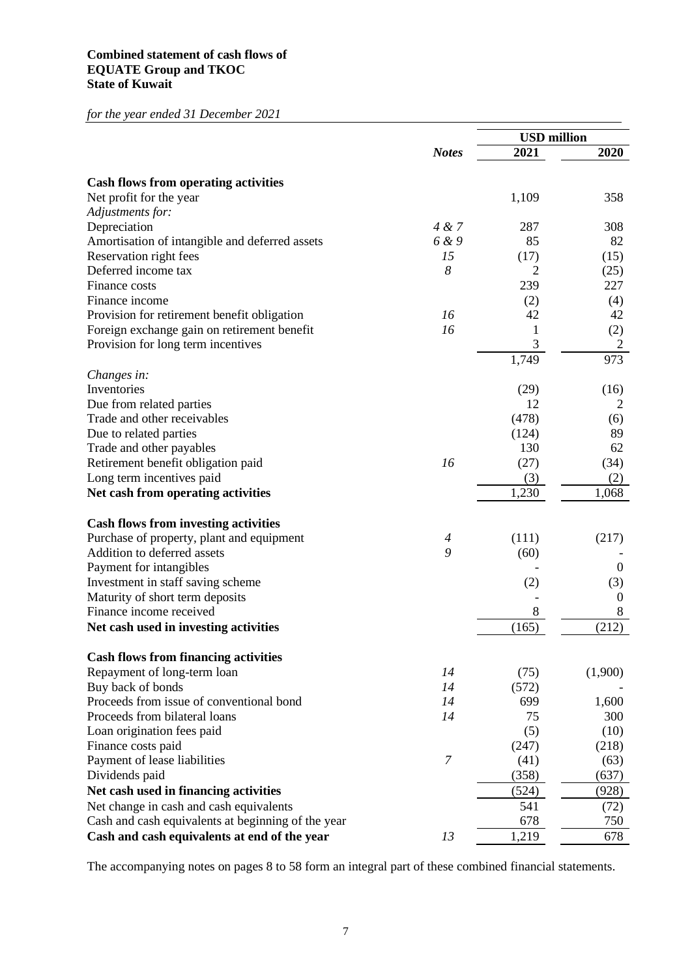#### **Combined statement of cash flows of EQUATE Group and TKOC State of Kuwait**

*for the year ended 31 December 2021*

|                                                    |                | <b>USD</b> million |                  |
|----------------------------------------------------|----------------|--------------------|------------------|
|                                                    | <b>Notes</b>   | 2021               | 2020             |
| <b>Cash flows from operating activities</b>        |                |                    |                  |
| Net profit for the year                            |                | 1,109              | 358              |
| Adjustments for:                                   |                |                    |                  |
| Depreciation                                       | 4 & 7          | 287                | 308              |
| Amortisation of intangible and deferred assets     | 6 & 9          | 85                 | 82               |
| Reservation right fees                             | 15             | (17)               | (15)             |
| Deferred income tax                                | 8              | 2                  | (25)             |
| Finance costs                                      |                | 239                | 227              |
| Finance income                                     |                | (2)                | (4)              |
| Provision for retirement benefit obligation        | 16             | 42                 | 42               |
| Foreign exchange gain on retirement benefit        | 16             | 1                  | (2)              |
| Provision for long term incentives                 |                | 3                  | $\overline{c}$   |
|                                                    |                | 1,749              | 973              |
| Changes in:                                        |                |                    |                  |
| Inventories                                        |                | (29)               | (16)             |
| Due from related parties                           |                | 12                 | $\overline{2}$   |
| Trade and other receivables                        |                | (478)              | (6)              |
| Due to related parties                             |                | (124)              | 89               |
| Trade and other payables                           |                | 130                | 62               |
| Retirement benefit obligation paid                 | 16             | (27)               | (34)             |
| Long term incentives paid                          |                | (3)                | (2)              |
| Net cash from operating activities                 |                | 1,230              | 1,068            |
| <b>Cash flows from investing activities</b>        |                |                    |                  |
| Purchase of property, plant and equipment          | 4              | (111)              | (217)            |
| Addition to deferred assets                        | 9              | (60)               |                  |
| Payment for intangibles                            |                |                    | $\overline{0}$   |
| Investment in staff saving scheme                  |                | (2)                | (3)              |
| Maturity of short term deposits                    |                |                    | $\boldsymbol{0}$ |
| Finance income received                            |                | 8                  | 8                |
| Net cash used in investing activities              |                | (165)              | (212)            |
|                                                    |                |                    |                  |
| <b>Cash flows from financing activities</b>        |                |                    |                  |
| Repayment of long-term loan                        | 14             | (75)               | (1,900)          |
| Buy back of bonds                                  | 14             | (572)              |                  |
| Proceeds from issue of conventional bond           | 14             | 699                | 1,600            |
| Proceeds from bilateral loans                      | 14             | 75                 | 300              |
| Loan origination fees paid                         |                | (5)                | (10)             |
| Finance costs paid                                 |                | (247)              | (218)            |
| Payment of lease liabilities                       | $\overline{7}$ | (41)               | (63)             |
| Dividends paid                                     |                | (358)              | (637)            |
| Net cash used in financing activities              |                | (524)              | (928)            |
| Net change in cash and cash equivalents            |                | 541                | (72)             |
| Cash and cash equivalents at beginning of the year |                | 678                | 750              |
| Cash and cash equivalents at end of the year       | 13             | 1,219              | 678              |

The accompanying notes on pages 8 to 58 form an integral part of these combined financial statements.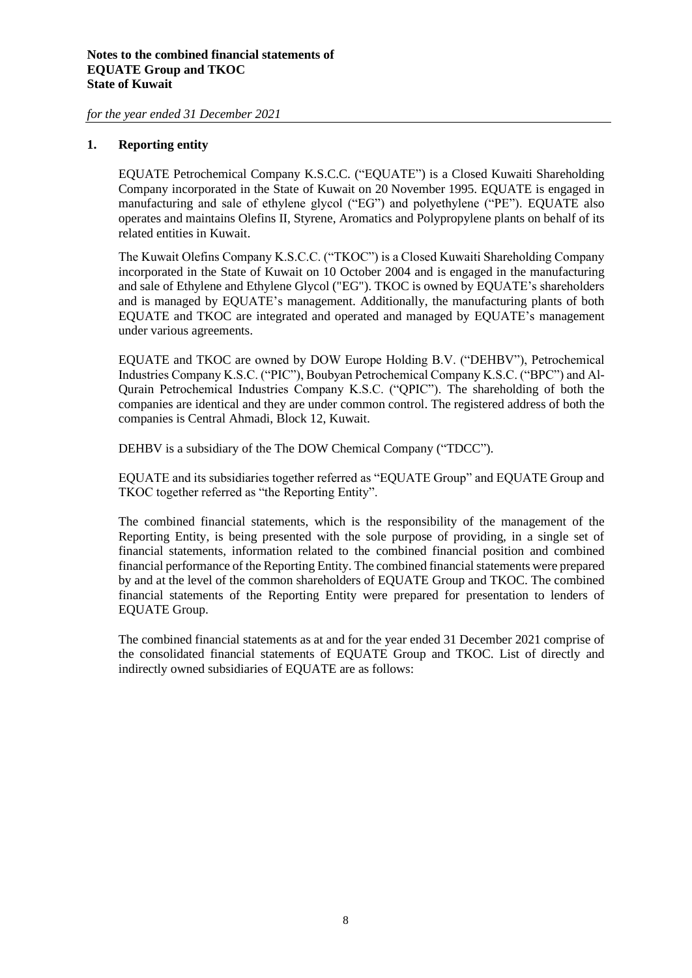#### **1. Reporting entity**

EQUATE Petrochemical Company K.S.C.C. ("EQUATE") is a Closed Kuwaiti Shareholding Company incorporated in the State of Kuwait on 20 November 1995. EQUATE is engaged in manufacturing and sale of ethylene glycol ("EG") and polyethylene ("PE"). EQUATE also operates and maintains Olefins II, Styrene, Aromatics and Polypropylene plants on behalf of its related entities in Kuwait.

The Kuwait Olefins Company K.S.C.C. ("TKOC") is a Closed Kuwaiti Shareholding Company incorporated in the State of Kuwait on 10 October 2004 and is engaged in the manufacturing and sale of Ethylene and Ethylene Glycol ("EG"). TKOC is owned by EQUATE's shareholders and is managed by EQUATE's management. Additionally, the manufacturing plants of both EQUATE and TKOC are integrated and operated and managed by EQUATE's management under various agreements.

EQUATE and TKOC are owned by DOW Europe Holding B.V. ("DEHBV"), Petrochemical Industries Company K.S.C. ("PIC"), Boubyan Petrochemical Company K.S.C. ("BPC") and Al-Qurain Petrochemical Industries Company K.S.C. ("QPIC"). The shareholding of both the companies are identical and they are under common control. The registered address of both the companies is Central Ahmadi, Block 12, Kuwait.

DEHBV is a subsidiary of the The DOW Chemical Company ("TDCC").

EQUATE and its subsidiaries together referred as "EQUATE Group" and EQUATE Group and TKOC together referred as "the Reporting Entity".

The combined financial statements, which is the responsibility of the management of the Reporting Entity, is being presented with the sole purpose of providing, in a single set of financial statements, information related to the combined financial position and combined financial performance of the Reporting Entity. The combined financial statements were prepared by and at the level of the common shareholders of EQUATE Group and TKOC. The combined financial statements of the Reporting Entity were prepared for presentation to lenders of EQUATE Group.

The combined financial statements as at and for the year ended 31 December 2021 comprise of the consolidated financial statements of EQUATE Group and TKOC. List of directly and indirectly owned subsidiaries of EQUATE are as follows: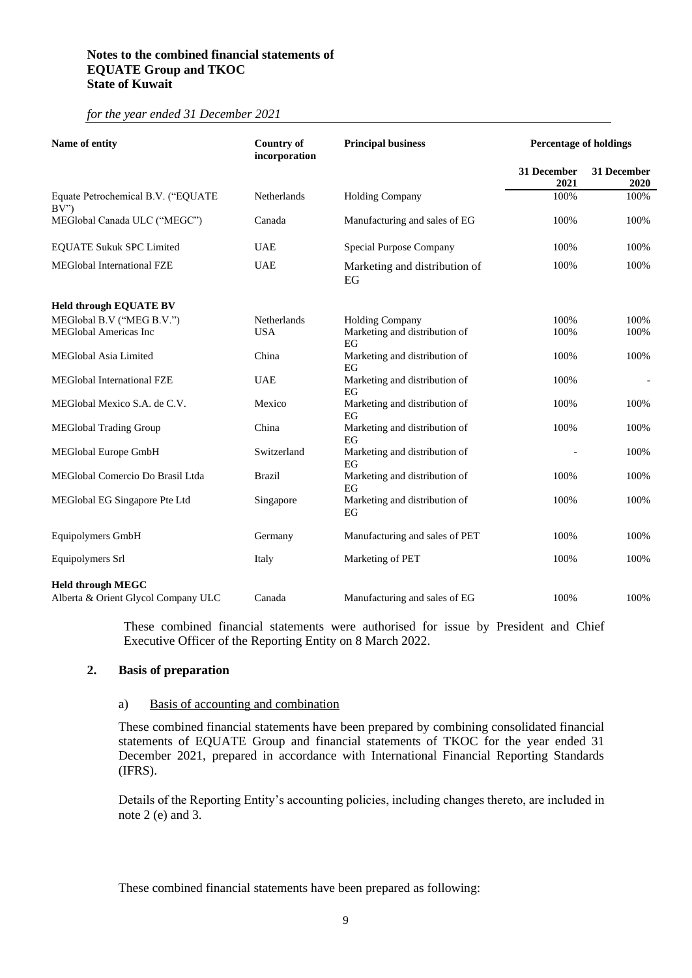#### **Notes to the combined financial statements of EQUATE Group and TKOC State of Kuwait**

#### *for the year ended 31 December 2021*

| Name of entity                            | <b>Country of</b><br>incorporation | <b>Principal business</b>           |                     | <b>Percentage of holdings</b> |  |  |
|-------------------------------------------|------------------------------------|-------------------------------------|---------------------|-------------------------------|--|--|
|                                           |                                    |                                     | 31 December<br>2021 | 31 December<br>2020           |  |  |
| Equate Petrochemical B.V. ("EQUATE<br>BV' | Netherlands                        | <b>Holding Company</b>              | 100%                | 100%                          |  |  |
| MEGlobal Canada ULC ("MEGC")              | Canada                             | Manufacturing and sales of EG       | 100%                | 100%                          |  |  |
| <b>EQUATE Sukuk SPC Limited</b>           | <b>UAE</b>                         | Special Purpose Company             | 100%                | 100%                          |  |  |
| <b>MEGlobal International FZE</b>         | <b>UAE</b>                         | Marketing and distribution of<br>EG | 100%                | 100%                          |  |  |
| <b>Held through EQUATE BV</b>             |                                    |                                     |                     |                               |  |  |
| MEGlobal B.V ("MEG B.V.")                 | Netherlands                        | <b>Holding Company</b>              | 100%                | 100%                          |  |  |
| <b>MEGlobal Americas Inc</b>              | <b>USA</b>                         | Marketing and distribution of<br>EG | 100%                | 100%                          |  |  |
| <b>MEGlobal Asia Limited</b>              | China                              | Marketing and distribution of<br>EG | 100%                | 100%                          |  |  |
| MEGlobal International FZE                | <b>UAE</b>                         | Marketing and distribution of<br>EG | 100%                |                               |  |  |
| MEGlobal Mexico S.A. de C.V.              | Mexico                             | Marketing and distribution of<br>EG | 100%                | 100%                          |  |  |
| <b>MEGlobal Trading Group</b>             | China                              | Marketing and distribution of<br>EG | 100%                | 100%                          |  |  |
| MEGlobal Europe GmbH                      | Switzerland                        | Marketing and distribution of<br>EG |                     | 100%                          |  |  |
| MEGlobal Comercio Do Brasil Ltda          | <b>Brazil</b>                      | Marketing and distribution of<br>EG | 100%                | 100%                          |  |  |
| MEGlobal EG Singapore Pte Ltd             | Singapore                          | Marketing and distribution of<br>EG | 100%                | 100%                          |  |  |
| Equipolymers GmbH                         | Germany                            | Manufacturing and sales of PET      | 100%                | 100%                          |  |  |
| Equipolymers Srl                          | Italy                              | Marketing of PET                    | 100%                | 100%                          |  |  |
| <b>Held through MEGC</b>                  |                                    |                                     |                     |                               |  |  |
| Alberta & Orient Glycol Company ULC       | Canada                             | Manufacturing and sales of EG       | 100%                | 100%                          |  |  |

These combined financial statements were authorised for issue by President and Chief Executive Officer of the Reporting Entity on 8 March 2022.

#### **2. Basis of preparation**

#### a) Basis of accounting and combination

These combined financial statements have been prepared by combining consolidated financial statements of EQUATE Group and financial statements of TKOC for the year ended 31 December 2021, prepared in accordance with International Financial Reporting Standards (IFRS).

Details of the Reporting Entity's accounting policies, including changes thereto, are included in note 2 (e) and 3.

These combined financial statements have been prepared as following: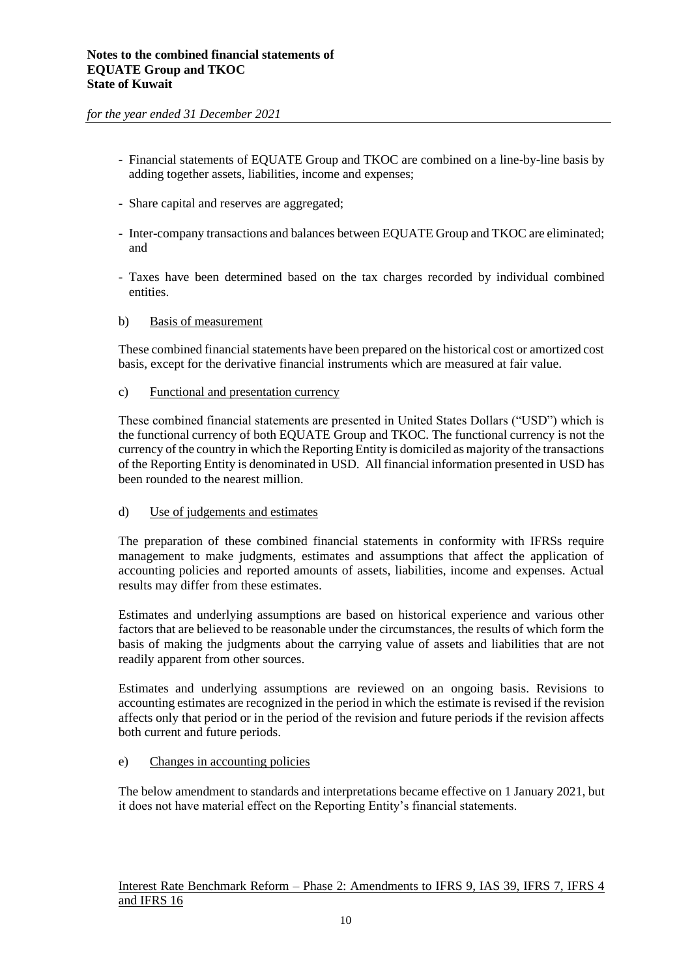- Financial statements of EQUATE Group and TKOC are combined on a line-by-line basis by adding together assets, liabilities, income and expenses;
- Share capital and reserves are aggregated;
- Inter-company transactions and balances between EQUATE Group and TKOC are eliminated; and
- Taxes have been determined based on the tax charges recorded by individual combined entities.

#### b) Basis of measurement

These combined financial statements have been prepared on the historical cost or amortized cost basis, except for the derivative financial instruments which are measured at fair value.

#### c) Functional and presentation currency

These combined financial statements are presented in United States Dollars ("USD") which is the functional currency of both EQUATE Group and TKOC. The functional currency is not the currency of the country in which the Reporting Entity is domiciled as majority of the transactions of the Reporting Entity is denominated in USD. All financial information presented in USD has been rounded to the nearest million.

#### d) Use of judgements and estimates

The preparation of these combined financial statements in conformity with IFRSs require management to make judgments, estimates and assumptions that affect the application of accounting policies and reported amounts of assets, liabilities, income and expenses. Actual results may differ from these estimates.

Estimates and underlying assumptions are based on historical experience and various other factors that are believed to be reasonable under the circumstances, the results of which form the basis of making the judgments about the carrying value of assets and liabilities that are not readily apparent from other sources.

Estimates and underlying assumptions are reviewed on an ongoing basis. Revisions to accounting estimates are recognized in the period in which the estimate is revised if the revision affects only that period or in the period of the revision and future periods if the revision affects both current and future periods.

#### e) Changes in accounting policies

The below amendment to standards and interpretations became effective on 1 January 2021, but it does not have material effect on the Reporting Entity's financial statements.

#### Interest Rate Benchmark Reform – Phase 2: Amendments to IFRS 9, IAS 39, IFRS 7, IFRS 4 and IFRS 16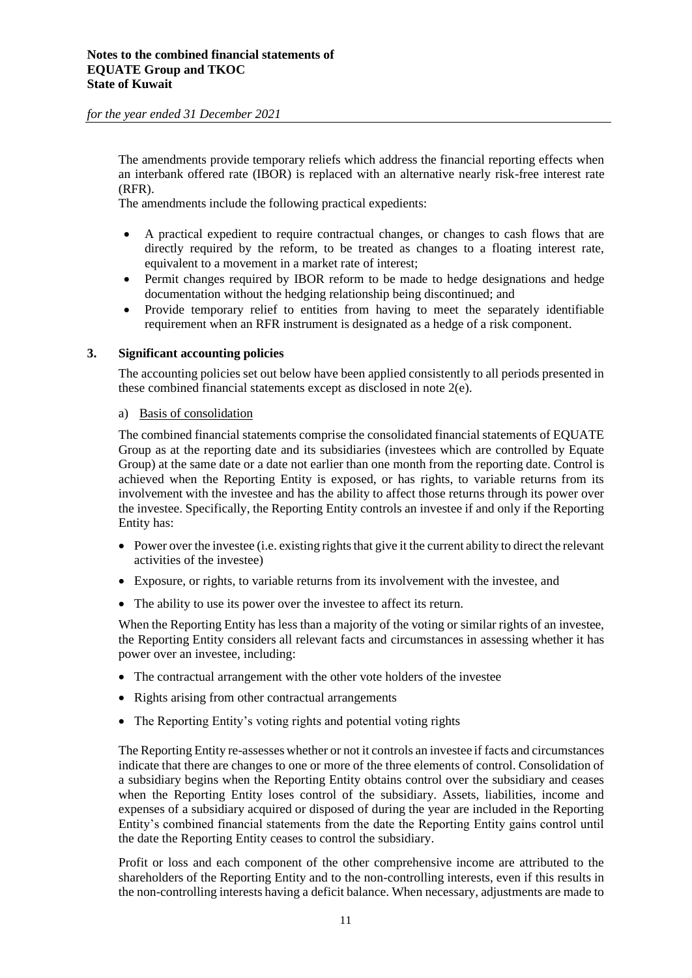The amendments provide temporary reliefs which address the financial reporting effects when an interbank offered rate (IBOR) is replaced with an alternative nearly risk-free interest rate (RFR).

The amendments include the following practical expedients:

- A practical expedient to require contractual changes, or changes to cash flows that are directly required by the reform, to be treated as changes to a floating interest rate, equivalent to a movement in a market rate of interest;
- Permit changes required by IBOR reform to be made to hedge designations and hedge documentation without the hedging relationship being discontinued; and
- Provide temporary relief to entities from having to meet the separately identifiable requirement when an RFR instrument is designated as a hedge of a risk component.

#### **3. Significant accounting policies**

The accounting policies set out below have been applied consistently to all periods presented in these combined financial statements except as disclosed in note 2(e).

#### a) Basis of consolidation

The combined financial statements comprise the consolidated financial statements of EQUATE Group as at the reporting date and its subsidiaries (investees which are controlled by Equate Group) at the same date or a date not earlier than one month from the reporting date. Control is achieved when the Reporting Entity is exposed, or has rights, to variable returns from its involvement with the investee and has the ability to affect those returns through its power over the investee. Specifically, the Reporting Entity controls an investee if and only if the Reporting Entity has:

- Power over the investee (i.e. existing rights that give it the current ability to direct the relevant activities of the investee)
- Exposure, or rights, to variable returns from its involvement with the investee, and
- The ability to use its power over the investee to affect its return.

When the Reporting Entity has less than a majority of the voting or similar rights of an investee, the Reporting Entity considers all relevant facts and circumstances in assessing whether it has power over an investee, including:

- The contractual arrangement with the other vote holders of the investee
- Rights arising from other contractual arrangements
- The Reporting Entity's voting rights and potential voting rights

The Reporting Entity re-assesses whether or not it controls an investee if facts and circumstances indicate that there are changes to one or more of the three elements of control. Consolidation of a subsidiary begins when the Reporting Entity obtains control over the subsidiary and ceases when the Reporting Entity loses control of the subsidiary. Assets, liabilities, income and expenses of a subsidiary acquired or disposed of during the year are included in the Reporting Entity's combined financial statements from the date the Reporting Entity gains control until the date the Reporting Entity ceases to control the subsidiary.

Profit or loss and each component of the other comprehensive income are attributed to the shareholders of the Reporting Entity and to the non-controlling interests, even if this results in the non-controlling interests having a deficit balance. When necessary, adjustments are made to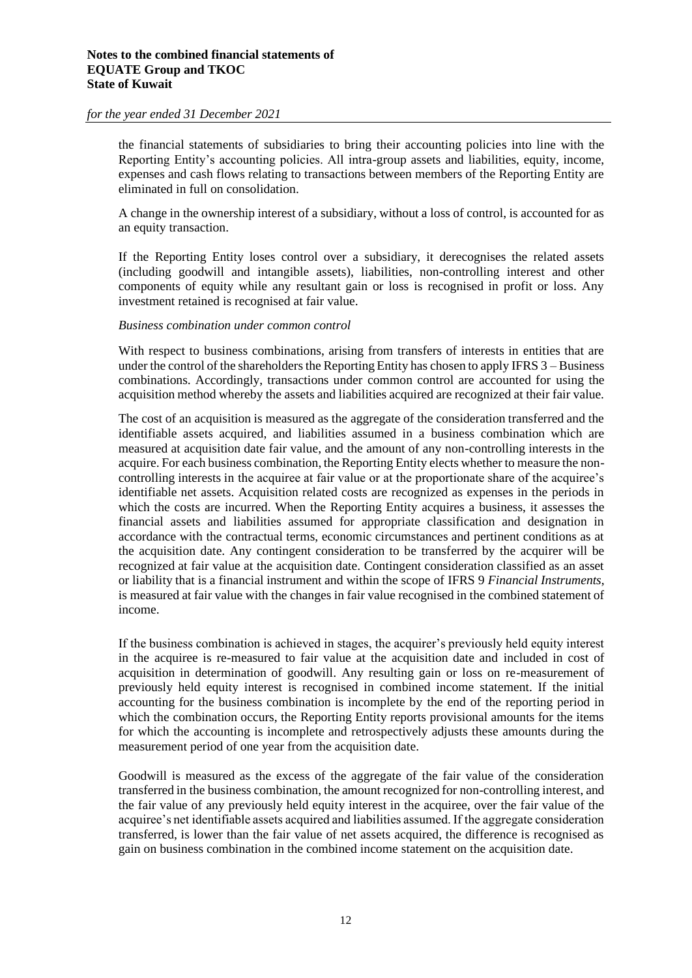the financial statements of subsidiaries to bring their accounting policies into line with the Reporting Entity's accounting policies. All intra-group assets and liabilities, equity, income, expenses and cash flows relating to transactions between members of the Reporting Entity are eliminated in full on consolidation.

A change in the ownership interest of a subsidiary, without a loss of control, is accounted for as an equity transaction.

If the Reporting Entity loses control over a subsidiary, it derecognises the related assets (including goodwill and intangible assets), liabilities, non-controlling interest and other components of equity while any resultant gain or loss is recognised in profit or loss. Any investment retained is recognised at fair value.

#### *Business combination under common control*

With respect to business combinations, arising from transfers of interests in entities that are under the control of the shareholders the Reporting Entity has chosen to apply IFRS  $3$  – Business combinations. Accordingly, transactions under common control are accounted for using the acquisition method whereby the assets and liabilities acquired are recognized at their fair value.

The cost of an acquisition is measured as the aggregate of the consideration transferred and the identifiable assets acquired, and liabilities assumed in a business combination which are measured at acquisition date fair value, and the amount of any non-controlling interests in the acquire. For each business combination, the Reporting Entity elects whether to measure the noncontrolling interests in the acquiree at fair value or at the proportionate share of the acquiree's identifiable net assets. Acquisition related costs are recognized as expenses in the periods in which the costs are incurred. When the Reporting Entity acquires a business, it assesses the financial assets and liabilities assumed for appropriate classification and designation in accordance with the contractual terms, economic circumstances and pertinent conditions as at the acquisition date. Any contingent consideration to be transferred by the acquirer will be recognized at fair value at the acquisition date. Contingent consideration classified as an asset or liability that is a financial instrument and within the scope of IFRS 9 *Financial Instruments*, is measured at fair value with the changes in fair value recognised in the combined statement of income.

If the business combination is achieved in stages, the acquirer's previously held equity interest in the acquiree is re-measured to fair value at the acquisition date and included in cost of acquisition in determination of goodwill. Any resulting gain or loss on re-measurement of previously held equity interest is recognised in combined income statement. If the initial accounting for the business combination is incomplete by the end of the reporting period in which the combination occurs, the Reporting Entity reports provisional amounts for the items for which the accounting is incomplete and retrospectively adjusts these amounts during the measurement period of one year from the acquisition date.

Goodwill is measured as the excess of the aggregate of the fair value of the consideration transferred in the business combination, the amount recognized for non-controlling interest, and the fair value of any previously held equity interest in the acquiree, over the fair value of the acquiree's net identifiable assets acquired and liabilities assumed. If the aggregate consideration transferred, is lower than the fair value of net assets acquired, the difference is recognised as gain on business combination in the combined income statement on the acquisition date.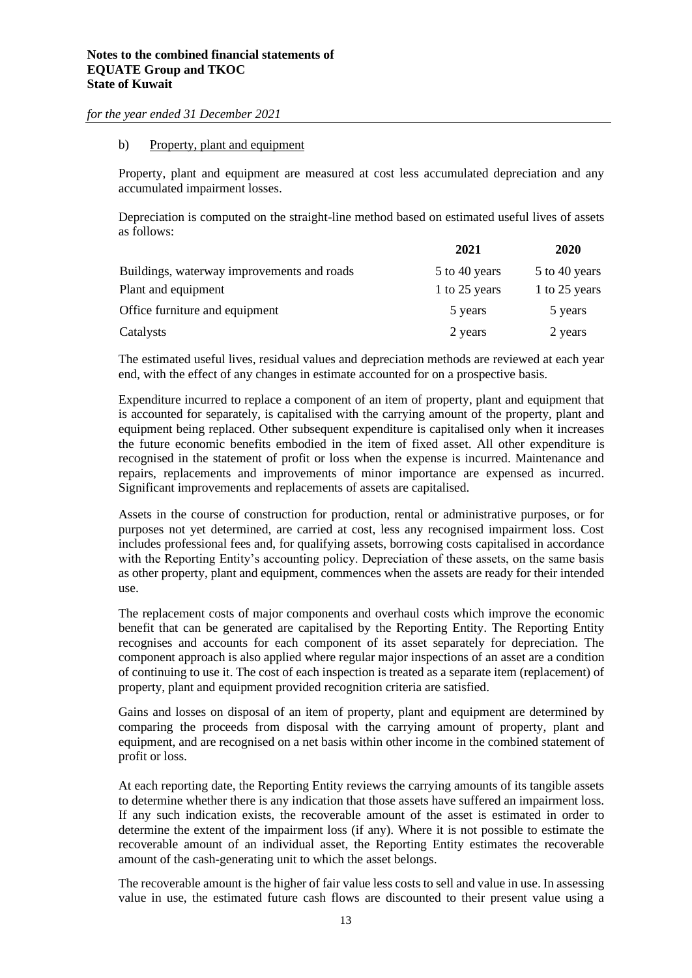#### b) Property, plant and equipment

Property, plant and equipment are measured at cost less accumulated depreciation and any accumulated impairment losses.

Depreciation is computed on the straight-line method based on estimated useful lives of assets as follows:

|                                            | 2021          | 2020          |
|--------------------------------------------|---------------|---------------|
| Buildings, waterway improvements and roads | 5 to 40 years | 5 to 40 years |
| Plant and equipment                        | 1 to 25 years | 1 to 25 years |
| Office furniture and equipment             | 5 years       | 5 years       |
| Catalysts                                  | 2 years       | 2 years       |

The estimated useful lives, residual values and depreciation methods are reviewed at each year end, with the effect of any changes in estimate accounted for on a prospective basis.

Expenditure incurred to replace a component of an item of property, plant and equipment that is accounted for separately, is capitalised with the carrying amount of the property, plant and equipment being replaced. Other subsequent expenditure is capitalised only when it increases the future economic benefits embodied in the item of fixed asset. All other expenditure is recognised in the statement of profit or loss when the expense is incurred. Maintenance and repairs, replacements and improvements of minor importance are expensed as incurred. Significant improvements and replacements of assets are capitalised.

Assets in the course of construction for production, rental or administrative purposes, or for purposes not yet determined, are carried at cost, less any recognised impairment loss. Cost includes professional fees and, for qualifying assets, borrowing costs capitalised in accordance with the Reporting Entity's accounting policy. Depreciation of these assets, on the same basis as other property, plant and equipment, commences when the assets are ready for their intended use.

The replacement costs of major components and overhaul costs which improve the economic benefit that can be generated are capitalised by the Reporting Entity. The Reporting Entity recognises and accounts for each component of its asset separately for depreciation. The component approach is also applied where regular major inspections of an asset are a condition of continuing to use it. The cost of each inspection is treated as a separate item (replacement) of property, plant and equipment provided recognition criteria are satisfied.

Gains and losses on disposal of an item of property, plant and equipment are determined by comparing the proceeds from disposal with the carrying amount of property, plant and equipment, and are recognised on a net basis within other income in the combined statement of profit or loss.

At each reporting date, the Reporting Entity reviews the carrying amounts of its tangible assets to determine whether there is any indication that those assets have suffered an impairment loss. If any such indication exists, the recoverable amount of the asset is estimated in order to determine the extent of the impairment loss (if any). Where it is not possible to estimate the recoverable amount of an individual asset, the Reporting Entity estimates the recoverable amount of the cash-generating unit to which the asset belongs.

The recoverable amount is the higher of fair value less costs to sell and value in use. In assessing value in use, the estimated future cash flows are discounted to their present value using a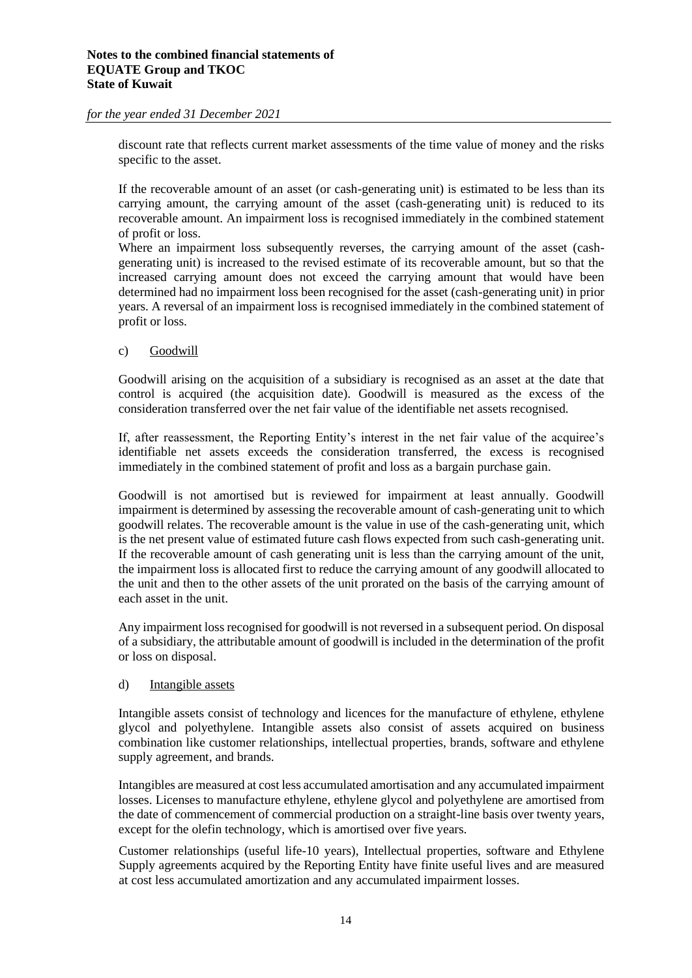discount rate that reflects current market assessments of the time value of money and the risks specific to the asset.

If the recoverable amount of an asset (or cash-generating unit) is estimated to be less than its carrying amount, the carrying amount of the asset (cash-generating unit) is reduced to its recoverable amount. An impairment loss is recognised immediately in the combined statement of profit or loss.

Where an impairment loss subsequently reverses, the carrying amount of the asset (cashgenerating unit) is increased to the revised estimate of its recoverable amount, but so that the increased carrying amount does not exceed the carrying amount that would have been determined had no impairment loss been recognised for the asset (cash-generating unit) in prior years. A reversal of an impairment loss is recognised immediately in the combined statement of profit or loss.

#### c) Goodwill

Goodwill arising on the acquisition of a subsidiary is recognised as an asset at the date that control is acquired (the acquisition date). Goodwill is measured as the excess of the consideration transferred over the net fair value of the identifiable net assets recognised.

If, after reassessment, the Reporting Entity's interest in the net fair value of the acquiree's identifiable net assets exceeds the consideration transferred, the excess is recognised immediately in the combined statement of profit and loss as a bargain purchase gain.

Goodwill is not amortised but is reviewed for impairment at least annually. Goodwill impairment is determined by assessing the recoverable amount of cash-generating unit to which goodwill relates. The recoverable amount is the value in use of the cash-generating unit, which is the net present value of estimated future cash flows expected from such cash-generating unit. If the recoverable amount of cash generating unit is less than the carrying amount of the unit, the impairment loss is allocated first to reduce the carrying amount of any goodwill allocated to the unit and then to the other assets of the unit prorated on the basis of the carrying amount of each asset in the unit.

Any impairment loss recognised for goodwill is not reversed in a subsequent period. On disposal of a subsidiary, the attributable amount of goodwill is included in the determination of the profit or loss on disposal.

#### d) Intangible assets

Intangible assets consist of technology and licences for the manufacture of ethylene, ethylene glycol and polyethylene. Intangible assets also consist of assets acquired on business combination like customer relationships, intellectual properties, brands, software and ethylene supply agreement, and brands.

Intangibles are measured at cost less accumulated amortisation and any accumulated impairment losses. Licenses to manufacture ethylene, ethylene glycol and polyethylene are amortised from the date of commencement of commercial production on a straight-line basis over twenty years, except for the olefin technology, which is amortised over five years.

Customer relationships (useful life-10 years), Intellectual properties, software and Ethylene Supply agreements acquired by the Reporting Entity have finite useful lives and are measured at cost less accumulated amortization and any accumulated impairment losses.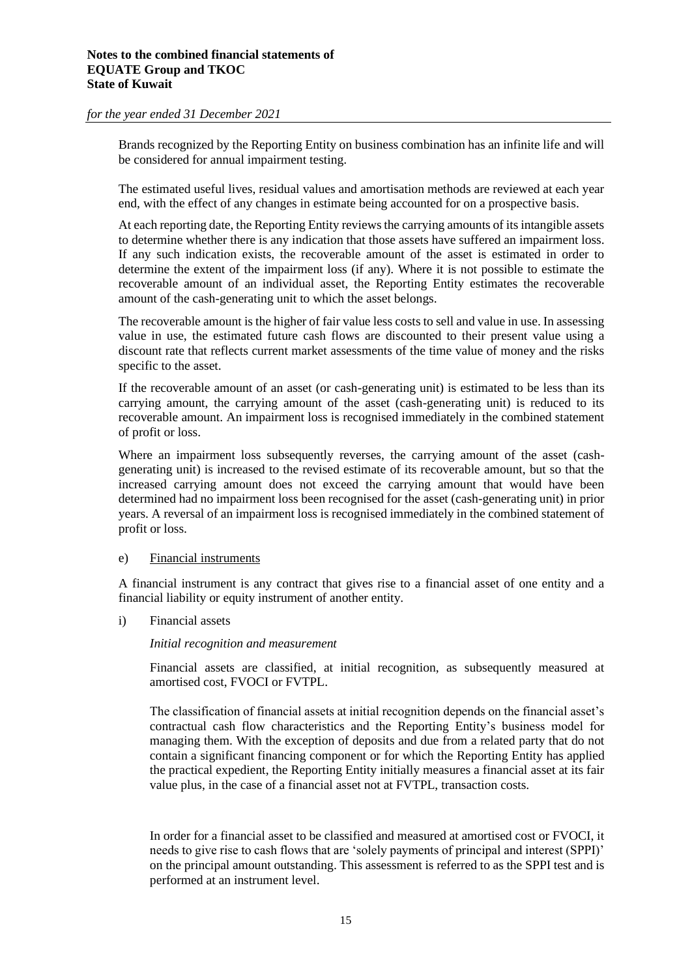Brands recognized by the Reporting Entity on business combination has an infinite life and will be considered for annual impairment testing.

The estimated useful lives, residual values and amortisation methods are reviewed at each year end, with the effect of any changes in estimate being accounted for on a prospective basis.

At each reporting date, the Reporting Entity reviews the carrying amounts of its intangible assets to determine whether there is any indication that those assets have suffered an impairment loss. If any such indication exists, the recoverable amount of the asset is estimated in order to determine the extent of the impairment loss (if any). Where it is not possible to estimate the recoverable amount of an individual asset, the Reporting Entity estimates the recoverable amount of the cash-generating unit to which the asset belongs.

The recoverable amount is the higher of fair value less costs to sell and value in use. In assessing value in use, the estimated future cash flows are discounted to their present value using a discount rate that reflects current market assessments of the time value of money and the risks specific to the asset.

If the recoverable amount of an asset (or cash-generating unit) is estimated to be less than its carrying amount, the carrying amount of the asset (cash-generating unit) is reduced to its recoverable amount. An impairment loss is recognised immediately in the combined statement of profit or loss.

Where an impairment loss subsequently reverses, the carrying amount of the asset (cashgenerating unit) is increased to the revised estimate of its recoverable amount, but so that the increased carrying amount does not exceed the carrying amount that would have been determined had no impairment loss been recognised for the asset (cash-generating unit) in prior years. A reversal of an impairment loss is recognised immediately in the combined statement of profit or loss.

#### e) Financial instruments

A financial instrument is any contract that gives rise to a financial asset of one entity and a financial liability or equity instrument of another entity.

i) Financial assets

#### *Initial recognition and measurement*

Financial assets are classified, at initial recognition, as subsequently measured at amortised cost, FVOCI or FVTPL.

The classification of financial assets at initial recognition depends on the financial asset's contractual cash flow characteristics and the Reporting Entity's business model for managing them. With the exception of deposits and due from a related party that do not contain a significant financing component or for which the Reporting Entity has applied the practical expedient, the Reporting Entity initially measures a financial asset at its fair value plus, in the case of a financial asset not at FVTPL, transaction costs.

In order for a financial asset to be classified and measured at amortised cost or FVOCI, it needs to give rise to cash flows that are 'solely payments of principal and interest (SPPI)' on the principal amount outstanding. This assessment is referred to as the SPPI test and is performed at an instrument level.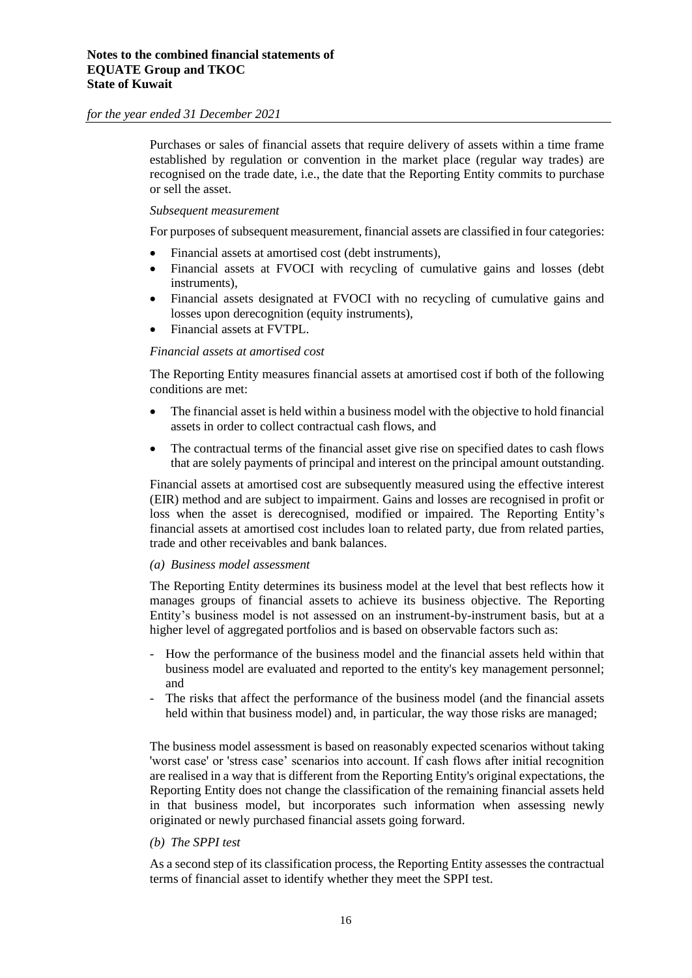Purchases or sales of financial assets that require delivery of assets within a time frame established by regulation or convention in the market place (regular way trades) are recognised on the trade date, i.e., the date that the Reporting Entity commits to purchase or sell the asset.

#### *Subsequent measurement*

For purposes of subsequent measurement, financial assets are classified in four categories:

- Financial assets at amortised cost (debt instruments),
- Financial assets at FVOCI with recycling of cumulative gains and losses (debt instruments),
- Financial assets designated at FVOCI with no recycling of cumulative gains and losses upon derecognition (equity instruments),
- Financial assets at FVTPL.

#### *Financial assets at amortised cost*

The Reporting Entity measures financial assets at amortised cost if both of the following conditions are met:

- The financial asset is held within a business model with the objective to hold financial assets in order to collect contractual cash flows, and
- The contractual terms of the financial asset give rise on specified dates to cash flows that are solely payments of principal and interest on the principal amount outstanding.

Financial assets at amortised cost are subsequently measured using the effective interest (EIR) method and are subject to impairment. Gains and losses are recognised in profit or loss when the asset is derecognised, modified or impaired. The Reporting Entity's financial assets at amortised cost includes loan to related party, due from related parties, trade and other receivables and bank balances.

#### *(a) Business model assessment*

The Reporting Entity determines its business model at the level that best reflects how it manages groups of financial assets to achieve its business objective. The Reporting Entity's business model is not assessed on an instrument-by-instrument basis, but at a higher level of aggregated portfolios and is based on observable factors such as:

- How the performance of the business model and the financial assets held within that business model are evaluated and reported to the entity's key management personnel; and
- The risks that affect the performance of the business model (and the financial assets held within that business model) and, in particular, the way those risks are managed;

The business model assessment is based on reasonably expected scenarios without taking 'worst case' or 'stress case' scenarios into account. If cash flows after initial recognition are realised in a way that is different from the Reporting Entity's original expectations, the Reporting Entity does not change the classification of the remaining financial assets held in that business model, but incorporates such information when assessing newly originated or newly purchased financial assets going forward.

#### *(b) The SPPI test*

As a second step of its classification process, the Reporting Entity assesses the contractual terms of financial asset to identify whether they meet the SPPI test.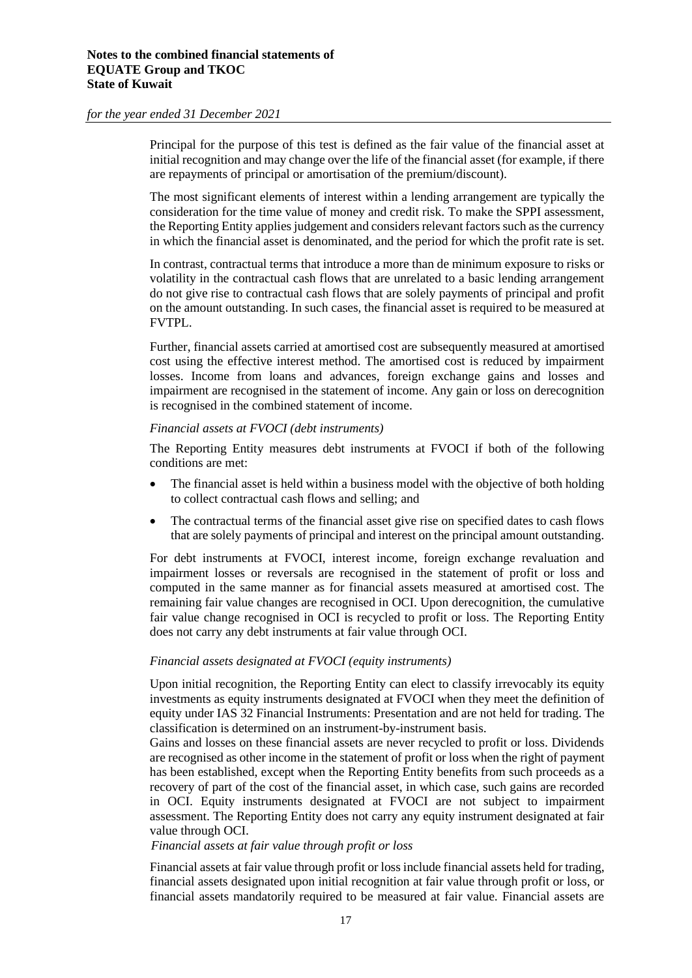Principal for the purpose of this test is defined as the fair value of the financial asset at initial recognition and may change over the life of the financial asset (for example, if there are repayments of principal or amortisation of the premium/discount).

The most significant elements of interest within a lending arrangement are typically the consideration for the time value of money and credit risk. To make the SPPI assessment, the Reporting Entity applies judgement and considers relevant factors such as the currency in which the financial asset is denominated, and the period for which the profit rate is set.

In contrast, contractual terms that introduce a more than de minimum exposure to risks or volatility in the contractual cash flows that are unrelated to a basic lending arrangement do not give rise to contractual cash flows that are solely payments of principal and profit on the amount outstanding. In such cases, the financial asset is required to be measured at FVTPL.

Further, financial assets carried at amortised cost are subsequently measured at amortised cost using the effective interest method. The amortised cost is reduced by impairment losses. Income from loans and advances, foreign exchange gains and losses and impairment are recognised in the statement of income. Any gain or loss on derecognition is recognised in the combined statement of income.

#### *Financial assets at FVOCI (debt instruments)*

The Reporting Entity measures debt instruments at FVOCI if both of the following conditions are met:

- The financial asset is held within a business model with the objective of both holding to collect contractual cash flows and selling; and
- The contractual terms of the financial asset give rise on specified dates to cash flows that are solely payments of principal and interest on the principal amount outstanding.

For debt instruments at FVOCI, interest income, foreign exchange revaluation and impairment losses or reversals are recognised in the statement of profit or loss and computed in the same manner as for financial assets measured at amortised cost. The remaining fair value changes are recognised in OCI. Upon derecognition, the cumulative fair value change recognised in OCI is recycled to profit or loss. The Reporting Entity does not carry any debt instruments at fair value through OCI.

#### *Financial assets designated at FVOCI (equity instruments)*

Upon initial recognition, the Reporting Entity can elect to classify irrevocably its equity investments as equity instruments designated at FVOCI when they meet the definition of equity under IAS 32 Financial Instruments: Presentation and are not held for trading. The classification is determined on an instrument-by-instrument basis.

Gains and losses on these financial assets are never recycled to profit or loss. Dividends are recognised as other income in the statement of profit or loss when the right of payment has been established, except when the Reporting Entity benefits from such proceeds as a recovery of part of the cost of the financial asset, in which case, such gains are recorded in OCI. Equity instruments designated at FVOCI are not subject to impairment assessment. The Reporting Entity does not carry any equity instrument designated at fair value through OCI.

#### *Financial assets at fair value through profit or loss*

Financial assets at fair value through profit or loss include financial assets held for trading, financial assets designated upon initial recognition at fair value through profit or loss, or financial assets mandatorily required to be measured at fair value. Financial assets are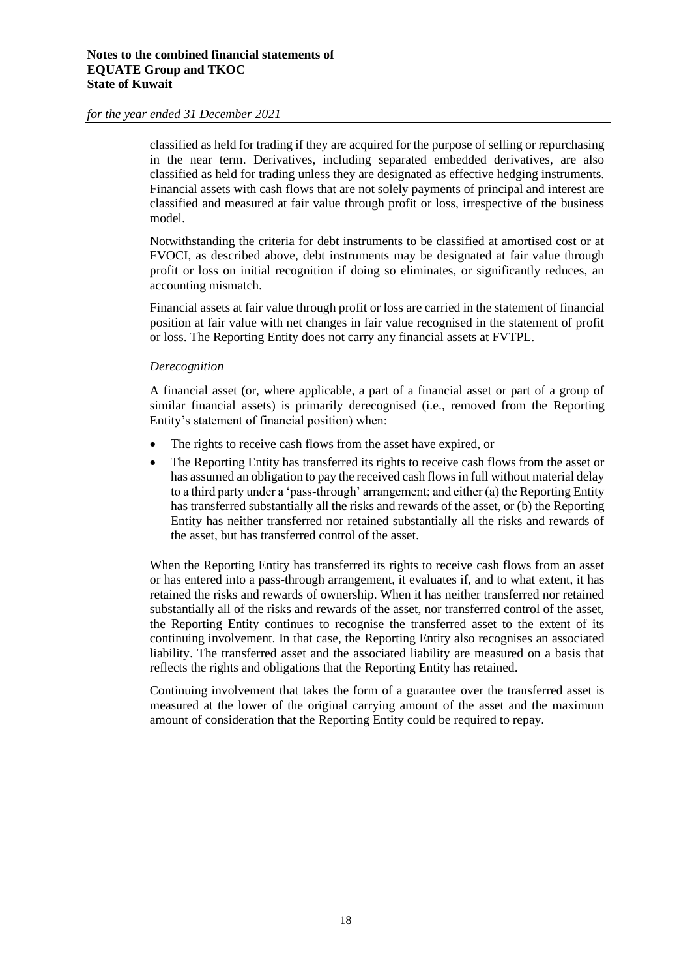classified as held for trading if they are acquired for the purpose of selling or repurchasing in the near term. Derivatives, including separated embedded derivatives, are also classified as held for trading unless they are designated as effective hedging instruments. Financial assets with cash flows that are not solely payments of principal and interest are classified and measured at fair value through profit or loss, irrespective of the business model.

Notwithstanding the criteria for debt instruments to be classified at amortised cost or at FVOCI, as described above, debt instruments may be designated at fair value through profit or loss on initial recognition if doing so eliminates, or significantly reduces, an accounting mismatch.

Financial assets at fair value through profit or loss are carried in the statement of financial position at fair value with net changes in fair value recognised in the statement of profit or loss. The Reporting Entity does not carry any financial assets at FVTPL.

#### *Derecognition*

A financial asset (or, where applicable, a part of a financial asset or part of a group of similar financial assets) is primarily derecognised (i.e., removed from the Reporting Entity's statement of financial position) when:

- The rights to receive cash flows from the asset have expired, or
- The Reporting Entity has transferred its rights to receive cash flows from the asset or has assumed an obligation to pay the received cash flows in full without material delay to a third party under a 'pass-through' arrangement; and either (a) the Reporting Entity has transferred substantially all the risks and rewards of the asset, or (b) the Reporting Entity has neither transferred nor retained substantially all the risks and rewards of the asset, but has transferred control of the asset.

When the Reporting Entity has transferred its rights to receive cash flows from an asset or has entered into a pass-through arrangement, it evaluates if, and to what extent, it has retained the risks and rewards of ownership. When it has neither transferred nor retained substantially all of the risks and rewards of the asset, nor transferred control of the asset, the Reporting Entity continues to recognise the transferred asset to the extent of its continuing involvement. In that case, the Reporting Entity also recognises an associated liability. The transferred asset and the associated liability are measured on a basis that reflects the rights and obligations that the Reporting Entity has retained.

Continuing involvement that takes the form of a guarantee over the transferred asset is measured at the lower of the original carrying amount of the asset and the maximum amount of consideration that the Reporting Entity could be required to repay.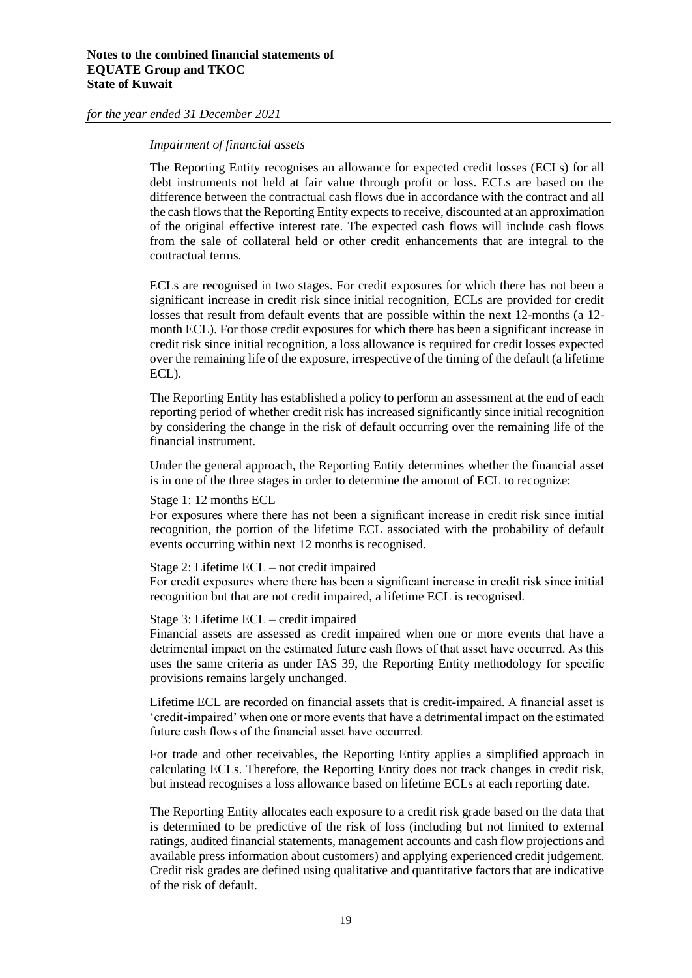#### *Impairment of financial assets*

The Reporting Entity recognises an allowance for expected credit losses (ECLs) for all debt instruments not held at fair value through profit or loss. ECLs are based on the difference between the contractual cash flows due in accordance with the contract and all the cash flows that the Reporting Entity expects to receive, discounted at an approximation of the original effective interest rate. The expected cash flows will include cash flows from the sale of collateral held or other credit enhancements that are integral to the contractual terms.

ECLs are recognised in two stages. For credit exposures for which there has not been a significant increase in credit risk since initial recognition, ECLs are provided for credit losses that result from default events that are possible within the next 12-months (a 12 month ECL). For those credit exposures for which there has been a significant increase in credit risk since initial recognition, a loss allowance is required for credit losses expected over the remaining life of the exposure, irrespective of the timing of the default (a lifetime ECL).

The Reporting Entity has established a policy to perform an assessment at the end of each reporting period of whether credit risk has increased significantly since initial recognition by considering the change in the risk of default occurring over the remaining life of the financial instrument.

Under the general approach, the Reporting Entity determines whether the financial asset is in one of the three stages in order to determine the amount of ECL to recognize:

Stage 1: 12 months ECL

For exposures where there has not been a significant increase in credit risk since initial recognition, the portion of the lifetime ECL associated with the probability of default events occurring within next 12 months is recognised.

Stage 2: Lifetime ECL – not credit impaired

For credit exposures where there has been a significant increase in credit risk since initial recognition but that are not credit impaired, a lifetime ECL is recognised.

Stage 3: Lifetime ECL – credit impaired

Financial assets are assessed as credit impaired when one or more events that have a detrimental impact on the estimated future cash flows of that asset have occurred. As this uses the same criteria as under IAS 39, the Reporting Entity methodology for specific provisions remains largely unchanged.

Lifetime ECL are recorded on financial assets that is credit-impaired. A financial asset is 'credit-impaired' when one or more events that have a detrimental impact on the estimated future cash flows of the financial asset have occurred.

For trade and other receivables, the Reporting Entity applies a simplified approach in calculating ECLs. Therefore, the Reporting Entity does not track changes in credit risk, but instead recognises a loss allowance based on lifetime ECLs at each reporting date.

The Reporting Entity allocates each exposure to a credit risk grade based on the data that is determined to be predictive of the risk of loss (including but not limited to external ratings, audited financial statements, management accounts and cash flow projections and available press information about customers) and applying experienced credit judgement. Credit risk grades are defined using qualitative and quantitative factors that are indicative of the risk of default.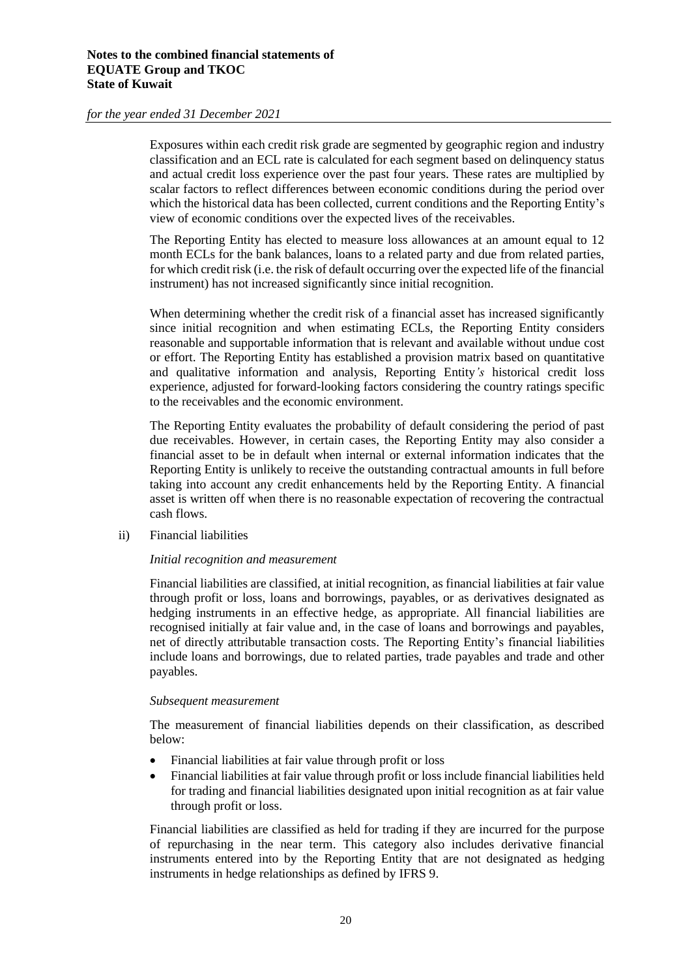Exposures within each credit risk grade are segmented by geographic region and industry classification and an ECL rate is calculated for each segment based on delinquency status and actual credit loss experience over the past four years. These rates are multiplied by scalar factors to reflect differences between economic conditions during the period over which the historical data has been collected, current conditions and the Reporting Entity's view of economic conditions over the expected lives of the receivables.

The Reporting Entity has elected to measure loss allowances at an amount equal to 12 month ECLs for the bank balances, loans to a related party and due from related parties, for which credit risk (i.e. the risk of default occurring over the expected life of the financial instrument) has not increased significantly since initial recognition.

When determining whether the credit risk of a financial asset has increased significantly since initial recognition and when estimating ECLs, the Reporting Entity considers reasonable and supportable information that is relevant and available without undue cost or effort. The Reporting Entity has established a provision matrix based on quantitative and qualitative information and analysis, Reporting Entity*'s* historical credit loss experience, adjusted for forward-looking factors considering the country ratings specific to the receivables and the economic environment.

The Reporting Entity evaluates the probability of default considering the period of past due receivables. However, in certain cases, the Reporting Entity may also consider a financial asset to be in default when internal or external information indicates that the Reporting Entity is unlikely to receive the outstanding contractual amounts in full before taking into account any credit enhancements held by the Reporting Entity. A financial asset is written off when there is no reasonable expectation of recovering the contractual cash flows.

ii) Financial liabilities

#### *Initial recognition and measurement*

Financial liabilities are classified, at initial recognition, as financial liabilities at fair value through profit or loss, loans and borrowings, payables, or as derivatives designated as hedging instruments in an effective hedge, as appropriate. All financial liabilities are recognised initially at fair value and, in the case of loans and borrowings and payables, net of directly attributable transaction costs. The Reporting Entity's financial liabilities include loans and borrowings, due to related parties, trade payables and trade and other payables.

#### *Subsequent measurement*

The measurement of financial liabilities depends on their classification, as described below:

- Financial liabilities at fair value through profit or loss
- Financial liabilities at fair value through profit or loss include financial liabilities held for trading and financial liabilities designated upon initial recognition as at fair value through profit or loss.

Financial liabilities are classified as held for trading if they are incurred for the purpose of repurchasing in the near term. This category also includes derivative financial instruments entered into by the Reporting Entity that are not designated as hedging instruments in hedge relationships as defined by IFRS 9.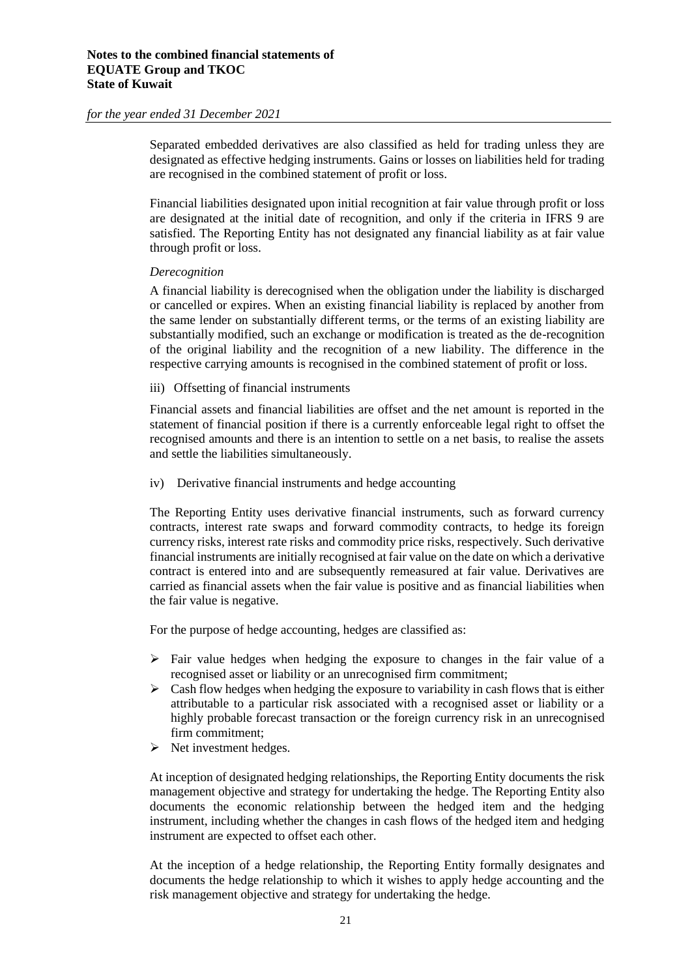Separated embedded derivatives are also classified as held for trading unless they are designated as effective hedging instruments. Gains or losses on liabilities held for trading are recognised in the combined statement of profit or loss.

Financial liabilities designated upon initial recognition at fair value through profit or loss are designated at the initial date of recognition, and only if the criteria in IFRS 9 are satisfied. The Reporting Entity has not designated any financial liability as at fair value through profit or loss.

#### *Derecognition*

A financial liability is derecognised when the obligation under the liability is discharged or cancelled or expires. When an existing financial liability is replaced by another from the same lender on substantially different terms, or the terms of an existing liability are substantially modified, such an exchange or modification is treated as the de-recognition of the original liability and the recognition of a new liability. The difference in the respective carrying amounts is recognised in the combined statement of profit or loss.

iii) Offsetting of financial instruments

Financial assets and financial liabilities are offset and the net amount is reported in the statement of financial position if there is a currently enforceable legal right to offset the recognised amounts and there is an intention to settle on a net basis, to realise the assets and settle the liabilities simultaneously.

iv) Derivative financial instruments and hedge accounting

The Reporting Entity uses derivative financial instruments, such as forward currency contracts, interest rate swaps and forward commodity contracts, to hedge its foreign currency risks, interest rate risks and commodity price risks, respectively. Such derivative financial instruments are initially recognised at fair value on the date on which a derivative contract is entered into and are subsequently remeasured at fair value. Derivatives are carried as financial assets when the fair value is positive and as financial liabilities when the fair value is negative.

For the purpose of hedge accounting, hedges are classified as:

- $\triangleright$  Fair value hedges when hedging the exposure to changes in the fair value of a recognised asset or liability or an unrecognised firm commitment;
- $\triangleright$  Cash flow hedges when hedging the exposure to variability in cash flows that is either attributable to a particular risk associated with a recognised asset or liability or a highly probable forecast transaction or the foreign currency risk in an unrecognised firm commitment;
- ➢ Net investment hedges.

At inception of designated hedging relationships, the Reporting Entity documents the risk management objective and strategy for undertaking the hedge. The Reporting Entity also documents the economic relationship between the hedged item and the hedging instrument, including whether the changes in cash flows of the hedged item and hedging instrument are expected to offset each other.

At the inception of a hedge relationship, the Reporting Entity formally designates and documents the hedge relationship to which it wishes to apply hedge accounting and the risk management objective and strategy for undertaking the hedge.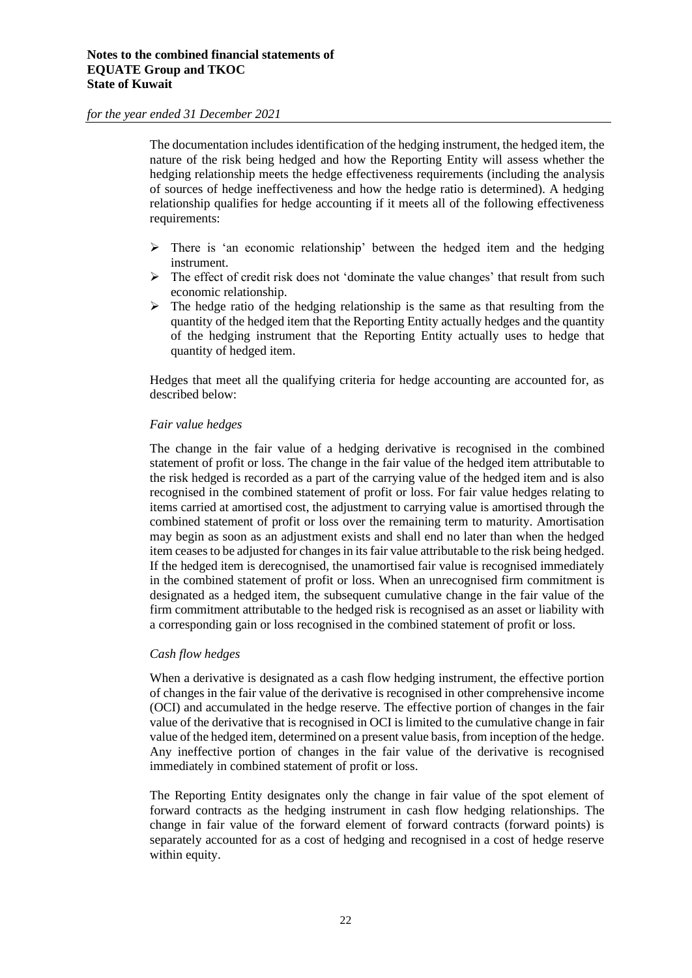The documentation includes identification of the hedging instrument, the hedged item, the nature of the risk being hedged and how the Reporting Entity will assess whether the hedging relationship meets the hedge effectiveness requirements (including the analysis of sources of hedge ineffectiveness and how the hedge ratio is determined). A hedging relationship qualifies for hedge accounting if it meets all of the following effectiveness requirements:

- ➢ There is 'an economic relationship' between the hedged item and the hedging instrument.
- $\triangleright$  The effect of credit risk does not 'dominate the value changes' that result from such economic relationship.
- $\triangleright$  The hedge ratio of the hedging relationship is the same as that resulting from the quantity of the hedged item that the Reporting Entity actually hedges and the quantity of the hedging instrument that the Reporting Entity actually uses to hedge that quantity of hedged item.

Hedges that meet all the qualifying criteria for hedge accounting are accounted for, as described below:

#### *Fair value hedges*

The change in the fair value of a hedging derivative is recognised in the combined statement of profit or loss. The change in the fair value of the hedged item attributable to the risk hedged is recorded as a part of the carrying value of the hedged item and is also recognised in the combined statement of profit or loss. For fair value hedges relating to items carried at amortised cost, the adjustment to carrying value is amortised through the combined statement of profit or loss over the remaining term to maturity. Amortisation may begin as soon as an adjustment exists and shall end no later than when the hedged item ceases to be adjusted for changes in its fair value attributable to the risk being hedged. If the hedged item is derecognised, the unamortised fair value is recognised immediately in the combined statement of profit or loss. When an unrecognised firm commitment is designated as a hedged item, the subsequent cumulative change in the fair value of the firm commitment attributable to the hedged risk is recognised as an asset or liability with a corresponding gain or loss recognised in the combined statement of profit or loss.

#### *Cash flow hedges*

When a derivative is designated as a cash flow hedging instrument, the effective portion of changes in the fair value of the derivative is recognised in other comprehensive income (OCI) and accumulated in the hedge reserve. The effective portion of changes in the fair value of the derivative that is recognised in OCI is limited to the cumulative change in fair value of the hedged item, determined on a present value basis, from inception of the hedge. Any ineffective portion of changes in the fair value of the derivative is recognised immediately in combined statement of profit or loss.

The Reporting Entity designates only the change in fair value of the spot element of forward contracts as the hedging instrument in cash flow hedging relationships. The change in fair value of the forward element of forward contracts (forward points) is separately accounted for as a cost of hedging and recognised in a cost of hedge reserve within equity.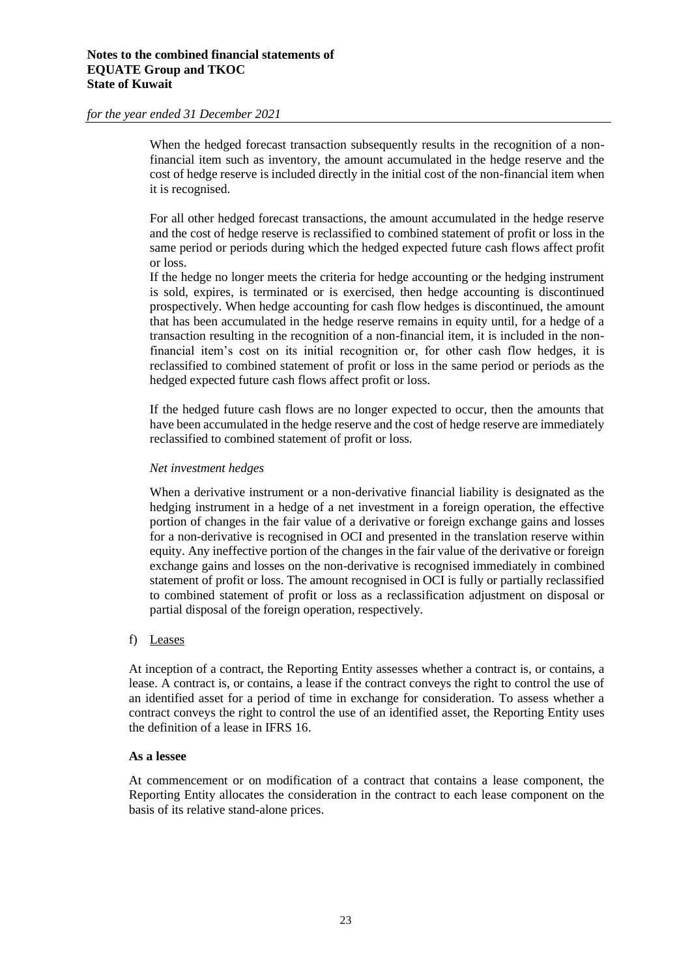When the hedged forecast transaction subsequently results in the recognition of a nonfinancial item such as inventory, the amount accumulated in the hedge reserve and the cost of hedge reserve is included directly in the initial cost of the non-financial item when it is recognised.

For all other hedged forecast transactions, the amount accumulated in the hedge reserve and the cost of hedge reserve is reclassified to combined statement of profit or loss in the same period or periods during which the hedged expected future cash flows affect profit or loss.

If the hedge no longer meets the criteria for hedge accounting or the hedging instrument is sold, expires, is terminated or is exercised, then hedge accounting is discontinued prospectively. When hedge accounting for cash flow hedges is discontinued, the amount that has been accumulated in the hedge reserve remains in equity until, for a hedge of a transaction resulting in the recognition of a non-financial item, it is included in the nonfinancial item's cost on its initial recognition or, for other cash flow hedges, it is reclassified to combined statement of profit or loss in the same period or periods as the hedged expected future cash flows affect profit or loss.

If the hedged future cash flows are no longer expected to occur, then the amounts that have been accumulated in the hedge reserve and the cost of hedge reserve are immediately reclassified to combined statement of profit or loss.

#### *Net investment hedges*

When a derivative instrument or a non-derivative financial liability is designated as the hedging instrument in a hedge of a net investment in a foreign operation, the effective portion of changes in the fair value of a derivative or foreign exchange gains and losses for a non-derivative is recognised in OCI and presented in the translation reserve within equity. Any ineffective portion of the changes in the fair value of the derivative or foreign exchange gains and losses on the non-derivative is recognised immediately in combined statement of profit or loss. The amount recognised in OCI is fully or partially reclassified to combined statement of profit or loss as a reclassification adjustment on disposal or partial disposal of the foreign operation, respectively.

#### f) Leases

At inception of a contract, the Reporting Entity assesses whether a contract is, or contains, a lease. A contract is, or contains, a lease if the contract conveys the right to control the use of an identified asset for a period of time in exchange for consideration. To assess whether a contract conveys the right to control the use of an identified asset, the Reporting Entity uses the definition of a lease in IFRS 16.

#### **As a lessee**

At commencement or on modification of a contract that contains a lease component, the Reporting Entity allocates the consideration in the contract to each lease component on the basis of its relative stand-alone prices.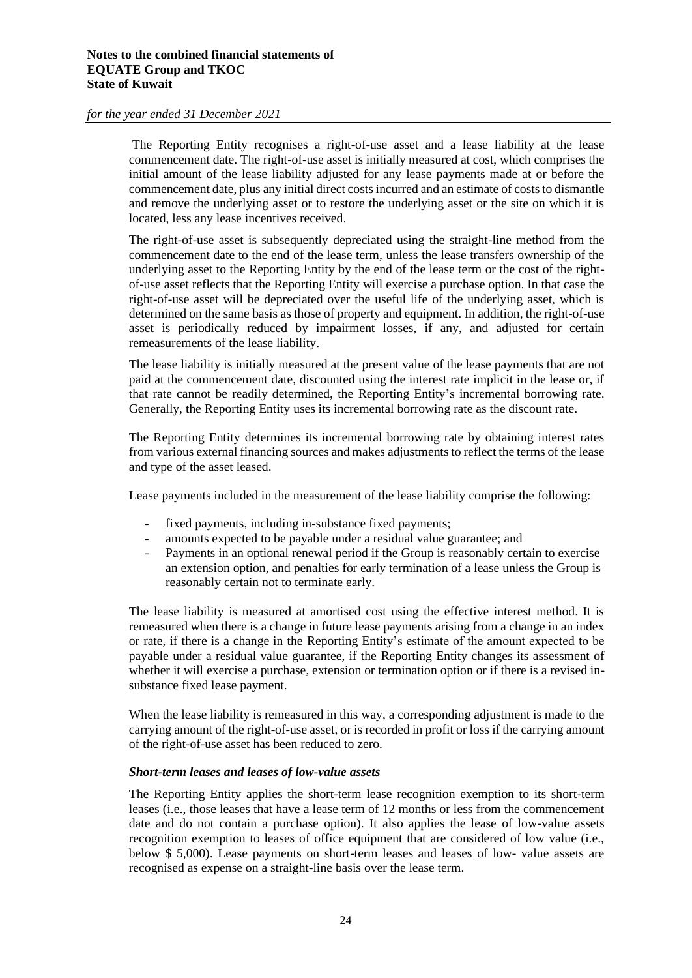The Reporting Entity recognises a right-of-use asset and a lease liability at the lease commencement date. The right-of-use asset is initially measured at cost, which comprises the initial amount of the lease liability adjusted for any lease payments made at or before the commencement date, plus any initial direct costs incurred and an estimate of costs to dismantle and remove the underlying asset or to restore the underlying asset or the site on which it is located, less any lease incentives received.

The right-of-use asset is subsequently depreciated using the straight-line method from the commencement date to the end of the lease term, unless the lease transfers ownership of the underlying asset to the Reporting Entity by the end of the lease term or the cost of the rightof-use asset reflects that the Reporting Entity will exercise a purchase option. In that case the right-of-use asset will be depreciated over the useful life of the underlying asset, which is determined on the same basis as those of property and equipment. In addition, the right-of-use asset is periodically reduced by impairment losses, if any, and adjusted for certain remeasurements of the lease liability.

The lease liability is initially measured at the present value of the lease payments that are not paid at the commencement date, discounted using the interest rate implicit in the lease or, if that rate cannot be readily determined, the Reporting Entity's incremental borrowing rate. Generally, the Reporting Entity uses its incremental borrowing rate as the discount rate.

The Reporting Entity determines its incremental borrowing rate by obtaining interest rates from various external financing sources and makes adjustments to reflect the terms of the lease and type of the asset leased.

Lease payments included in the measurement of the lease liability comprise the following:

- fixed payments, including in-substance fixed payments;
- amounts expected to be payable under a residual value guarantee; and
- Payments in an optional renewal period if the Group is reasonably certain to exercise an extension option, and penalties for early termination of a lease unless the Group is reasonably certain not to terminate early.

The lease liability is measured at amortised cost using the effective interest method. It is remeasured when there is a change in future lease payments arising from a change in an index or rate, if there is a change in the Reporting Entity's estimate of the amount expected to be payable under a residual value guarantee, if the Reporting Entity changes its assessment of whether it will exercise a purchase, extension or termination option or if there is a revised insubstance fixed lease payment.

When the lease liability is remeasured in this way, a corresponding adjustment is made to the carrying amount of the right-of-use asset, or is recorded in profit or loss if the carrying amount of the right-of-use asset has been reduced to zero.

#### *Short-term leases and leases of low-value assets*

The Reporting Entity applies the short-term lease recognition exemption to its short-term leases (i.e., those leases that have a lease term of 12 months or less from the commencement date and do not contain a purchase option). It also applies the lease of low-value assets recognition exemption to leases of office equipment that are considered of low value (i.e., below \$ 5,000). Lease payments on short-term leases and leases of low- value assets are recognised as expense on a straight-line basis over the lease term.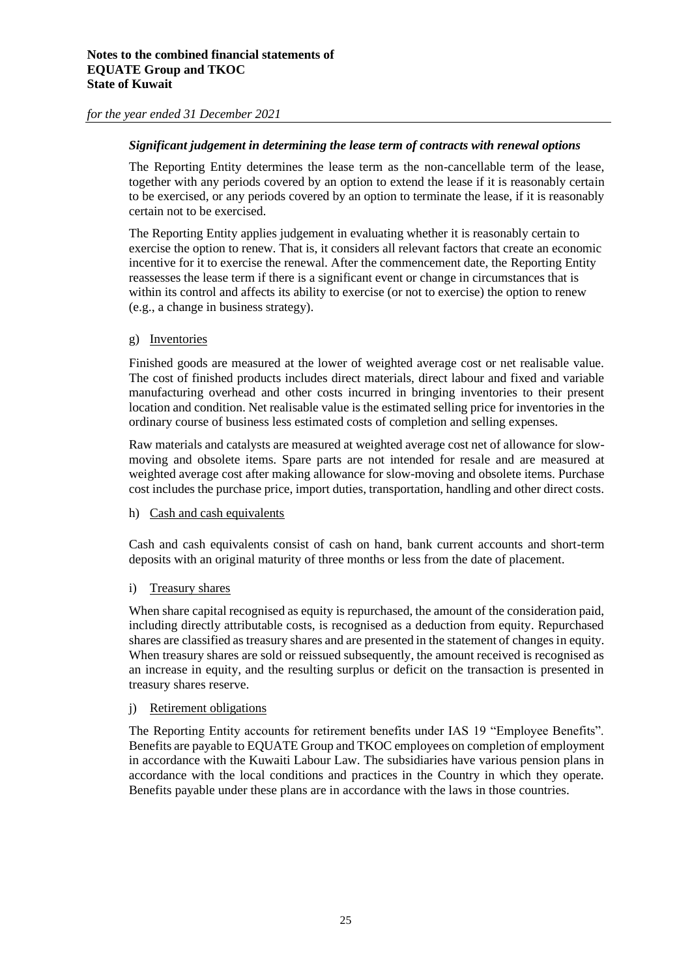#### *Significant judgement in determining the lease term of contracts with renewal options*

The Reporting Entity determines the lease term as the non-cancellable term of the lease, together with any periods covered by an option to extend the lease if it is reasonably certain to be exercised, or any periods covered by an option to terminate the lease, if it is reasonably certain not to be exercised.

The Reporting Entity applies judgement in evaluating whether it is reasonably certain to exercise the option to renew. That is, it considers all relevant factors that create an economic incentive for it to exercise the renewal. After the commencement date, the Reporting Entity reassesses the lease term if there is a significant event or change in circumstances that is within its control and affects its ability to exercise (or not to exercise) the option to renew (e.g., a change in business strategy).

#### g) Inventories

Finished goods are measured at the lower of weighted average cost or net realisable value. The cost of finished products includes direct materials, direct labour and fixed and variable manufacturing overhead and other costs incurred in bringing inventories to their present location and condition. Net realisable value is the estimated selling price for inventories in the ordinary course of business less estimated costs of completion and selling expenses.

Raw materials and catalysts are measured at weighted average cost net of allowance for slowmoving and obsolete items. Spare parts are not intended for resale and are measured at weighted average cost after making allowance for slow-moving and obsolete items. Purchase cost includes the purchase price, import duties, transportation, handling and other direct costs.

#### h) Cash and cash equivalents

Cash and cash equivalents consist of cash on hand, bank current accounts and short-term deposits with an original maturity of three months or less from the date of placement.

#### i) Treasury shares

When share capital recognised as equity is repurchased, the amount of the consideration paid, including directly attributable costs, is recognised as a deduction from equity. Repurchased shares are classified as treasury shares and are presented in the statement of changes in equity. When treasury shares are sold or reissued subsequently, the amount received is recognised as an increase in equity, and the resulting surplus or deficit on the transaction is presented in treasury shares reserve.

#### j) Retirement obligations

The Reporting Entity accounts for retirement benefits under IAS 19 "Employee Benefits". Benefits are payable to EQUATE Group and TKOC employees on completion of employment in accordance with the Kuwaiti Labour Law. The subsidiaries have various pension plans in accordance with the local conditions and practices in the Country in which they operate. Benefits payable under these plans are in accordance with the laws in those countries.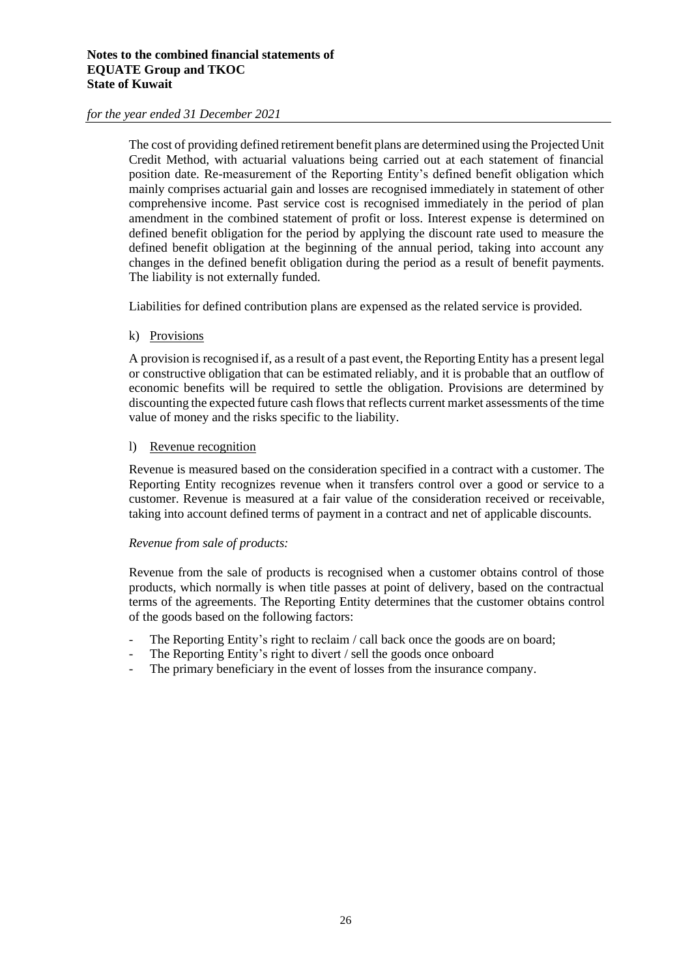The cost of providing defined retirement benefit plans are determined using the Projected Unit Credit Method, with actuarial valuations being carried out at each statement of financial position date. Re-measurement of the Reporting Entity's defined benefit obligation which mainly comprises actuarial gain and losses are recognised immediately in statement of other comprehensive income. Past service cost is recognised immediately in the period of plan amendment in the combined statement of profit or loss. Interest expense is determined on defined benefit obligation for the period by applying the discount rate used to measure the defined benefit obligation at the beginning of the annual period, taking into account any changes in the defined benefit obligation during the period as a result of benefit payments. The liability is not externally funded.

Liabilities for defined contribution plans are expensed as the related service is provided.

#### k) Provisions

A provision is recognised if, as a result of a past event, the Reporting Entity has a present legal or constructive obligation that can be estimated reliably, and it is probable that an outflow of economic benefits will be required to settle the obligation. Provisions are determined by discounting the expected future cash flows that reflects current market assessments of the time value of money and the risks specific to the liability.

#### l) Revenue recognition

Revenue is measured based on the consideration specified in a contract with a customer. The Reporting Entity recognizes revenue when it transfers control over a good or service to a customer. Revenue is measured at a fair value of the consideration received or receivable, taking into account defined terms of payment in a contract and net of applicable discounts.

#### *Revenue from sale of products:*

Revenue from the sale of products is recognised when a customer obtains control of those products, which normally is when title passes at point of delivery, based on the contractual terms of the agreements. The Reporting Entity determines that the customer obtains control of the goods based on the following factors:

- The Reporting Entity's right to reclaim / call back once the goods are on board;
- The Reporting Entity's right to divert / sell the goods once onboard
- The primary beneficiary in the event of losses from the insurance company.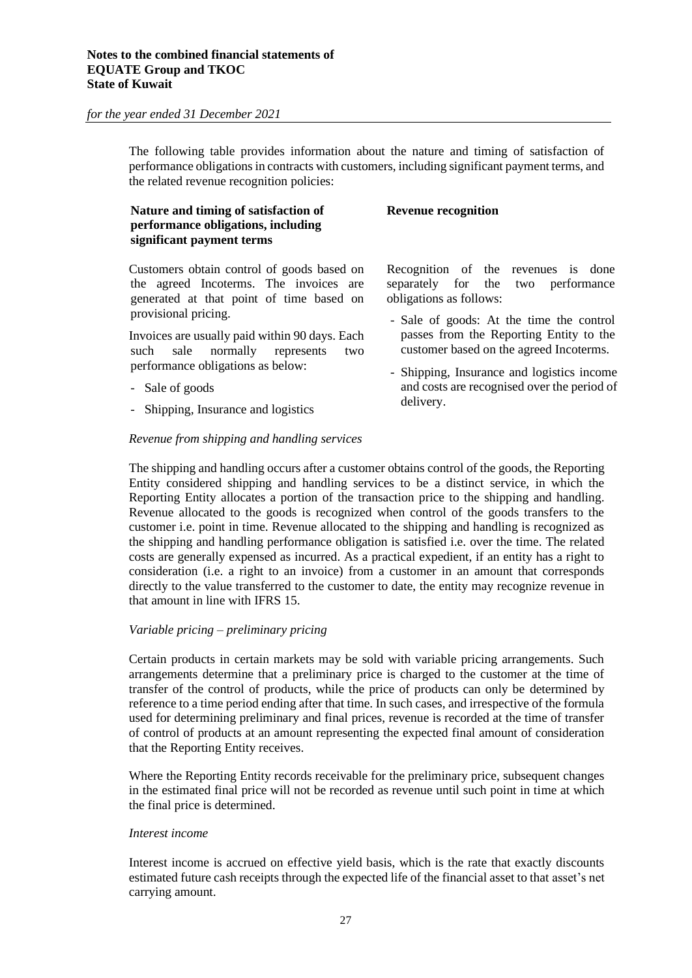The following table provides information about the nature and timing of satisfaction of performance obligations in contracts with customers, including significant payment terms, and the related revenue recognition policies:

#### **Nature and timing of satisfaction of performance obligations, including significant payment terms**

Customers obtain control of goods based on the agreed Incoterms. The invoices are generated at that point of time based on provisional pricing.

Invoices are usually paid within 90 days. Each such sale normally represents two performance obligations as below:

- Sale of goods
- Shipping, Insurance and logistics

#### *Revenue from shipping and handling services*

**Revenue recognition** 

Recognition of the revenues is done separately for the two performance obligations as follows:

- Sale of goods: At the time the control passes from the Reporting Entity to the customer based on the agreed Incoterms.
- Shipping, Insurance and logistics income and costs are recognised over the period of delivery.

The shipping and handling occurs after a customer obtains control of the goods, the Reporting Entity considered shipping and handling services to be a distinct service, in which the Reporting Entity allocates a portion of the transaction price to the shipping and handling. Revenue allocated to the goods is recognized when control of the goods transfers to the customer i.e. point in time. Revenue allocated to the shipping and handling is recognized as the shipping and handling performance obligation is satisfied i.e. over the time. The related costs are generally expensed as incurred. As a practical expedient, if an entity has a right to consideration (i.e. a right to an invoice) from a customer in an amount that corresponds directly to the value transferred to the customer to date, the entity may recognize revenue in that amount in line with IFRS 15.

#### *Variable pricing – preliminary pricing*

Certain products in certain markets may be sold with variable pricing arrangements. Such arrangements determine that a preliminary price is charged to the customer at the time of transfer of the control of products, while the price of products can only be determined by reference to a time period ending after that time. In such cases, and irrespective of the formula used for determining preliminary and final prices, revenue is recorded at the time of transfer of control of products at an amount representing the expected final amount of consideration that the Reporting Entity receives.

Where the Reporting Entity records receivable for the preliminary price, subsequent changes in the estimated final price will not be recorded as revenue until such point in time at which the final price is determined.

#### *Interest income*

Interest income is accrued on effective yield basis, which is the rate that exactly discounts estimated future cash receipts through the expected life of the financial asset to that asset's net carrying amount.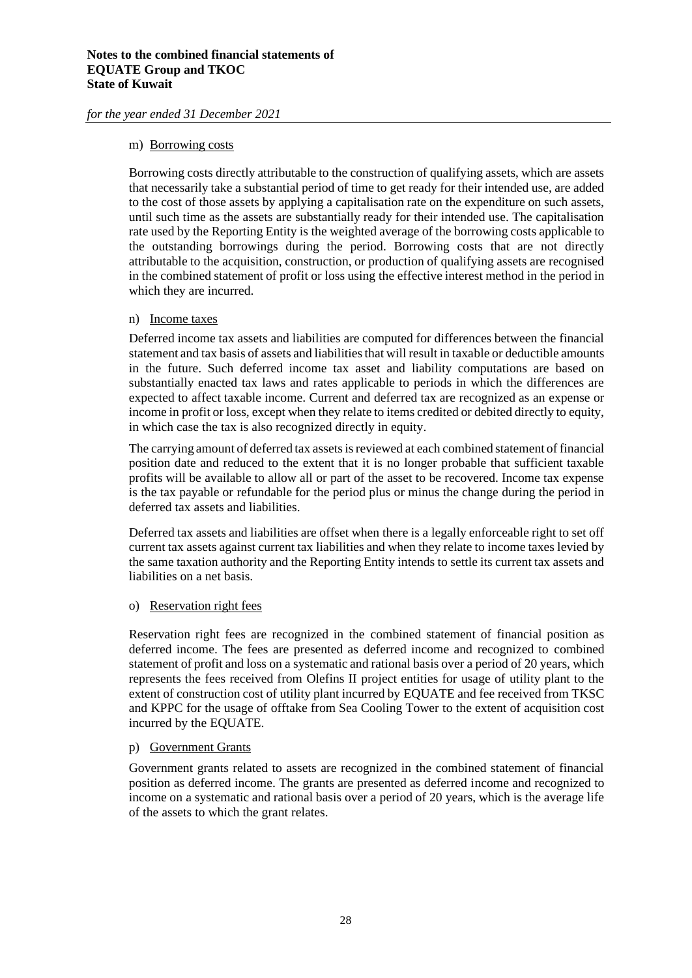#### m) Borrowing costs

Borrowing costs directly attributable to the construction of qualifying assets, which are assets that necessarily take a substantial period of time to get ready for their intended use, are added to the cost of those assets by applying a capitalisation rate on the expenditure on such assets, until such time as the assets are substantially ready for their intended use. The capitalisation rate used by the Reporting Entity is the weighted average of the borrowing costs applicable to the outstanding borrowings during the period. Borrowing costs that are not directly attributable to the acquisition, construction, or production of qualifying assets are recognised in the combined statement of profit or loss using the effective interest method in the period in which they are incurred.

#### n) Income taxes

Deferred income tax assets and liabilities are computed for differences between the financial statement and tax basis of assets and liabilities that will result in taxable or deductible amounts in the future. Such deferred income tax asset and liability computations are based on substantially enacted tax laws and rates applicable to periods in which the differences are expected to affect taxable income. Current and deferred tax are recognized as an expense or income in profit or loss, except when they relate to items credited or debited directly to equity, in which case the tax is also recognized directly in equity.

The carrying amount of deferred tax assets is reviewed at each combined statement of financial position date and reduced to the extent that it is no longer probable that sufficient taxable profits will be available to allow all or part of the asset to be recovered. Income tax expense is the tax payable or refundable for the period plus or minus the change during the period in deferred tax assets and liabilities.

Deferred tax assets and liabilities are offset when there is a legally enforceable right to set off current tax assets against current tax liabilities and when they relate to income taxes levied by the same taxation authority and the Reporting Entity intends to settle its current tax assets and liabilities on a net basis.

#### o) Reservation right fees

Reservation right fees are recognized in the combined statement of financial position as deferred income. The fees are presented as deferred income and recognized to combined statement of profit and loss on a systematic and rational basis over a period of 20 years, which represents the fees received from Olefins II project entities for usage of utility plant to the extent of construction cost of utility plant incurred by EQUATE and fee received from TKSC and KPPC for the usage of offtake from Sea Cooling Tower to the extent of acquisition cost incurred by the EQUATE.

#### p) Government Grants

Government grants related to assets are recognized in the combined statement of financial position as deferred income. The grants are presented as deferred income and recognized to income on a systematic and rational basis over a period of 20 years, which is the average life of the assets to which the grant relates.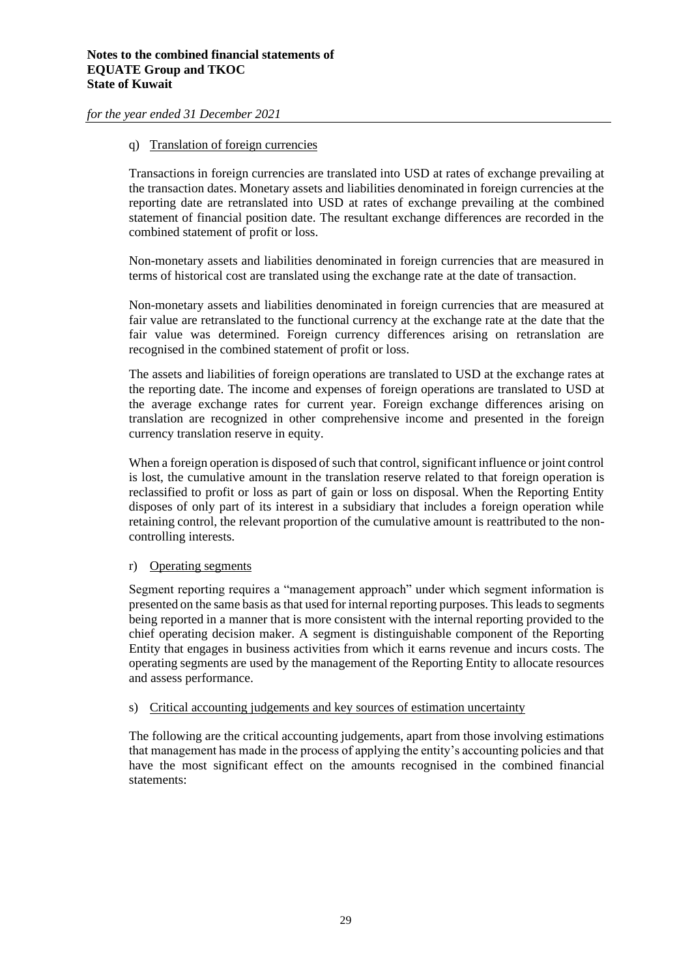#### q) Translation of foreign currencies

Transactions in foreign currencies are translated into USD at rates of exchange prevailing at the transaction dates. Monetary assets and liabilities denominated in foreign currencies at the reporting date are retranslated into USD at rates of exchange prevailing at the combined statement of financial position date. The resultant exchange differences are recorded in the combined statement of profit or loss.

Non-monetary assets and liabilities denominated in foreign currencies that are measured in terms of historical cost are translated using the exchange rate at the date of transaction.

Non-monetary assets and liabilities denominated in foreign currencies that are measured at fair value are retranslated to the functional currency at the exchange rate at the date that the fair value was determined. Foreign currency differences arising on retranslation are recognised in the combined statement of profit or loss.

The assets and liabilities of foreign operations are translated to USD at the exchange rates at the reporting date. The income and expenses of foreign operations are translated to USD at the average exchange rates for current year. Foreign exchange differences arising on translation are recognized in other comprehensive income and presented in the foreign currency translation reserve in equity.

When a foreign operation is disposed of such that control, significant influence or joint control is lost, the cumulative amount in the translation reserve related to that foreign operation is reclassified to profit or loss as part of gain or loss on disposal. When the Reporting Entity disposes of only part of its interest in a subsidiary that includes a foreign operation while retaining control, the relevant proportion of the cumulative amount is reattributed to the noncontrolling interests.

#### r) Operating segments

Segment reporting requires a "management approach" under which segment information is presented on the same basis as that used for internal reporting purposes. This leads to segments being reported in a manner that is more consistent with the internal reporting provided to the chief operating decision maker. A segment is distinguishable component of the Reporting Entity that engages in business activities from which it earns revenue and incurs costs. The operating segments are used by the management of the Reporting Entity to allocate resources and assess performance.

#### s) Critical accounting judgements and key sources of estimation uncertainty

The following are the critical accounting judgements, apart from those involving estimations that management has made in the process of applying the entity's accounting policies and that have the most significant effect on the amounts recognised in the combined financial statements: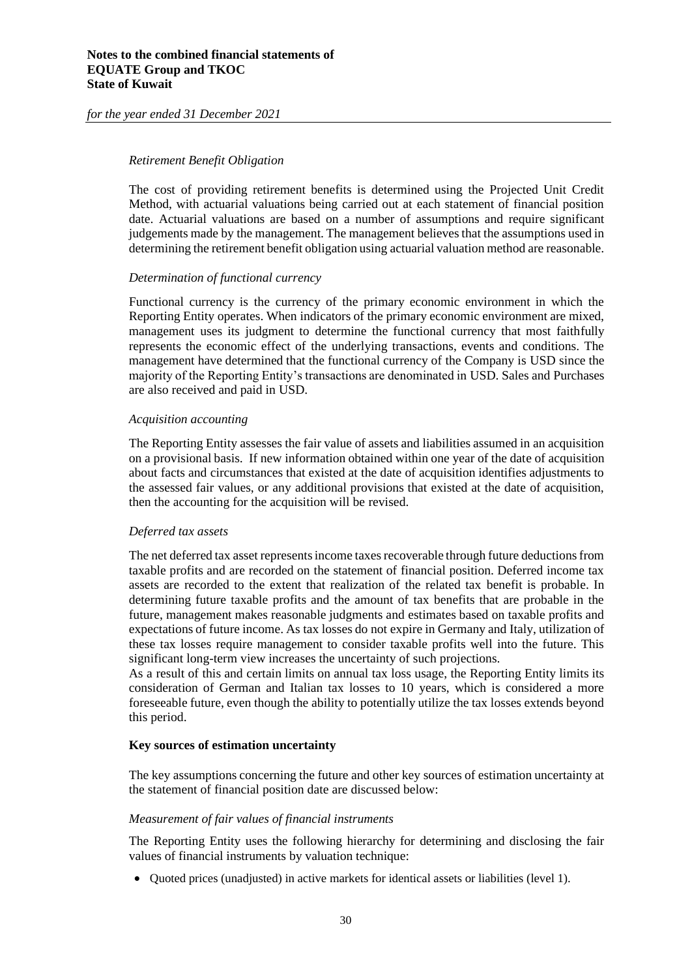#### *Retirement Benefit Obligation*

The cost of providing retirement benefits is determined using the Projected Unit Credit Method, with actuarial valuations being carried out at each statement of financial position date. Actuarial valuations are based on a number of assumptions and require significant judgements made by the management. The management believes that the assumptions used in determining the retirement benefit obligation using actuarial valuation method are reasonable.

#### *Determination of functional currency*

Functional currency is the currency of the primary economic environment in which the Reporting Entity operates. When indicators of the primary economic environment are mixed, management uses its judgment to determine the functional currency that most faithfully represents the economic effect of the underlying transactions, events and conditions. The management have determined that the functional currency of the Company is USD since the majority of the Reporting Entity's transactions are denominated in USD. Sales and Purchases are also received and paid in USD.

#### *Acquisition accounting*

The Reporting Entity assesses the fair value of assets and liabilities assumed in an acquisition on a provisional basis. If new information obtained within one year of the date of acquisition about facts and circumstances that existed at the date of acquisition identifies adjustments to the assessed fair values, or any additional provisions that existed at the date of acquisition, then the accounting for the acquisition will be revised.

#### *Deferred tax assets*

The net deferred tax asset represents income taxes recoverable through future deductions from taxable profits and are recorded on the statement of financial position. Deferred income tax assets are recorded to the extent that realization of the related tax benefit is probable. In determining future taxable profits and the amount of tax benefits that are probable in the future, management makes reasonable judgments and estimates based on taxable profits and expectations of future income. As tax losses do not expire in Germany and Italy, utilization of these tax losses require management to consider taxable profits well into the future. This significant long-term view increases the uncertainty of such projections.

As a result of this and certain limits on annual tax loss usage, the Reporting Entity limits its consideration of German and Italian tax losses to 10 years, which is considered a more foreseeable future, even though the ability to potentially utilize the tax losses extends beyond this period.

#### **Key sources of estimation uncertainty**

The key assumptions concerning the future and other key sources of estimation uncertainty at the statement of financial position date are discussed below:

#### *Measurement of fair values of financial instruments*

The Reporting Entity uses the following hierarchy for determining and disclosing the fair values of financial instruments by valuation technique:

• Quoted prices (unadjusted) in active markets for identical assets or liabilities (level 1).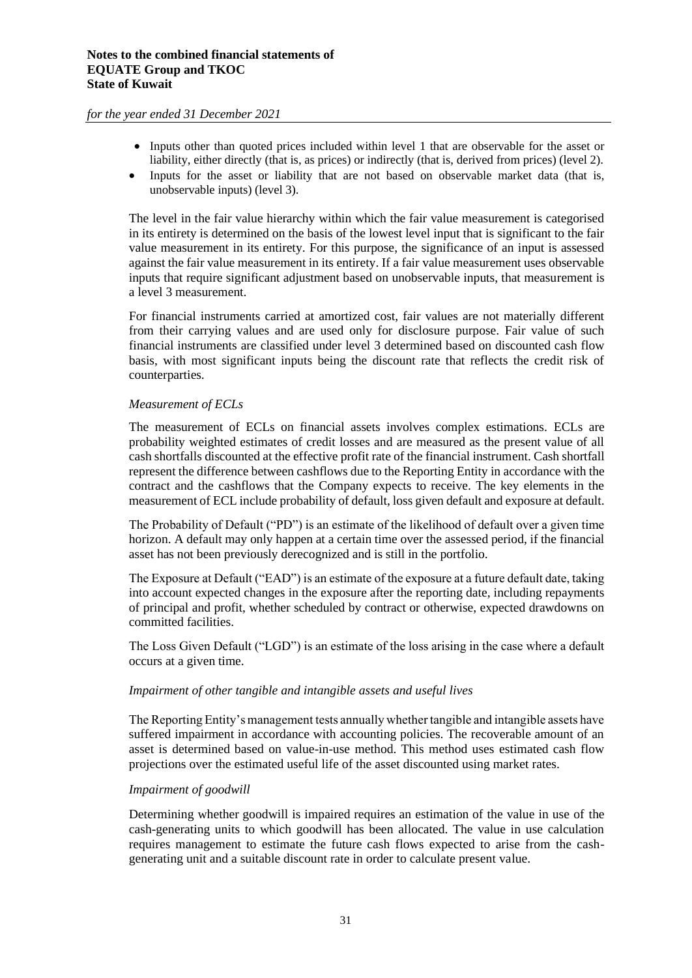- Inputs other than quoted prices included within level 1 that are observable for the asset or liability, either directly (that is, as prices) or indirectly (that is, derived from prices) (level 2).
- Inputs for the asset or liability that are not based on observable market data (that is, unobservable inputs) (level 3).

The level in the fair value hierarchy within which the fair value measurement is categorised in its entirety is determined on the basis of the lowest level input that is significant to the fair value measurement in its entirety. For this purpose, the significance of an input is assessed against the fair value measurement in its entirety. If a fair value measurement uses observable inputs that require significant adjustment based on unobservable inputs, that measurement is a level 3 measurement.

For financial instruments carried at amortized cost, fair values are not materially different from their carrying values and are used only for disclosure purpose. Fair value of such financial instruments are classified under level 3 determined based on discounted cash flow basis, with most significant inputs being the discount rate that reflects the credit risk of counterparties.

#### *Measurement of ECLs*

The measurement of ECLs on financial assets involves complex estimations. ECLs are probability weighted estimates of credit losses and are measured as the present value of all cash shortfalls discounted at the effective profit rate of the financial instrument. Cash shortfall represent the difference between cashflows due to the Reporting Entity in accordance with the contract and the cashflows that the Company expects to receive. The key elements in the measurement of ECL include probability of default, loss given default and exposure at default.

The Probability of Default ("PD") is an estimate of the likelihood of default over a given time horizon. A default may only happen at a certain time over the assessed period, if the financial asset has not been previously derecognized and is still in the portfolio.

The Exposure at Default ("EAD") is an estimate of the exposure at a future default date, taking into account expected changes in the exposure after the reporting date, including repayments of principal and profit, whether scheduled by contract or otherwise, expected drawdowns on committed facilities.

The Loss Given Default ("LGD") is an estimate of the loss arising in the case where a default occurs at a given time.

#### *Impairment of other tangible and intangible assets and useful lives*

The Reporting Entity's management tests annually whether tangible and intangible assets have suffered impairment in accordance with accounting policies. The recoverable amount of an asset is determined based on value-in-use method. This method uses estimated cash flow projections over the estimated useful life of the asset discounted using market rates.

#### *Impairment of goodwill*

Determining whether goodwill is impaired requires an estimation of the value in use of the cash-generating units to which goodwill has been allocated. The value in use calculation requires management to estimate the future cash flows expected to arise from the cashgenerating unit and a suitable discount rate in order to calculate present value.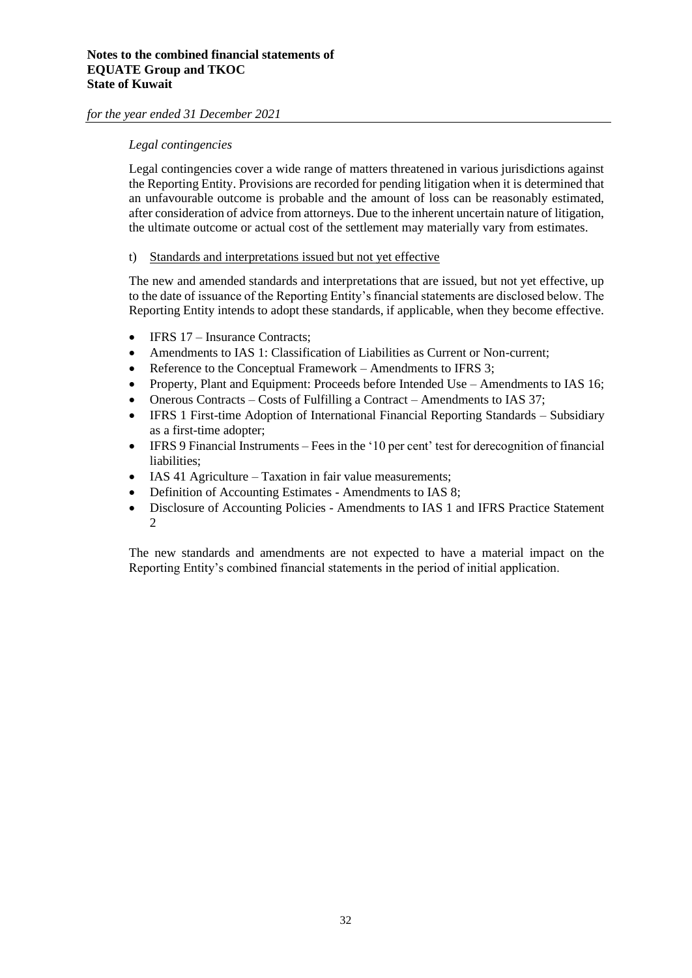#### *Legal contingencies*

Legal contingencies cover a wide range of matters threatened in various jurisdictions against the Reporting Entity. Provisions are recorded for pending litigation when it is determined that an unfavourable outcome is probable and the amount of loss can be reasonably estimated, after consideration of advice from attorneys. Due to the inherent uncertain nature of litigation, the ultimate outcome or actual cost of the settlement may materially vary from estimates.

#### t) Standards and interpretations issued but not yet effective

The new and amended standards and interpretations that are issued, but not yet effective, up to the date of issuance of the Reporting Entity's financial statements are disclosed below. The Reporting Entity intends to adopt these standards, if applicable, when they become effective.

- IFRS 17 Insurance Contracts;
- Amendments to IAS 1: Classification of Liabilities as Current or Non-current;
- Reference to the Conceptual Framework Amendments to IFRS 3;
- Property, Plant and Equipment: Proceeds before Intended Use Amendments to IAS 16;
- Onerous Contracts Costs of Fulfilling a Contract Amendments to IAS 37;
- IFRS 1 First-time Adoption of International Financial Reporting Standards Subsidiary as a first-time adopter;
- IFRS 9 Financial Instruments Fees in the '10 per cent' test for derecognition of financial liabilities;
- IAS 41 Agriculture Taxation in fair value measurements;
- Definition of Accounting Estimates Amendments to IAS 8;
- Disclosure of Accounting Policies Amendments to IAS 1 and IFRS Practice Statement 2

The new standards and amendments are not expected to have a material impact on the Reporting Entity's combined financial statements in the period of initial application.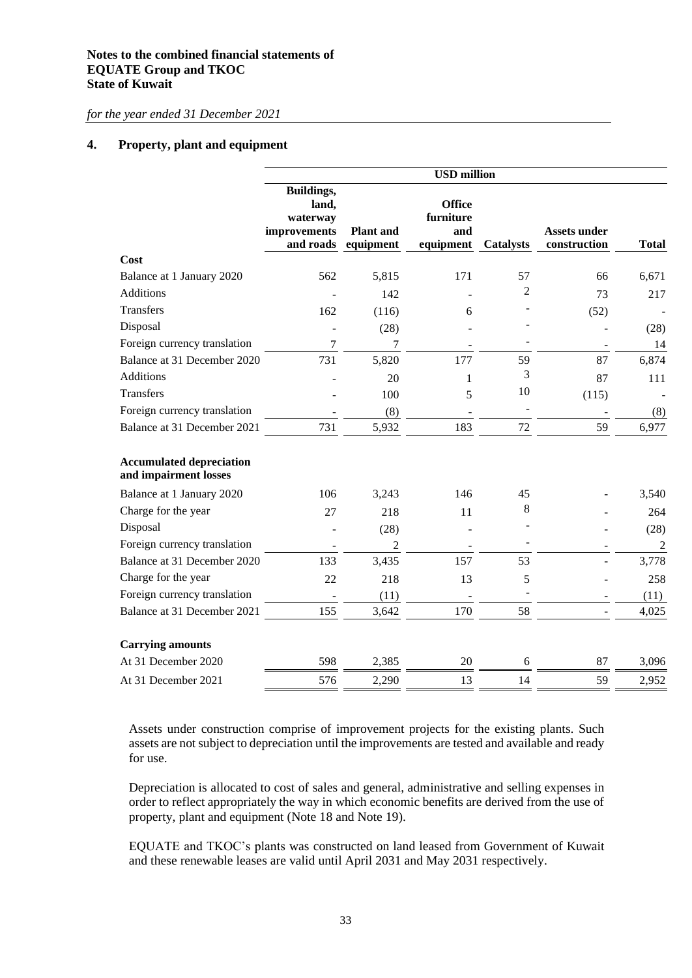#### **4. Property, plant and equipment**

|                                                          | <b>USD</b> million                                                  |                               |                                                |                  |                                     |                |  |
|----------------------------------------------------------|---------------------------------------------------------------------|-------------------------------|------------------------------------------------|------------------|-------------------------------------|----------------|--|
|                                                          | <b>Buildings,</b><br>land,<br>waterway<br>improvements<br>and roads | <b>Plant</b> and<br>equipment | <b>Office</b><br>furniture<br>and<br>equipment | <b>Catalysts</b> | <b>Assets under</b><br>construction | <b>Total</b>   |  |
| Cost                                                     |                                                                     |                               |                                                |                  |                                     |                |  |
| Balance at 1 January 2020                                | 562                                                                 | 5,815                         | 171                                            | 57               | 66                                  | 6,671          |  |
| <b>Additions</b>                                         |                                                                     | 142                           |                                                | $\overline{c}$   | 73                                  | 217            |  |
| Transfers                                                | 162                                                                 | (116)                         | 6                                              |                  | (52)                                |                |  |
| Disposal                                                 |                                                                     | (28)                          |                                                |                  |                                     | (28)           |  |
| Foreign currency translation                             | 7                                                                   | 7                             |                                                |                  |                                     | 14             |  |
| Balance at 31 December 2020                              | 731                                                                 | 5,820                         | 177                                            | 59               | 87                                  | 6,874          |  |
| Additions                                                |                                                                     | 20                            | 1                                              | 3                | 87                                  | 111            |  |
| <b>Transfers</b>                                         |                                                                     | 100                           | 5                                              | 10               | (115)                               |                |  |
| Foreign currency translation                             |                                                                     | (8)                           |                                                |                  |                                     | (8)            |  |
| Balance at 31 December 2021                              | 731                                                                 | 5,932                         | 183                                            | 72               | 59                                  | 6,977          |  |
| <b>Accumulated depreciation</b><br>and impairment losses |                                                                     |                               |                                                |                  |                                     |                |  |
| Balance at 1 January 2020                                | 106                                                                 | 3,243                         | 146                                            | 45               |                                     | 3,540          |  |
| Charge for the year                                      | 27                                                                  | 218                           | 11                                             | 8                |                                     | 264            |  |
| Disposal                                                 |                                                                     | (28)                          |                                                |                  |                                     | (28)           |  |
| Foreign currency translation                             |                                                                     | $\overline{c}$                |                                                |                  |                                     | $\overline{c}$ |  |
| Balance at 31 December 2020                              | 133                                                                 | 3,435                         | 157                                            | 53               |                                     | 3,778          |  |
| Charge for the year                                      | 22                                                                  | 218                           | 13                                             | 5                |                                     | 258            |  |
| Foreign currency translation                             |                                                                     | (11)                          |                                                |                  |                                     | (11)           |  |
| Balance at 31 December 2021                              | 155                                                                 | 3,642                         | 170                                            | 58               |                                     | 4,025          |  |
| <b>Carrying amounts</b>                                  |                                                                     |                               |                                                |                  |                                     |                |  |
| At 31 December 2020                                      | 598                                                                 | 2,385                         | 20                                             | 6                | 87                                  | 3,096          |  |
| At 31 December 2021                                      | 576                                                                 | 2,290                         | 13                                             | 14               | 59                                  | 2,952          |  |

Assets under construction comprise of improvement projects for the existing plants. Such assets are not subject to depreciation until the improvements are tested and available and ready for use.

Depreciation is allocated to cost of sales and general, administrative and selling expenses in order to reflect appropriately the way in which economic benefits are derived from the use of property, plant and equipment (Note 18 and Note 19).

EQUATE and TKOC's plants was constructed on land leased from Government of Kuwait and these renewable leases are valid until April 2031 and May 2031 respectively.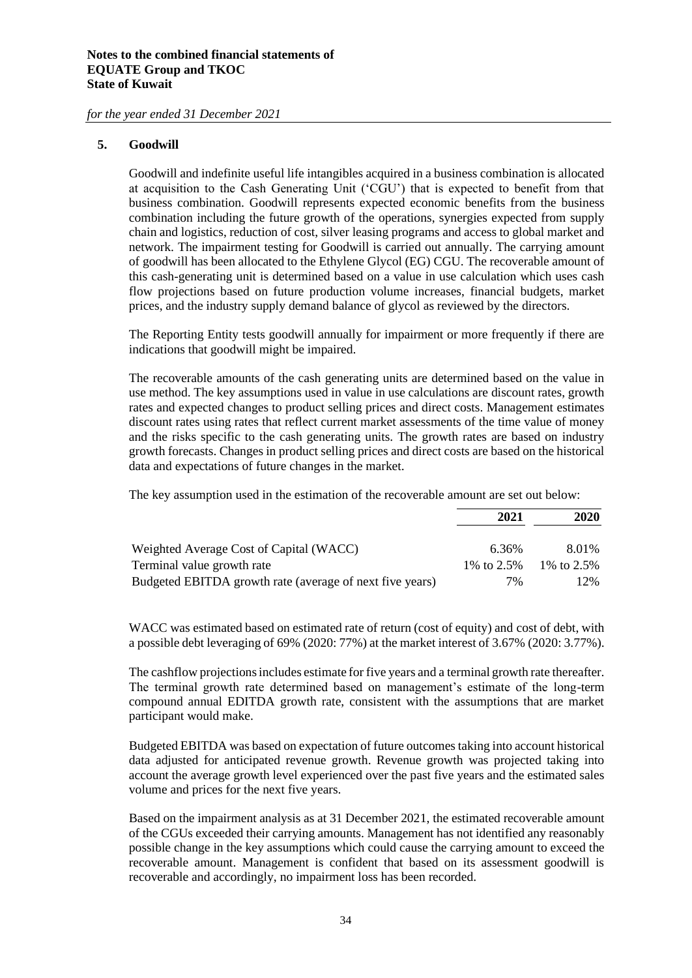#### **5. Goodwill**

Goodwill and indefinite useful life intangibles acquired in a business combination is allocated at acquisition to the Cash Generating Unit ('CGU') that is expected to benefit from that business combination. Goodwill represents expected economic benefits from the business combination including the future growth of the operations, synergies expected from supply chain and logistics, reduction of cost, silver leasing programs and access to global market and network. The impairment testing for Goodwill is carried out annually. The carrying amount of goodwill has been allocated to the Ethylene Glycol (EG) CGU. The recoverable amount of this cash-generating unit is determined based on a value in use calculation which uses cash flow projections based on future production volume increases, financial budgets, market prices, and the industry supply demand balance of glycol as reviewed by the directors.

The Reporting Entity tests goodwill annually for impairment or more frequently if there are indications that goodwill might be impaired.

The recoverable amounts of the cash generating units are determined based on the value in use method. The key assumptions used in value in use calculations are discount rates, growth rates and expected changes to product selling prices and direct costs. Management estimates discount rates using rates that reflect current market assessments of the time value of money and the risks specific to the cash generating units. The growth rates are based on industry growth forecasts. Changes in product selling prices and direct costs are based on the historical data and expectations of future changes in the market.

The key assumption used in the estimation of the recoverable amount are set out below:

|                                                          | 2021         | 2020         |
|----------------------------------------------------------|--------------|--------------|
| Weighted Average Cost of Capital (WACC)                  | 6.36%        | 8.01%        |
| Terminal value growth rate                               | 1\% to 2.5\% | 1\% to 2.5\% |
| Budgeted EBITDA growth rate (average of next five years) | 7%           | 12%          |

WACC was estimated based on estimated rate of return (cost of equity) and cost of debt, with a possible debt leveraging of 69% (2020: 77%) at the market interest of 3.67% (2020: 3.77%).

The cashflow projections includes estimate for five years and a terminal growth rate thereafter. The terminal growth rate determined based on management's estimate of the long-term compound annual EDITDA growth rate, consistent with the assumptions that are market participant would make.

Budgeted EBITDA was based on expectation of future outcomes taking into account historical data adjusted for anticipated revenue growth. Revenue growth was projected taking into account the average growth level experienced over the past five years and the estimated sales volume and prices for the next five years.

Based on the impairment analysis as at 31 December 2021, the estimated recoverable amount of the CGUs exceeded their carrying amounts. Management has not identified any reasonably possible change in the key assumptions which could cause the carrying amount to exceed the recoverable amount. Management is confident that based on its assessment goodwill is recoverable and accordingly, no impairment loss has been recorded.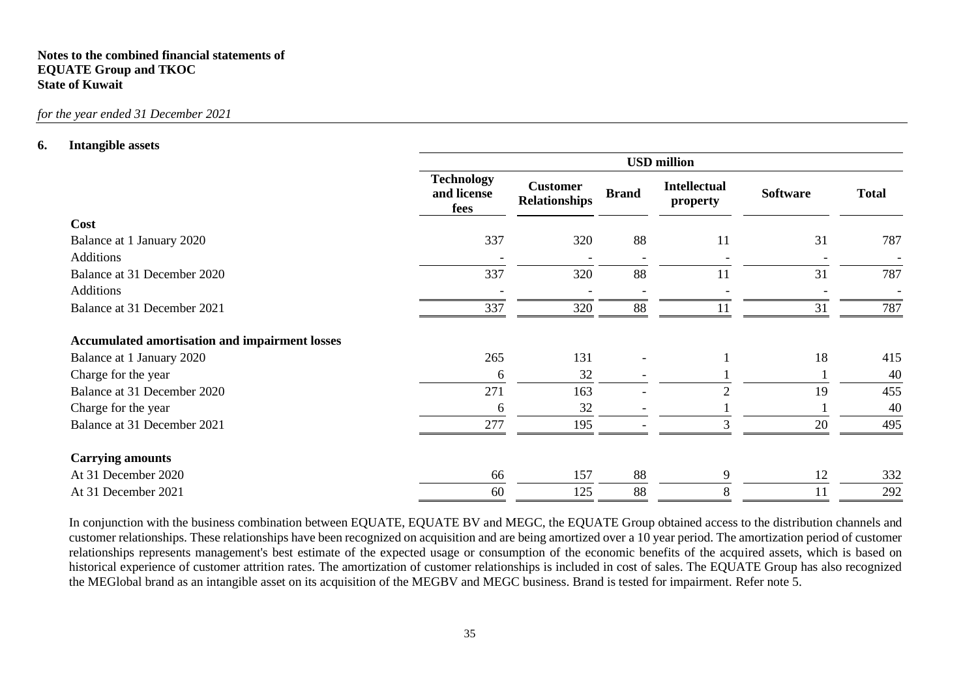#### **Notes to the combined financial statements of EQUATE Group and TKOC State of Kuwait**

#### *for the year ended 31 December 2021*

#### **6. Intangible assets**

|                                                       | <b>USD</b> million                       |                                         |                          |                                 |                 |              |  |
|-------------------------------------------------------|------------------------------------------|-----------------------------------------|--------------------------|---------------------------------|-----------------|--------------|--|
|                                                       | <b>Technology</b><br>and license<br>fees | <b>Customer</b><br><b>Relationships</b> | <b>Brand</b>             | <b>Intellectual</b><br>property | <b>Software</b> | <b>Total</b> |  |
| Cost                                                  |                                          |                                         |                          |                                 |                 |              |  |
| Balance at 1 January 2020                             | 337                                      | 320                                     | 88                       | 11                              | 31              | 787          |  |
| <b>Additions</b>                                      |                                          |                                         | $\overline{\phantom{a}}$ |                                 |                 |              |  |
| Balance at 31 December 2020                           | 337                                      | 320                                     | 88                       | 11                              | 31              | 787          |  |
| <b>Additions</b>                                      |                                          |                                         |                          |                                 |                 |              |  |
| Balance at 31 December 2021                           | 337                                      | 320                                     | 88                       | 11                              | 31              | 787          |  |
| <b>Accumulated amortisation and impairment losses</b> |                                          |                                         |                          |                                 |                 |              |  |
| Balance at 1 January 2020                             | 265                                      | 131                                     |                          |                                 | 18              | 415          |  |
| Charge for the year                                   | 6                                        | 32                                      |                          |                                 |                 | 40           |  |
| Balance at 31 December 2020                           | 271                                      | 163                                     |                          |                                 | 19              | 455          |  |
| Charge for the year                                   | 6                                        | 32                                      |                          |                                 |                 | 40           |  |
| Balance at 31 December 2021                           | 277                                      | 195                                     |                          |                                 | 20              | 495          |  |
| <b>Carrying amounts</b>                               |                                          |                                         |                          |                                 |                 |              |  |
| At 31 December 2020                                   | 66                                       | 157                                     | 88                       | 9                               | 12              | 332          |  |
| At 31 December 2021                                   | 60                                       | 125                                     | 88                       | 8                               | 11              | 292          |  |

In conjunction with the business combination between EQUATE, EQUATE BV and MEGC, the EQUATE Group obtained access to the distribution channels and customer relationships. These relationships have been recognized on acquisition and are being amortized over a 10 year period. The amortization period of customer relationships represents management's best estimate of the expected usage or consumption of the economic benefits of the acquired assets, which is based on historical experience of customer attrition rates. The amortization of customer relationships is included in cost of sales. The EQUATE Group has also recognized the MEGlobal brand as an intangible asset on its acquisition of the MEGBV and MEGC business. Brand is tested for impairment. Refer note 5.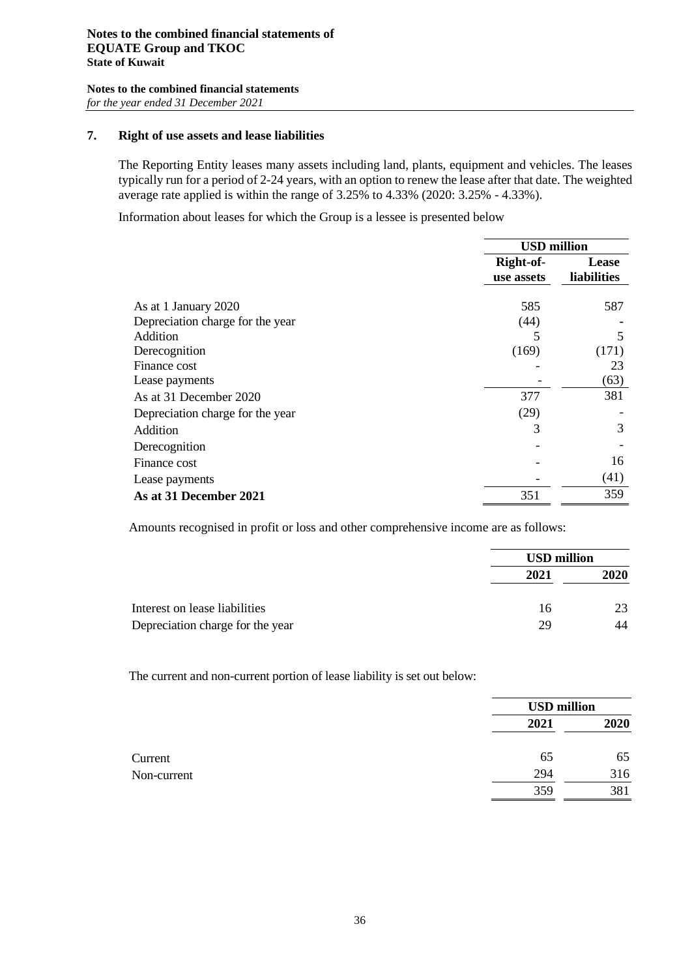#### **7. Right of use assets and lease liabilities**

The Reporting Entity leases many assets including land, plants, equipment and vehicles. The leases typically run for a period of 2-24 years, with an option to renew the lease after that date. The weighted average rate applied is within the range of 3.25% to 4.33% (2020: 3.25% - 4.33%).

Information about leases for which the Group is a lessee is presented below

|                                  | <b>USD</b> million      |                                    |  |
|----------------------------------|-------------------------|------------------------------------|--|
|                                  | Right-of-<br>use assets | <b>Lease</b><br><b>liabilities</b> |  |
| As at 1 January 2020             | 585                     | 587                                |  |
| Depreciation charge for the year | (44)                    |                                    |  |
| Addition                         |                         | 5                                  |  |
| Derecognition                    | (169)                   | (171)                              |  |
| Finance cost                     |                         | 23                                 |  |
| Lease payments                   |                         | (63)                               |  |
| As at 31 December 2020           | 377                     | 381                                |  |
| Depreciation charge for the year | (29)                    |                                    |  |
| Addition                         | 3                       | 3                                  |  |
| Derecognition                    |                         |                                    |  |
| Finance cost                     |                         | 16                                 |  |
| Lease payments                   |                         | (41)                               |  |
| As at 31 December 2021           | 351                     | 359                                |  |

Amounts recognised in profit or loss and other comprehensive income are as follows:

|                                  |      | <b>USD million</b> |
|----------------------------------|------|--------------------|
|                                  | 2021 | 2020               |
| Interest on lease liabilities    | 16   | 23                 |
| Depreciation charge for the year | 29   | 44                 |

The current and non-current portion of lease liability is set out below:

|             |      | <b>USD</b> million |  |
|-------------|------|--------------------|--|
|             | 2021 | 2020               |  |
| Current     | 65   | 65                 |  |
| Non-current | 294  | 316                |  |
|             | 359  | 381                |  |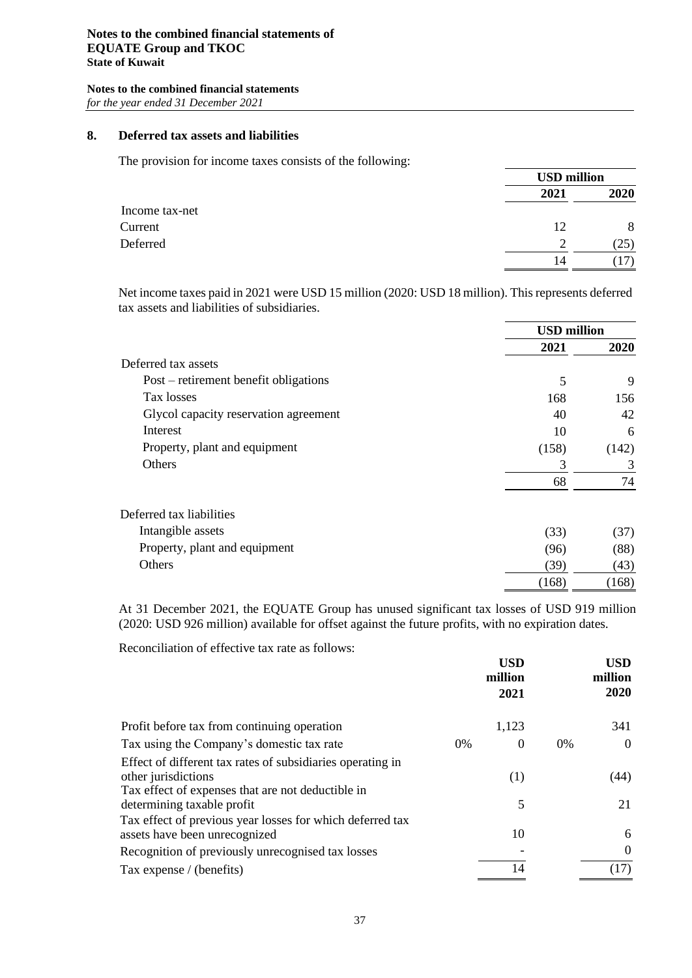## **8. Deferred tax assets and liabilities**

The provision for income taxes consists of the following:

|                | <b>USD million</b> |      |
|----------------|--------------------|------|
|                | 2021               | 2020 |
| Income tax-net |                    |      |
| Current        | 12                 | 8    |
| Deferred       | $\gamma$           | (25) |
|                | 14                 |      |

Net income taxes paid in 2021 were USD 15 million (2020: USD 18 million). Thisrepresents deferred tax assets and liabilities of subsidiaries.

|                                       | <b>USD</b> million |             |
|---------------------------------------|--------------------|-------------|
|                                       | 2021               | <b>2020</b> |
| Deferred tax assets                   |                    |             |
| Post – retirement benefit obligations | 5                  | 9           |
| Tax losses                            | 168                | 156         |
| Glycol capacity reservation agreement | 40                 | 42          |
| Interest                              | 10                 | 6           |
| Property, plant and equipment         | (158)              | (142)       |
| Others                                | 3                  | 3           |
|                                       | 68                 | 74          |
| Deferred tax liabilities              |                    |             |
| Intangible assets                     | (33)               | (37)        |
| Property, plant and equipment         | (96)               | (88)        |
| Others                                | (39)               | (43)        |
|                                       | (168)              | (168)       |

At 31 December 2021, the EQUATE Group has unused significant tax losses of USD 919 million (2020: USD 926 million) available for offset against the future profits, with no expiration dates.

Reconciliation of effective tax rate as follows:

|                                                                                                                                        | <b>USD</b><br>million<br>2021 |       | <b>USD</b><br>million<br>2020 |
|----------------------------------------------------------------------------------------------------------------------------------------|-------------------------------|-------|-------------------------------|
| Profit before tax from continuing operation                                                                                            | 1,123                         |       | 341                           |
| Tax using the Company's domestic tax rate<br>$0\%$                                                                                     | $\theta$                      | $0\%$ | $\theta$                      |
| Effect of different tax rates of subsidiaries operating in<br>other jurisdictions<br>Tax effect of expenses that are not deductible in | (1)                           |       | (44)                          |
| determining taxable profit                                                                                                             | 5                             |       | 21                            |
| Tax effect of previous year losses for which deferred tax<br>assets have been unrecognized                                             | 10                            |       | 6                             |
| Recognition of previously unrecognised tax losses                                                                                      |                               |       | $\Omega$                      |
| Tax expense / (benefits)                                                                                                               | 14                            |       | (17)                          |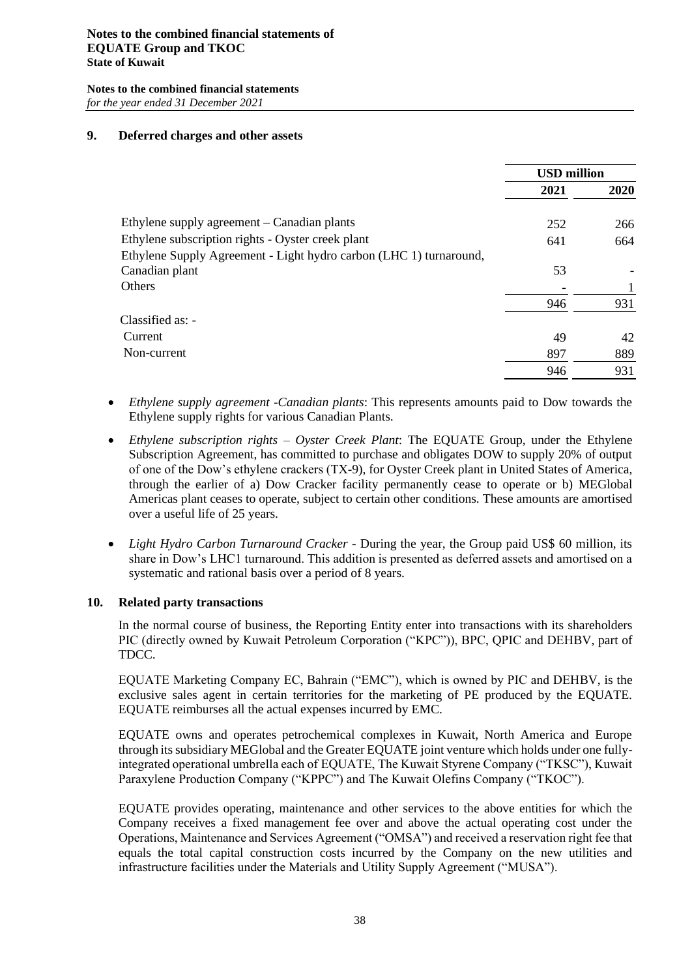#### **Notes to the combined financial statements of EQUATE Group and TKOC State of Kuwait**

**Notes to the combined financial statements** *for the year ended 31 December 2021*

#### **9. Deferred charges and other assets**

|                                                                    | <b>USD</b> million |      |
|--------------------------------------------------------------------|--------------------|------|
|                                                                    | 2021               | 2020 |
| Ethylene supply agreement – Canadian plants                        | 252                | 266  |
| Ethylene subscription rights - Oyster creek plant                  | 641                | 664  |
| Ethylene Supply Agreement - Light hydro carbon (LHC 1) turnaround, |                    |      |
| Canadian plant                                                     | 53                 |      |
| <b>Others</b>                                                      |                    |      |
|                                                                    | 946                | 931  |
| $Classified as: -$                                                 |                    |      |
| Current                                                            | 49                 | 42   |
| Non-current                                                        | 897                | 889  |
|                                                                    | 946                | 931  |

- *Ethylene supply agreement -Canadian plants*: This represents amounts paid to Dow towards the Ethylene supply rights for various Canadian Plants.
- *Ethylene subscription rights – Oyster Creek Plant*: The EQUATE Group, under the Ethylene Subscription Agreement, has committed to purchase and obligates DOW to supply 20% of output of one of the Dow's ethylene crackers (TX-9), for Oyster Creek plant in United States of America, through the earlier of a) Dow Cracker facility permanently cease to operate or b) MEGlobal Americas plant ceases to operate, subject to certain other conditions. These amounts are amortised over a useful life of 25 years.
- *Light Hydro Carbon Turnaround Cracker -* During the year, the Group paid US\$ 60 million, its share in Dow's LHC1 turnaround. This addition is presented as deferred assets and amortised on a systematic and rational basis over a period of 8 years.

#### **10. Related party transactions**

In the normal course of business, the Reporting Entity enter into transactions with its shareholders PIC (directly owned by Kuwait Petroleum Corporation ("KPC")), BPC, QPIC and DEHBV, part of TDCC.

EQUATE Marketing Company EC, Bahrain ("EMC"), which is owned by PIC and DEHBV, is the exclusive sales agent in certain territories for the marketing of PE produced by the EQUATE. EQUATE reimburses all the actual expenses incurred by EMC.

EQUATE owns and operates petrochemical complexes in Kuwait, North America and Europe through its subsidiary MEGlobal and the Greater EQUATE joint venture which holds under one fullyintegrated operational umbrella each of EQUATE, The Kuwait Styrene Company ("TKSC"), Kuwait Paraxylene Production Company ("KPPC") and The Kuwait Olefins Company ("TKOC").

EQUATE provides operating, maintenance and other services to the above entities for which the Company receives a fixed management fee over and above the actual operating cost under the Operations, Maintenance and Services Agreement ("OMSA") and received a reservation right fee that equals the total capital construction costs incurred by the Company on the new utilities and infrastructure facilities under the Materials and Utility Supply Agreement ("MUSA").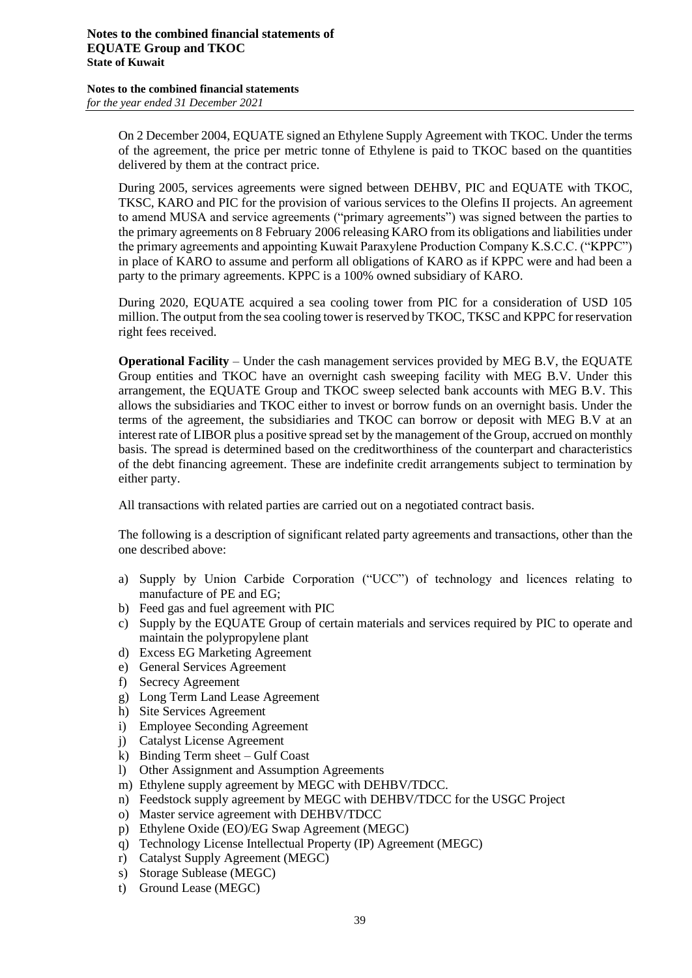On 2 December 2004, EQUATE signed an Ethylene Supply Agreement with TKOC. Under the terms of the agreement, the price per metric tonne of Ethylene is paid to TKOC based on the quantities delivered by them at the contract price.

During 2005, services agreements were signed between DEHBV, PIC and EQUATE with TKOC, TKSC, KARO and PIC for the provision of various services to the Olefins II projects. An agreement to amend MUSA and service agreements ("primary agreements") was signed between the parties to the primary agreements on 8 February 2006 releasing KARO from its obligations and liabilities under the primary agreements and appointing Kuwait Paraxylene Production Company K.S.C.C. ("KPPC") in place of KARO to assume and perform all obligations of KARO as if KPPC were and had been a party to the primary agreements. KPPC is a 100% owned subsidiary of KARO.

During 2020, EQUATE acquired a sea cooling tower from PIC for a consideration of USD 105 million. The output from the sea cooling tower is reserved by TKOC, TKSC and KPPC for reservation right fees received.

**Operational Facility** – Under the cash management services provided by MEG B.V, the EQUATE Group entities and TKOC have an overnight cash sweeping facility with MEG B.V. Under this arrangement, the EQUATE Group and TKOC sweep selected bank accounts with MEG B.V. This allows the subsidiaries and TKOC either to invest or borrow funds on an overnight basis. Under the terms of the agreement, the subsidiaries and TKOC can borrow or deposit with MEG B.V at an interest rate of LIBOR plus a positive spread set by the management of the Group, accrued on monthly basis. The spread is determined based on the creditworthiness of the counterpart and characteristics of the debt financing agreement. These are indefinite credit arrangements subject to termination by either party.

All transactions with related parties are carried out on a negotiated contract basis.

The following is a description of significant related party agreements and transactions, other than the one described above:

- a) Supply by Union Carbide Corporation ("UCC") of technology and licences relating to manufacture of PE and EG;
- b) Feed gas and fuel agreement with PIC
- c) Supply by the EQUATE Group of certain materials and services required by PIC to operate and maintain the polypropylene plant
- d) Excess EG Marketing Agreement
- e) General Services Agreement
- f) Secrecy Agreement
- g) Long Term Land Lease Agreement
- h) Site Services Agreement
- i) Employee Seconding Agreement
- j) Catalyst License Agreement
- k) Binding Term sheet Gulf Coast
- l) Other Assignment and Assumption Agreements
- m) Ethylene supply agreement by MEGC with DEHBV/TDCC.
- n) Feedstock supply agreement by MEGC with DEHBV/TDCC for the USGC Project
- o) Master service agreement with DEHBV/TDCC
- p) Ethylene Oxide (EO)/EG Swap Agreement (MEGC)
- q) Technology License Intellectual Property (IP) Agreement (MEGC)
- r) Catalyst Supply Agreement (MEGC)
- s) Storage Sublease (MEGC)
- t) Ground Lease (MEGC)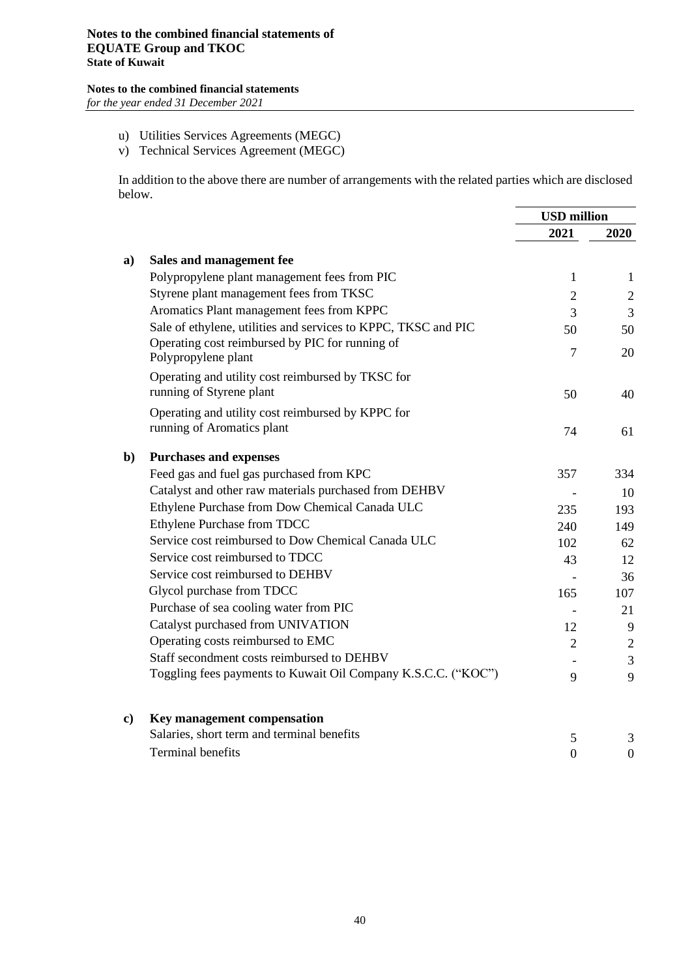## **Notes to the combined financial statements**

*for the year ended 31 December 2021*

- u) Utilities Services Agreements (MEGC)
- v) Technical Services Agreement (MEGC)

In addition to the above there are number of arrangements with the related parties which are disclosed below.

|              |                                                                        | <b>USD</b> million |                |
|--------------|------------------------------------------------------------------------|--------------------|----------------|
|              |                                                                        | 2021               | 2020           |
| a)           | Sales and management fee                                               |                    |                |
|              | Polypropylene plant management fees from PIC                           | 1                  | 1              |
|              | Styrene plant management fees from TKSC                                | $\overline{2}$     | $\overline{2}$ |
|              | Aromatics Plant management fees from KPPC                              | 3                  | 3              |
|              | Sale of ethylene, utilities and services to KPPC, TKSC and PIC         | 50                 | 50             |
|              | Operating cost reimbursed by PIC for running of<br>Polypropylene plant | $\overline{7}$     | 20             |
|              | Operating and utility cost reimbursed by TKSC for                      |                    |                |
|              | running of Styrene plant                                               | 50                 | 40             |
|              | Operating and utility cost reimbursed by KPPC for                      |                    |                |
|              | running of Aromatics plant                                             | 74                 | 61             |
| $\mathbf{b}$ | <b>Purchases and expenses</b>                                          |                    |                |
|              | Feed gas and fuel gas purchased from KPC                               | 357                | 334            |
|              | Catalyst and other raw materials purchased from DEHBV                  |                    | 10             |
|              | Ethylene Purchase from Dow Chemical Canada ULC                         | 235                | 193            |
|              | Ethylene Purchase from TDCC                                            | 240                | 149            |
|              | Service cost reimbursed to Dow Chemical Canada ULC                     | 102                | 62             |
|              | Service cost reimbursed to TDCC                                        | 43                 | 12             |
|              | Service cost reimbursed to DEHBV                                       |                    | 36             |
|              | Glycol purchase from TDCC                                              | 165                | 107            |
|              | Purchase of sea cooling water from PIC                                 |                    | 21             |
|              | Catalyst purchased from UNIVATION                                      | 12                 | 9              |
|              | Operating costs reimbursed to EMC                                      | 2                  | $\overline{2}$ |
|              | Staff secondment costs reimbursed to DEHBV                             |                    | 3              |
|              | Toggling fees payments to Kuwait Oil Company K.S.C.C. ("KOC")          | 9                  | 9              |
| c)           | Key management compensation                                            |                    |                |
|              | Salaries, short term and terminal benefits                             | 5                  | 3              |

Terminal benefits 0 0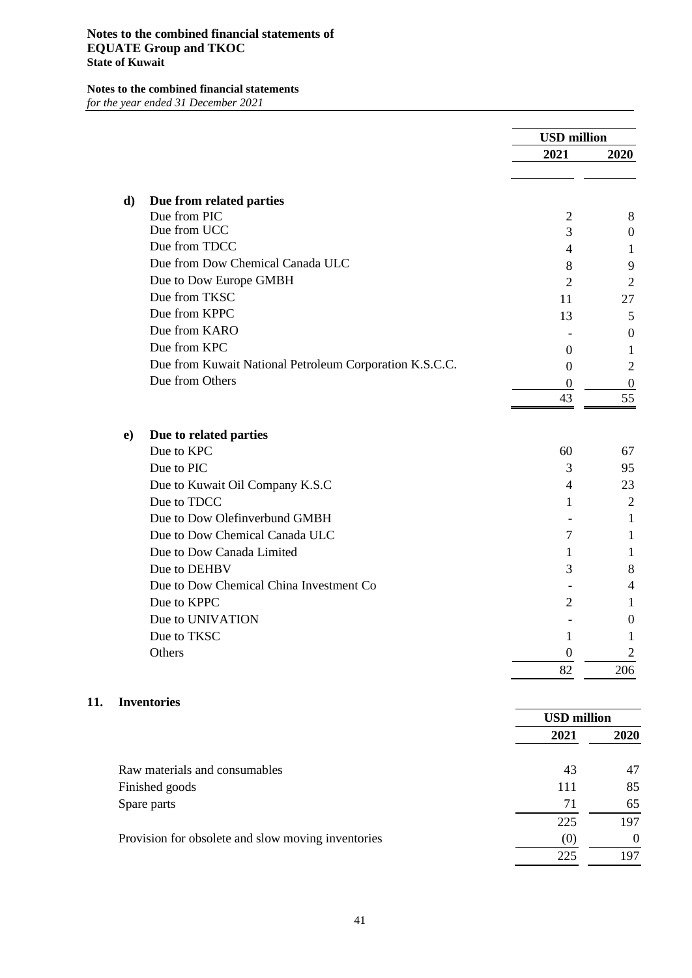|           |                                                         | <b>USD</b> million |                |
|-----------|---------------------------------------------------------|--------------------|----------------|
|           |                                                         | 2021               | 2020           |
|           |                                                         |                    |                |
| d)        | Due from related parties                                |                    |                |
|           | Due from PIC                                            | $\overline{2}$     | 8              |
|           | Due from UCC                                            | 3                  | 0              |
|           | Due from TDCC                                           | 4                  | 1              |
|           | Due from Dow Chemical Canada ULC                        | 8                  | 9              |
|           | Due to Dow Europe GMBH                                  | $\overline{2}$     | 2              |
|           | Due from TKSC                                           | 11                 | 27             |
|           | Due from KPPC                                           | 13                 | 5              |
|           | Due from KARO                                           |                    | 0              |
|           | Due from KPC                                            | $\Omega$           | 1              |
|           | Due from Kuwait National Petroleum Corporation K.S.C.C. | $\overline{0}$     | 2              |
|           | Due from Others                                         | $\theta$           | 0              |
|           |                                                         | 43                 | 55             |
|           |                                                         |                    |                |
| $\bf{e})$ | Due to related parties                                  |                    |                |
|           | Due to KPC                                              | 60                 | 67             |
|           | Due to PIC                                              | 3                  | 95             |
|           | Due to Kuwait Oil Company K.S.C                         | 4                  | 23             |
|           | Due to TDCC                                             | 1                  | $\overline{2}$ |
|           | Due to Dow Olefinverbund GMBH                           |                    | 1              |
|           | Due to Dow Chemical Canada ULC                          | 7                  | 1              |
|           | Due to Dow Canada Limited                               | 1                  | 1              |
|           | Due to DEHBV                                            | 3                  | 8              |
|           | Due to Dow Chemical China Investment Co                 |                    | 4              |
|           | Due to KPPC                                             | 2                  | 1              |
|           | Due to UNIVATION                                        |                    | 0              |
|           | Due to TKSC                                             | 1                  | 1              |
|           | Others                                                  | $\boldsymbol{0}$   | $\overline{2}$ |
|           |                                                         | 82                 | 206            |
|           | <b>Inventories</b>                                      |                    |                |
|           |                                                         | <b>USD</b> million |                |
|           |                                                         | 2021               | 2020           |
|           |                                                         |                    |                |
|           | Raw materials and consumables                           | 43                 | 47             |
|           | Finished goods                                          | 111                | 85             |
|           | Spare parts                                             | 71                 | 65             |
|           |                                                         | 225                | 197            |

Provision for obsolete and slow moving inventories (0) 0

**11.** 

225 197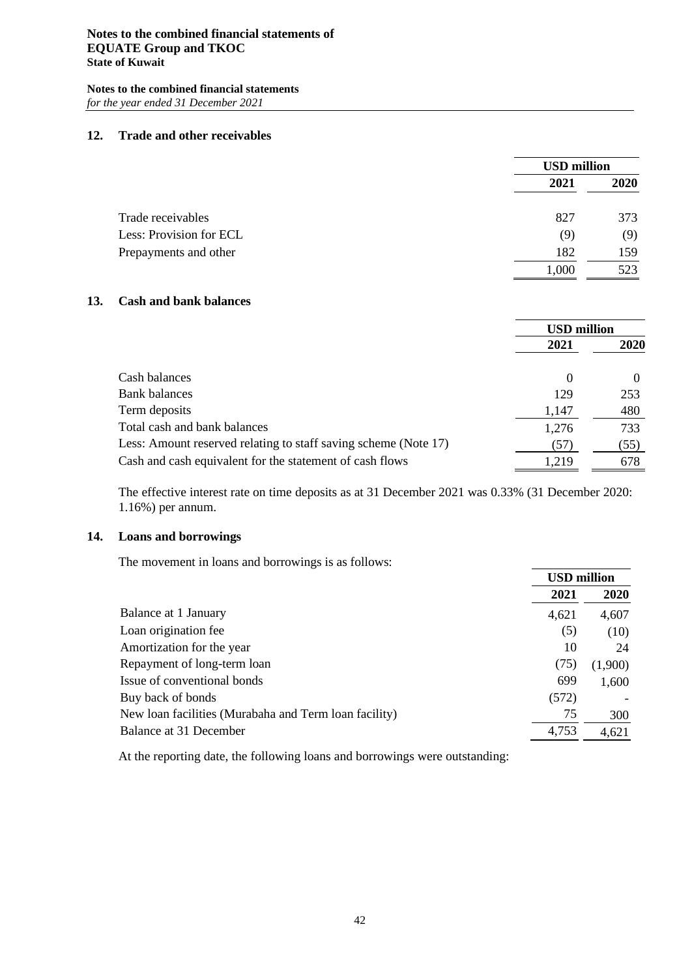#### **12. Trade and other receivables**

|                         |       | <b>USD</b> million |  |
|-------------------------|-------|--------------------|--|
|                         | 2021  | 2020               |  |
| Trade receivables       | 827   | 373                |  |
| Less: Provision for ECL | (9)   | (9)                |  |
| Prepayments and other   | 182   | 159                |  |
|                         | 1,000 | 523                |  |

#### **13. Cash and bank balances**

|                                                                 | <b>USD million</b> |      |
|-----------------------------------------------------------------|--------------------|------|
|                                                                 | 2021               | 2020 |
| Cash balances                                                   | $\Omega$           |      |
| <b>Bank</b> balances                                            | 129                | 253  |
| Term deposits                                                   | 1,147              | 480  |
| Total cash and bank balances                                    | 1,276              | 733  |
| Less: Amount reserved relating to staff saving scheme (Note 17) | (57)               | (55) |
| Cash and cash equivalent for the statement of cash flows        | 1,219              | 678  |

The effective interest rate on time deposits as at 31 December 2021 was 0.33% (31 December 2020: 1.16%) per annum.

#### **14. Loans and borrowings**

The movement in loans and borrowings is as follows:

|                                                       | <b>USD million</b> |             |
|-------------------------------------------------------|--------------------|-------------|
|                                                       | 2021               | <b>2020</b> |
| Balance at 1 January                                  | 4,621              | 4,607       |
| Loan origination fee                                  | (5)                | (10)        |
| Amortization for the year                             | 10                 | 24          |
| Repayment of long-term loan                           | (75)               | (1,900)     |
| Issue of conventional bonds                           | 699                | 1,600       |
| Buy back of bonds                                     | (572)              |             |
| New loan facilities (Murabaha and Term loan facility) | 75                 | 300         |
| Balance at 31 December                                | 4,753              | 4,621       |

At the reporting date, the following loans and borrowings were outstanding: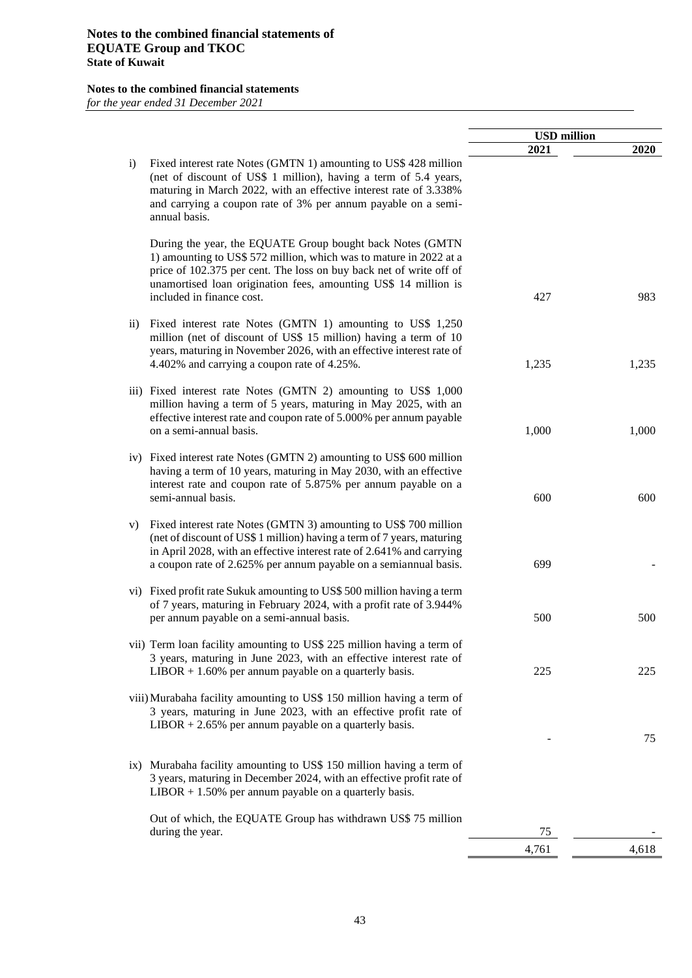|                                                                                                                                                                                                                                                                                                             | <b>USD</b> million |       |
|-------------------------------------------------------------------------------------------------------------------------------------------------------------------------------------------------------------------------------------------------------------------------------------------------------------|--------------------|-------|
|                                                                                                                                                                                                                                                                                                             | 2021               | 2020  |
| Fixed interest rate Notes (GMTN 1) amounting to US\$ 428 million<br>$\mathbf{i}$<br>(net of discount of US\$ 1 million), having a term of 5.4 years,<br>maturing in March 2022, with an effective interest rate of 3.338%<br>and carrying a coupon rate of 3% per annum payable on a semi-<br>annual basis. |                    |       |
| During the year, the EQUATE Group bought back Notes (GMTN<br>1) amounting to US\$ 572 million, which was to mature in 2022 at a<br>price of 102.375 per cent. The loss on buy back net of write off of<br>unamortised loan origination fees, amounting US\$ 14 million is<br>included in finance cost.      | 427                | 983   |
| Fixed interest rate Notes (GMTN 1) amounting to US\$ 1,250<br>$\overline{11}$ )<br>million (net of discount of US\$ 15 million) having a term of 10<br>years, maturing in November 2026, with an effective interest rate of<br>4.402% and carrying a coupon rate of 4.25%.                                  | 1,235              | 1,235 |
| iii) Fixed interest rate Notes (GMTN 2) amounting to US\$ 1,000<br>million having a term of 5 years, maturing in May 2025, with an<br>effective interest rate and coupon rate of 5.000% per annum payable<br>on a semi-annual basis.                                                                        | 1,000              | 1,000 |
| iv) Fixed interest rate Notes (GMTN 2) amounting to US\$ 600 million<br>having a term of 10 years, maturing in May 2030, with an effective<br>interest rate and coupon rate of 5.875% per annum payable on a<br>semi-annual basis.                                                                          | 600                | 600   |
| Fixed interest rate Notes (GMTN 3) amounting to US\$ 700 million<br>V)<br>(net of discount of US\$ 1 million) having a term of 7 years, maturing<br>in April 2028, with an effective interest rate of 2.641% and carrying<br>a coupon rate of 2.625% per annum payable on a semiannual basis.               | 699                |       |
| vi) Fixed profit rate Sukuk amounting to US\$ 500 million having a term<br>of 7 years, maturing in February 2024, with a profit rate of 3.944%<br>per annum payable on a semi-annual basis.                                                                                                                 | 500                | 500   |
| vii) Term loan facility amounting to US\$ 225 million having a term of<br>3 years, maturing in June 2023, with an effective interest rate of<br>$LIBOR + 1.60\%$ per annum payable on a quarterly basis.                                                                                                    | 225                | 225   |
| viii) Murabaha facility amounting to US\$ 150 million having a term of<br>3 years, maturing in June 2023, with an effective profit rate of<br>$LIBOR + 2.65\%$ per annum payable on a quarterly basis.                                                                                                      |                    |       |
| ix) Murabaha facility amounting to US\$ 150 million having a term of<br>3 years, maturing in December 2024, with an effective profit rate of<br>$LIBOR + 1.50\%$ per annum payable on a quarterly basis.                                                                                                    |                    | 75    |
| Out of which, the EQUATE Group has withdrawn US\$ 75 million<br>during the year.                                                                                                                                                                                                                            | 75                 |       |
|                                                                                                                                                                                                                                                                                                             | 4,761              | 4,618 |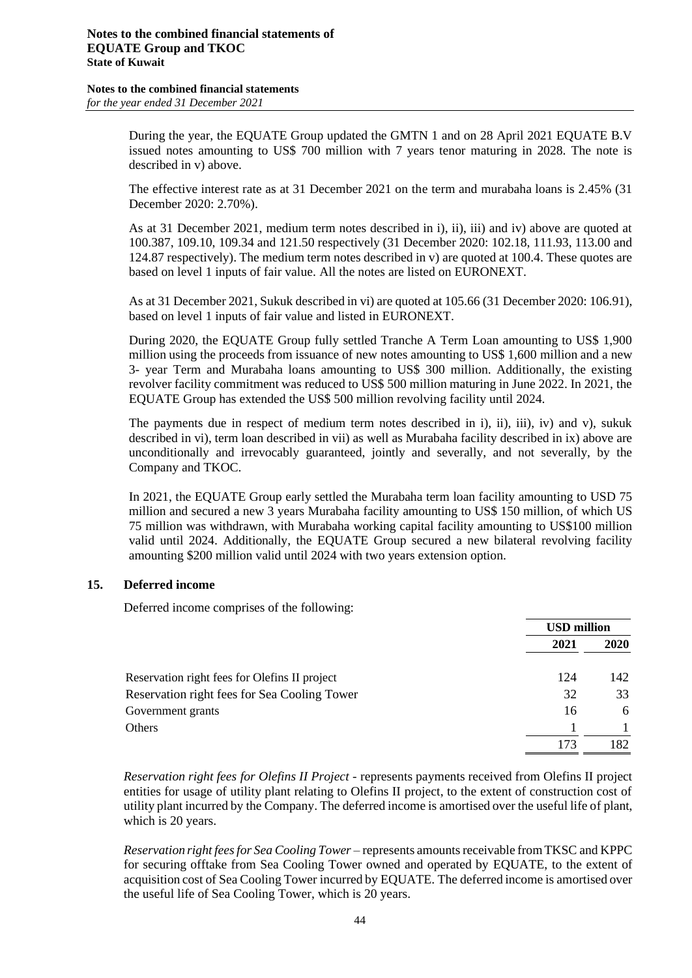During the year, the EQUATE Group updated the GMTN 1 and on 28 April 2021 EQUATE B.V issued notes amounting to US\$ 700 million with 7 years tenor maturing in 2028. The note is described in v) above.

The effective interest rate as at 31 December 2021 on the term and murabaha loans is 2.45% (31 December 2020: 2.70%).

As at 31 December 2021, medium term notes described in i), ii), iii) and iv) above are quoted at 100.387, 109.10, 109.34 and 121.50 respectively (31 December 2020: 102.18, 111.93, 113.00 and 124.87 respectively). The medium term notes described in v) are quoted at 100.4. These quotes are based on level 1 inputs of fair value. All the notes are listed on EURONEXT.

As at 31 December 2021, Sukuk described in vi) are quoted at 105.66 (31 December 2020: 106.91), based on level 1 inputs of fair value and listed in EURONEXT.

During 2020, the EQUATE Group fully settled Tranche A Term Loan amounting to US\$ 1,900 million using the proceeds from issuance of new notes amounting to US\$ 1,600 million and a new 3- year Term and Murabaha loans amounting to US\$ 300 million. Additionally, the existing revolver facility commitment was reduced to US\$ 500 million maturing in June 2022. In 2021, the EQUATE Group has extended the US\$ 500 million revolving facility until 2024.

The payments due in respect of medium term notes described in i), ii), iii), iv) and v), sukuk described in vi), term loan described in vii) as well as Murabaha facility described in ix) above are unconditionally and irrevocably guaranteed, jointly and severally, and not severally, by the Company and TKOC.

In 2021, the EQUATE Group early settled the Murabaha term loan facility amounting to USD 75 million and secured a new 3 years Murabaha facility amounting to US\$ 150 million, of which US 75 million was withdrawn, with Murabaha working capital facility amounting to US\$100 million valid until 2024. Additionally, the EQUATE Group secured a new bilateral revolving facility amounting \$200 million valid until 2024 with two years extension option.

#### **15. Deferred income**

Deferred income comprises of the following:

|                                               |      | <b>USD million</b> |  |
|-----------------------------------------------|------|--------------------|--|
|                                               | 2021 | 2020               |  |
| Reservation right fees for Olefins II project | 124  | 142                |  |
| Reservation right fees for Sea Cooling Tower  | 32   | 33                 |  |
| Government grants                             | 16   | 6                  |  |
| Others                                        |      |                    |  |
|                                               | 173  | 182                |  |

*Reservation right fees for Olefins II Project* - represents payments received from Olefins II project entities for usage of utility plant relating to Olefins II project, to the extent of construction cost of utility plant incurred by the Company. The deferred income is amortised over the useful life of plant, which is 20 years.

*Reservation right fees for Sea Cooling Tower* – represents amounts receivable from TKSC and KPPC for securing offtake from Sea Cooling Tower owned and operated by EQUATE, to the extent of acquisition cost of Sea Cooling Tower incurred by EQUATE. The deferred income is amortised over the useful life of Sea Cooling Tower, which is 20 years.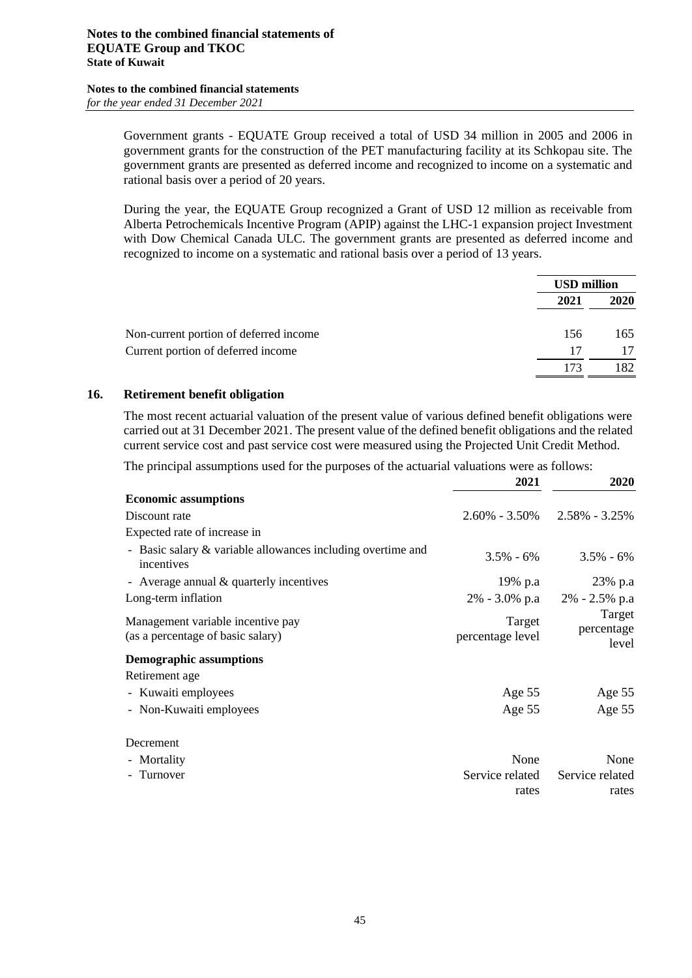Government grants - EQUATE Group received a total of USD 34 million in 2005 and 2006 in government grants for the construction of the PET manufacturing facility at its Schkopau site. The government grants are presented as deferred income and recognized to income on a systematic and rational basis over a period of 20 years.

During the year, the EQUATE Group recognized a Grant of USD 12 million as receivable from Alberta Petrochemicals Incentive Program (APIP) against the LHC-1 expansion project Investment with Dow Chemical Canada ULC. The government grants are presented as deferred income and recognized to income on a systematic and rational basis over a period of 13 years.

|                                        |      | <b>USD million</b> |  |
|----------------------------------------|------|--------------------|--|
|                                        | 2021 | 2020               |  |
| Non-current portion of deferred income | 156  | 165                |  |
| Current portion of deferred income     | 17   | 17                 |  |
|                                        | 173  | 182                |  |

#### **16. Retirement benefit obligation**

The most recent actuarial valuation of the present value of various defined benefit obligations were carried out at 31 December 2021. The present value of the defined benefit obligations and the related current service cost and past service cost were measured using the Projected Unit Credit Method.

The principal assumptions used for the purposes of the actuarial valuations were as follows:

|                                                                           | 2021                       | 2020                                |
|---------------------------------------------------------------------------|----------------------------|-------------------------------------|
| <b>Economic assumptions</b>                                               |                            |                                     |
| Discount rate                                                             |                            | $2.60\% - 3.50\% - 2.58\% - 3.25\%$ |
| Expected rate of increase in                                              |                            |                                     |
| - Basic salary & variable allowances including overtime and<br>incentives | $3.5\% - 6\%$              | $3.5\% - 6\%$                       |
| - Average annual $&$ quarterly incentives                                 | 19% p.a                    | 23% p.a                             |
| Long-term inflation                                                       |                            | $2\% - 3.0\%$ p.a $2\% - 2.5\%$ p.a |
| Management variable incentive pay<br>(as a percentage of basic salary)    | Target<br>percentage level | Target<br>percentage<br>level       |
| <b>Demographic assumptions</b>                                            |                            |                                     |
| Retirement age                                                            |                            |                                     |
| - Kuwaiti employees                                                       | Age $55$                   | Age 55                              |
| - Non-Kuwaiti employees                                                   | Age 55                     | Age 55                              |
| Decrement                                                                 |                            |                                     |
| - Mortality                                                               | None                       | None                                |
| - Turnover                                                                | Service related            | Service related                     |
|                                                                           | rates                      | rates                               |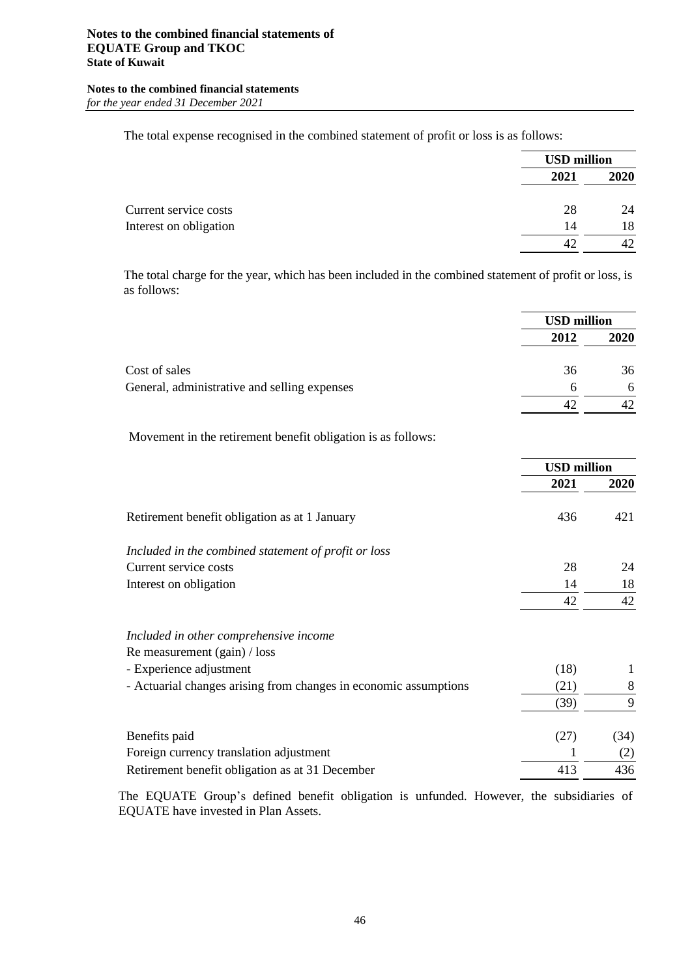The total expense recognised in the combined statement of profit or loss is as follows:

|      | <b>USD</b> million |
|------|--------------------|
| 2021 | 2020               |
| 28   | 24                 |
| 14   | 18                 |
| 42   | 42                 |
|      |                    |

The total charge for the year, which has been included in the combined statement of profit or loss, is as follows:

|                                              | <b>USD million</b> |             |
|----------------------------------------------|--------------------|-------------|
|                                              | 2012               | <b>2020</b> |
| Cost of sales                                | 36                 | 36          |
| General, administrative and selling expenses | 6                  | 6           |
|                                              |                    |             |

Movement in the retirement benefit obligation is as follows:

|                                                                  | <b>USD</b> million |      |
|------------------------------------------------------------------|--------------------|------|
|                                                                  | 2021               | 2020 |
| Retirement benefit obligation as at 1 January                    | 436                | 421  |
| Included in the combined statement of profit or loss             |                    |      |
| Current service costs                                            | 28                 | 24   |
| Interest on obligation                                           | 14                 | 18   |
|                                                                  | 42                 | 42   |
| Included in other comprehensive income                           |                    |      |
| Re measurement (gain) / loss                                     |                    |      |
| - Experience adjustment                                          | (18)               |      |
| - Actuarial changes arising from changes in economic assumptions | (21)               | 8    |
|                                                                  | (39)               | 9    |
| Benefits paid                                                    | (27)               | (34) |
| Foreign currency translation adjustment                          |                    | (2)  |
| Retirement benefit obligation as at 31 December                  | 413                | 436  |

The EQUATE Group's defined benefit obligation is unfunded. However, the subsidiaries of EQUATE have invested in Plan Assets.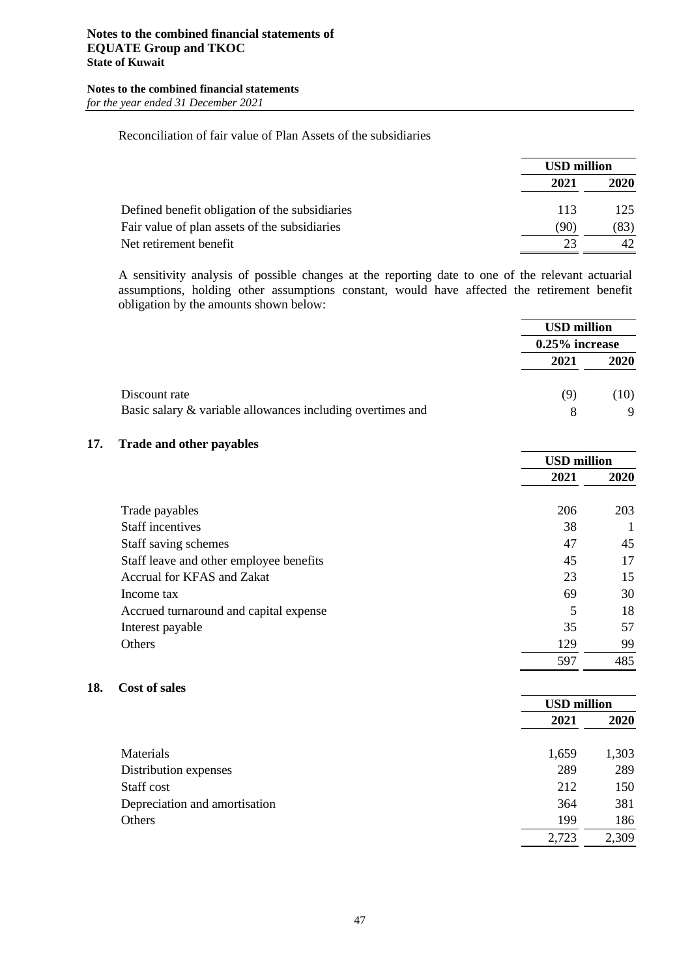#### Reconciliation of fair value of Plan Assets of the subsidiaries

|                                                | <b>USD million</b> |             |
|------------------------------------------------|--------------------|-------------|
|                                                | 2021               | <b>2020</b> |
| Defined benefit obligation of the subsidiaries | 113                | 125.        |
| Fair value of plan assets of the subsidiaries  | (90)               | (83)        |
| Net retirement benefit                         | 23                 | 42.         |

A sensitivity analysis of possible changes at the reporting date to one of the relevant actuarial assumptions, holding other assumptions constant, would have affected the retirement benefit obligation by the amounts shown below:

|                                                            |      | <b>USD million</b> |  |
|------------------------------------------------------------|------|--------------------|--|
|                                                            |      | $0.25\%$ increase  |  |
|                                                            | 2021 | <b>2020</b>        |  |
| Discount rate                                              | (9)  | (10)               |  |
| Basic salary & variable allowances including overtimes and |      | 9                  |  |

#### **17. Trade and other payables**

|                                         | <b>USD</b> million |      |
|-----------------------------------------|--------------------|------|
|                                         | 2021               | 2020 |
| Trade payables                          | 206                | 203  |
| <b>Staff incentives</b>                 | 38                 |      |
| Staff saving schemes                    | 47                 | 45   |
| Staff leave and other employee benefits | 45                 | 17   |
| Accrual for KFAS and Zakat              | 23                 | 15   |
| Income tax                              | 69                 | 30   |
| Accrued turnaround and capital expense  | 5                  | 18   |
| Interest payable                        | 35                 | 57   |
| Others                                  | 129                | 99   |
|                                         | 597                | 485  |

#### **18. Cost of sales**

|                               |       | <b>USD</b> million |  |
|-------------------------------|-------|--------------------|--|
|                               | 2021  | 2020               |  |
| Materials                     | 1,659 | 1,303              |  |
| Distribution expenses         | 289   | 289                |  |
| Staff cost                    | 212   | 150                |  |
| Depreciation and amortisation | 364   | 381                |  |
| Others                        | 199   | 186                |  |
|                               | 2,723 | 2,309              |  |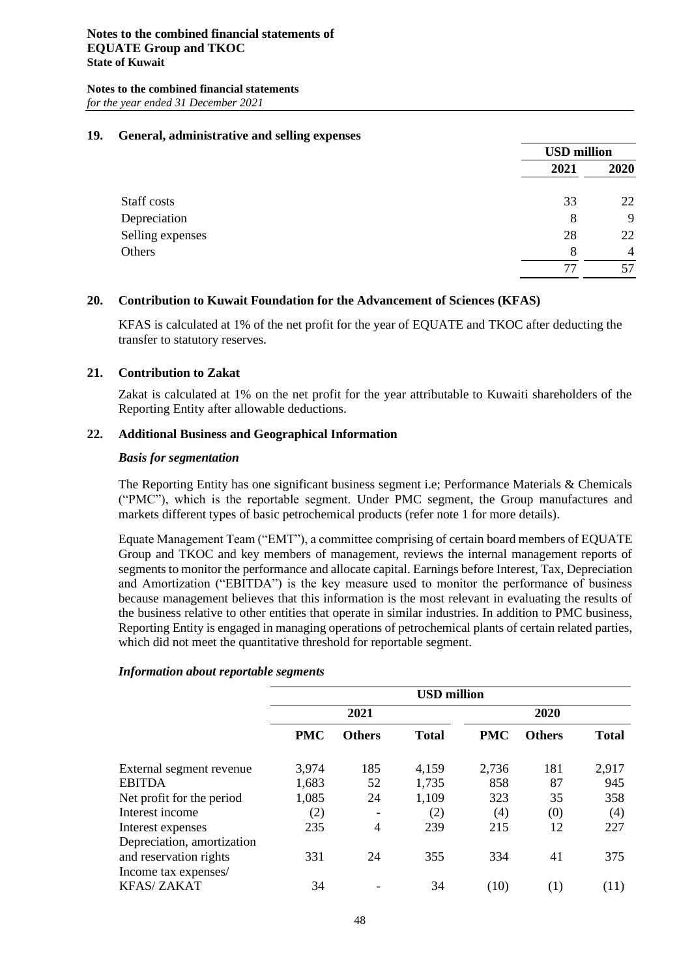#### **19. General, administrative and selling expenses**

|                  |      | <b>USD</b> million |  |
|------------------|------|--------------------|--|
|                  | 2021 | 2020               |  |
| Staff costs      | 33   | 22                 |  |
| Depreciation     | 8    | 9                  |  |
| Selling expenses | 28   | 22                 |  |
| Others           | 8    | $\overline{4}$     |  |
|                  |      | 57                 |  |

#### **20. Contribution to Kuwait Foundation for the Advancement of Sciences (KFAS)**

KFAS is calculated at 1% of the net profit for the year of EQUATE and TKOC after deducting the transfer to statutory reserves.

#### **21. Contribution to Zakat**

Zakat is calculated at 1% on the net profit for the year attributable to Kuwaiti shareholders of the Reporting Entity after allowable deductions.

#### **22. Additional Business and Geographical Information**

#### *Basis for segmentation*

The Reporting Entity has one significant business segment i.e; Performance Materials & Chemicals ("PMC"), which is the reportable segment. Under PMC segment, the Group manufactures and markets different types of basic petrochemical products (refer note 1 for more details).

Equate Management Team ("EMT"), a committee comprising of certain board members of EQUATE Group and TKOC and key members of management, reviews the internal management reports of segments to monitor the performance and allocate capital. Earnings before Interest, Tax, Depreciation and Amortization ("EBITDA") is the key measure used to monitor the performance of business because management believes that this information is the most relevant in evaluating the results of the business relative to other entities that operate in similar industries. In addition to PMC business, Reporting Entity is engaged in managing operations of petrochemical plants of certain related parties, which did not meet the quantitative threshold for reportable segment.

## **USD million 2021 2020 PMC Others Total PMC Others Total** External segment revenue 3,974 185 4,159 2,736 181 2,917 EBITDA 1,683 52 1,735 858 87 945 Net profit for the period 1,085 24 1,109 323 35 358 Interest income (2) - (2) (4) (0) (4) Interest expenses 235 4 239 215 12 227 Depreciation, amortization and reservation rights 331 24 355 334 41 375 Income tax expenses/ KFAS/ ZAKAT 34 - 34 (10) (1) (11)

#### *Information about reportable segments*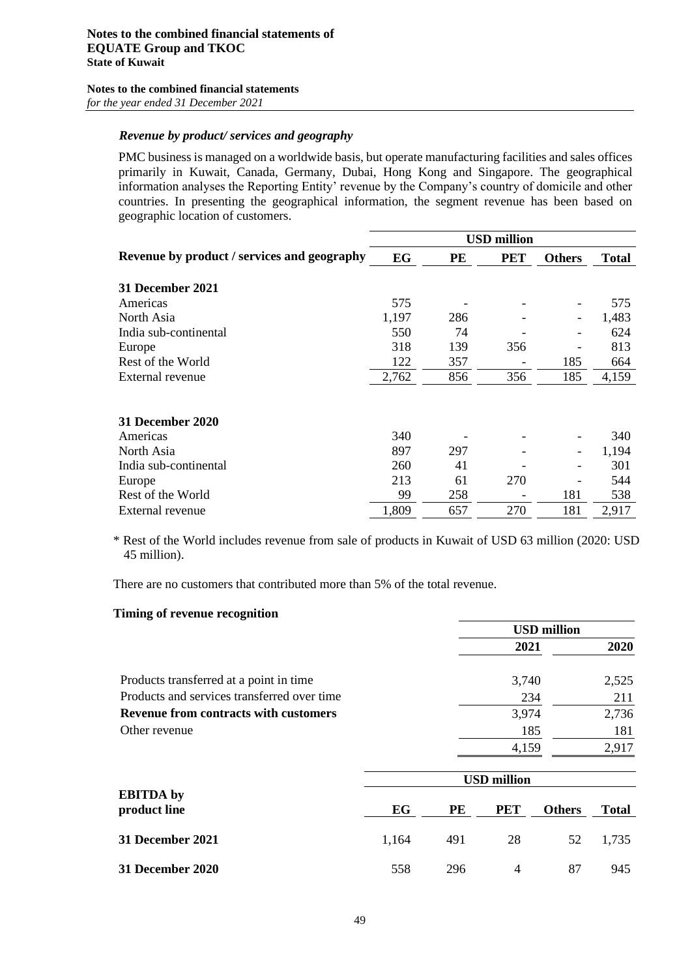#### *Revenue by product/ services and geography*

PMC business is managed on a worldwide basis, but operate manufacturing facilities and sales offices primarily in Kuwait, Canada, Germany, Dubai, Hong Kong and Singapore. The geographical information analyses the Reporting Entity' revenue by the Company's country of domicile and other countries. In presenting the geographical information, the segment revenue has been based on geographic location of customers.

|                                             |       |     | <b>USD</b> million |                              |              |
|---------------------------------------------|-------|-----|--------------------|------------------------------|--------------|
| Revenue by product / services and geography | EG    | PE  | <b>PET</b>         | <b>Others</b>                | <b>Total</b> |
| 31 December 2021                            |       |     |                    |                              |              |
| Americas                                    | 575   |     |                    |                              | 575          |
| North Asia                                  | 1,197 | 286 |                    | $\qquad \qquad \blacksquare$ | 1,483        |
| India sub-continental                       | 550   | 74  |                    |                              | 624          |
| Europe                                      | 318   | 139 | 356                |                              | 813          |
| Rest of the World                           | 122   | 357 |                    | 185                          | 664          |
| External revenue                            | 2,762 | 856 | 356                | 185                          | 4,159        |
|                                             |       |     |                    |                              |              |
| <b>31 December 2020</b>                     |       |     |                    |                              |              |
| Americas                                    | 340   |     |                    |                              | 340          |
| North Asia                                  | 897   | 297 |                    |                              | 1,194        |
| India sub-continental                       | 260   | 41  |                    |                              | 301          |
| Europe                                      | 213   | 61  | 270                |                              | 544          |
| Rest of the World                           | 99    | 258 |                    | 181                          | 538          |
| External revenue                            | 1,809 | 657 | 270                | 181                          | 2,917        |

\* Rest of the World includes revenue from sale of products in Kuwait of USD 63 million (2020: USD 45 million).

There are no customers that contributed more than 5% of the total revenue.

#### **Timing of revenue recognition**

|                                              | <b>USD million</b> |       |  |
|----------------------------------------------|--------------------|-------|--|
|                                              | 2021               | 2020  |  |
| Products transferred at a point in time      | 3,740              | 2,525 |  |
| Products and services transferred over time  | 234                | 211   |  |
| <b>Revenue from contracts with customers</b> | 3,974              | 2,736 |  |
| Other revenue                                | 185                | 181   |  |
|                                              | 4.159              | 2.917 |  |
|                                              |                    |       |  |

|                                  | <b>USD million</b> |     |                |               |              |  |  |
|----------------------------------|--------------------|-----|----------------|---------------|--------------|--|--|
| <b>EBITDA</b> by<br>product line | EG                 | PE  | <b>PET</b>     | <b>Others</b> | <b>Total</b> |  |  |
| 31 December 2021                 | 1,164              | 491 | 28             | 52            | 1,735        |  |  |
| 31 December 2020                 | 558                | 296 | $\overline{4}$ | 87            | 945          |  |  |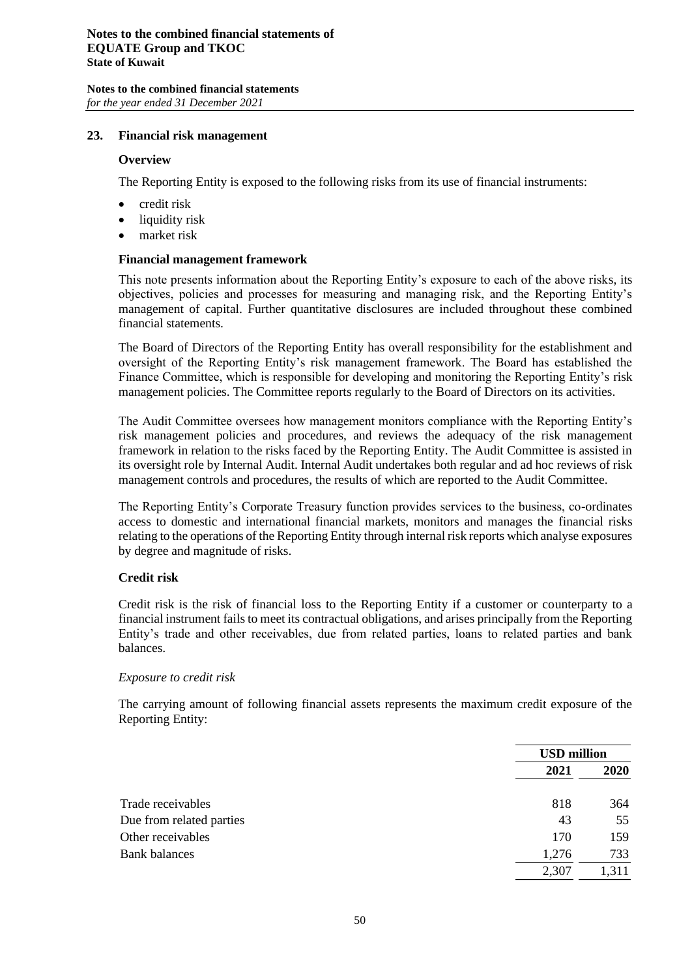#### **23. Financial risk management**

#### **Overview**

The Reporting Entity is exposed to the following risks from its use of financial instruments:

- credit risk
- liquidity risk
- market risk

#### **Financial management framework**

This note presents information about the Reporting Entity's exposure to each of the above risks, its objectives, policies and processes for measuring and managing risk, and the Reporting Entity's management of capital. Further quantitative disclosures are included throughout these combined financial statements.

The Board of Directors of the Reporting Entity has overall responsibility for the establishment and oversight of the Reporting Entity's risk management framework. The Board has established the Finance Committee, which is responsible for developing and monitoring the Reporting Entity's risk management policies. The Committee reports regularly to the Board of Directors on its activities.

The Audit Committee oversees how management monitors compliance with the Reporting Entity's risk management policies and procedures, and reviews the adequacy of the risk management framework in relation to the risks faced by the Reporting Entity. The Audit Committee is assisted in its oversight role by Internal Audit. Internal Audit undertakes both regular and ad hoc reviews of risk management controls and procedures, the results of which are reported to the Audit Committee.

The Reporting Entity's Corporate Treasury function provides services to the business, co-ordinates access to domestic and international financial markets, monitors and manages the financial risks relating to the operations of the Reporting Entity through internal risk reports which analyse exposures by degree and magnitude of risks.

#### **Credit risk**

Credit risk is the risk of financial loss to the Reporting Entity if a customer or counterparty to a financial instrument fails to meet its contractual obligations, and arises principally from the Reporting Entity's trade and other receivables, due from related parties, loans to related parties and bank balances.

#### *Exposure to credit risk*

The carrying amount of following financial assets represents the maximum credit exposure of the Reporting Entity:

|                          |       | <b>USD</b> million |  |
|--------------------------|-------|--------------------|--|
|                          | 2021  | 2020               |  |
| Trade receivables        | 818   | 364                |  |
| Due from related parties | 43    | 55                 |  |
| Other receivables        | 170   | 159                |  |
| <b>Bank balances</b>     | 1,276 | 733                |  |
|                          | 2,307 | 1,311              |  |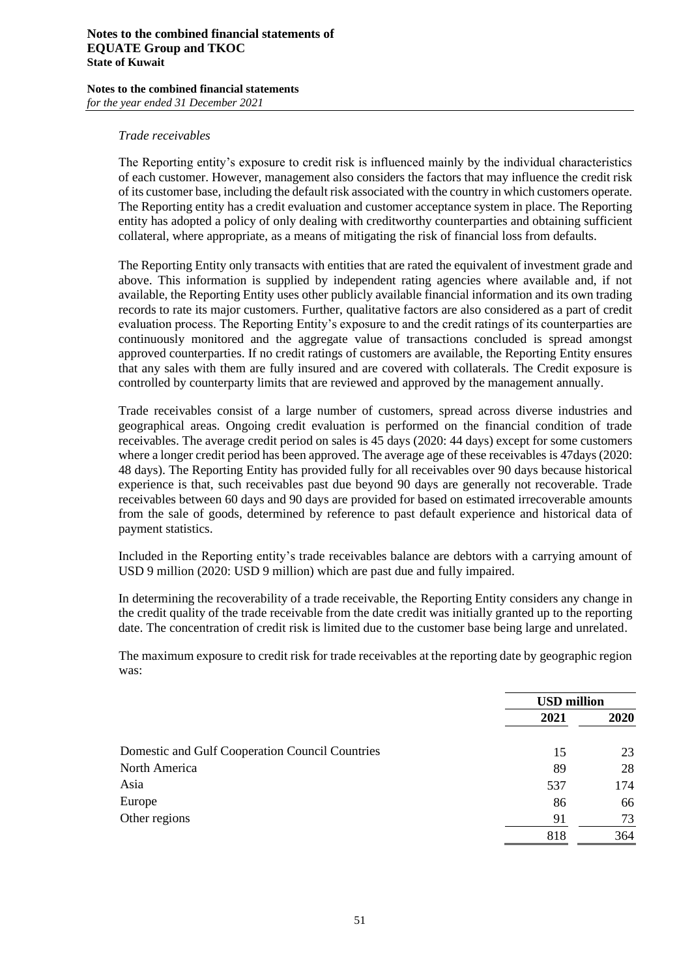#### **Notes to the combined financial statements of EQUATE Group and TKOC State of Kuwait**

#### **Notes to the combined financial statements** *for the year ended 31 December 2021*

#### *Trade receivables*

The Reporting entity's exposure to credit risk is influenced mainly by the individual characteristics of each customer. However, management also considers the factors that may influence the credit risk of its customer base, including the default risk associated with the country in which customers operate. The Reporting entity has a credit evaluation and customer acceptance system in place. The Reporting entity has adopted a policy of only dealing with creditworthy counterparties and obtaining sufficient collateral, where appropriate, as a means of mitigating the risk of financial loss from defaults.

The Reporting Entity only transacts with entities that are rated the equivalent of investment grade and above. This information is supplied by independent rating agencies where available and, if not available, the Reporting Entity uses other publicly available financial information and its own trading records to rate its major customers. Further, qualitative factors are also considered as a part of credit evaluation process. The Reporting Entity's exposure to and the credit ratings of its counterparties are continuously monitored and the aggregate value of transactions concluded is spread amongst approved counterparties. If no credit ratings of customers are available, the Reporting Entity ensures that any sales with them are fully insured and are covered with collaterals. The Credit exposure is controlled by counterparty limits that are reviewed and approved by the management annually.

Trade receivables consist of a large number of customers, spread across diverse industries and geographical areas. Ongoing credit evaluation is performed on the financial condition of trade receivables. The average credit period on sales is 45 days (2020: 44 days) except for some customers where a longer credit period has been approved. The average age of these receivables is 47days (2020: 48 days). The Reporting Entity has provided fully for all receivables over 90 days because historical experience is that, such receivables past due beyond 90 days are generally not recoverable. Trade receivables between 60 days and 90 days are provided for based on estimated irrecoverable amounts from the sale of goods, determined by reference to past default experience and historical data of payment statistics.

Included in the Reporting entity's trade receivables balance are debtors with a carrying amount of USD 9 million (2020: USD 9 million) which are past due and fully impaired.

In determining the recoverability of a trade receivable, the Reporting Entity considers any change in the credit quality of the trade receivable from the date credit was initially granted up to the reporting date. The concentration of credit risk is limited due to the customer base being large and unrelated.

The maximum exposure to credit risk for trade receivables at the reporting date by geographic region was:

|                                                 | <b>USD million</b> |      |
|-------------------------------------------------|--------------------|------|
|                                                 | 2021               | 2020 |
| Domestic and Gulf Cooperation Council Countries | 15                 | 23   |
| North America                                   | 89                 | 28   |
| Asia                                            | 537                | 174  |
| Europe                                          | 86                 | 66   |
| Other regions                                   | 91                 | 73   |
|                                                 | 818                | 364  |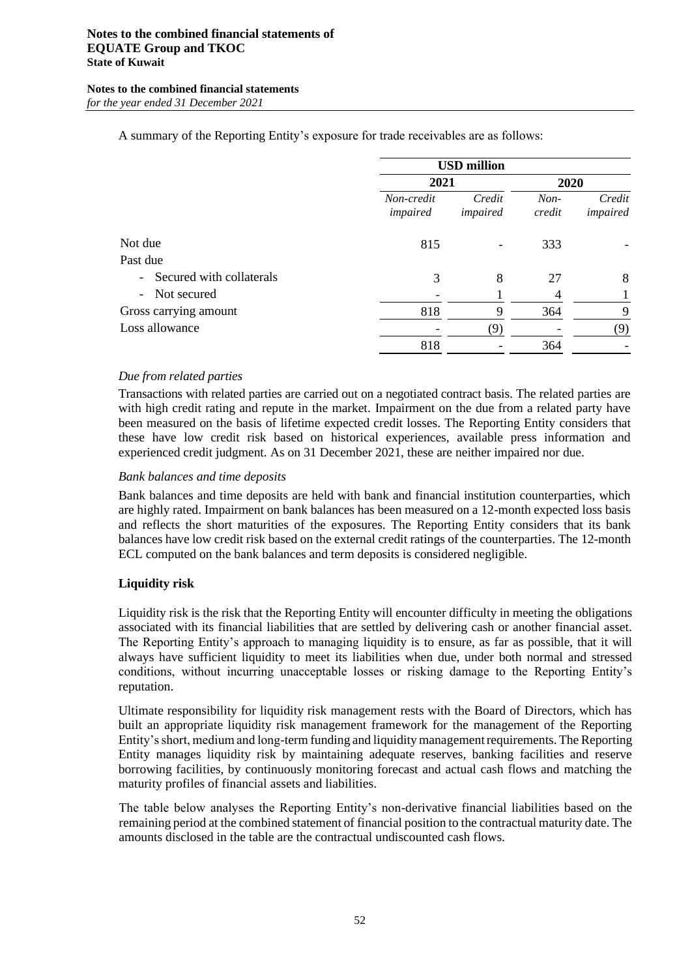A summary of the Reporting Entity's exposure for trade receivables are as follows:

|                            | <b>USD million</b>     |                    |                  |                    |  |
|----------------------------|------------------------|--------------------|------------------|--------------------|--|
|                            | 2021                   |                    | 2020             |                    |  |
|                            | Non-credit<br>impaired | Credit<br>impaired | $Non-$<br>credit | Credit<br>impaired |  |
| Not due                    | 815                    |                    | 333              |                    |  |
| Past due                   |                        |                    |                  |                    |  |
| - Secured with collaterals | 3                      | 8                  | 27               | 8                  |  |
| - Not secured              |                        |                    | 4                |                    |  |
| Gross carrying amount      | 818                    | 9                  | 364              | 9                  |  |
| Loss allowance             |                        | (9)                |                  | (9)                |  |
|                            | 818                    |                    | 364              |                    |  |

#### *Due from related parties*

Transactions with related parties are carried out on a negotiated contract basis. The related parties are with high credit rating and repute in the market. Impairment on the due from a related party have been measured on the basis of lifetime expected credit losses. The Reporting Entity considers that these have low credit risk based on historical experiences, available press information and experienced credit judgment. As on 31 December 2021, these are neither impaired nor due.

#### *Bank balances and time deposits*

Bank balances and time deposits are held with bank and financial institution counterparties, which are highly rated. Impairment on bank balances has been measured on a 12-month expected loss basis and reflects the short maturities of the exposures. The Reporting Entity considers that its bank balances have low credit risk based on the external credit ratings of the counterparties. The 12-month ECL computed on the bank balances and term deposits is considered negligible.

#### **Liquidity risk**

Liquidity risk is the risk that the Reporting Entity will encounter difficulty in meeting the obligations associated with its financial liabilities that are settled by delivering cash or another financial asset. The Reporting Entity's approach to managing liquidity is to ensure, as far as possible, that it will always have sufficient liquidity to meet its liabilities when due, under both normal and stressed conditions, without incurring unacceptable losses or risking damage to the Reporting Entity's reputation.

Ultimate responsibility for liquidity risk management rests with the Board of Directors, which has built an appropriate liquidity risk management framework for the management of the Reporting Entity's short, medium and long-term funding and liquidity management requirements. The Reporting Entity manages liquidity risk by maintaining adequate reserves, banking facilities and reserve borrowing facilities, by continuously monitoring forecast and actual cash flows and matching the maturity profiles of financial assets and liabilities.

The table below analyses the Reporting Entity's non-derivative financial liabilities based on the remaining period at the combined statement of financial position to the contractual maturity date. The amounts disclosed in the table are the contractual undiscounted cash flows.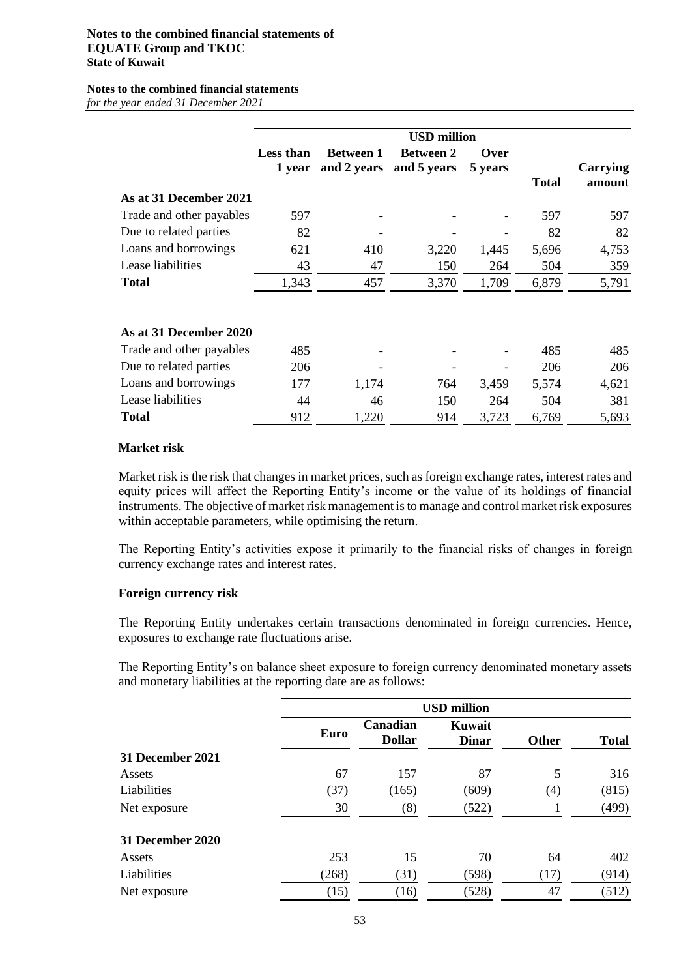#### **Notes to the combined financial statements of EQUATE Group and TKOC State of Kuwait**

## **Notes to the combined financial statements**

*for the year ended 31 December 2021*

|                          | <b>USD million</b>  |                  |                                             |                 |              |                    |  |
|--------------------------|---------------------|------------------|---------------------------------------------|-----------------|--------------|--------------------|--|
|                          | Less than<br>1 year | <b>Between 1</b> | <b>Between 2</b><br>and 2 years and 5 years | Over<br>5 years | <b>Total</b> | Carrying<br>amount |  |
| As at 31 December 2021   |                     |                  |                                             |                 |              |                    |  |
| Trade and other payables | 597                 |                  |                                             |                 | 597          | 597                |  |
| Due to related parties   | 82                  |                  |                                             |                 | 82           | 82                 |  |
| Loans and borrowings     | 621                 | 410              | 3,220                                       | 1,445           | 5,696        | 4,753              |  |
| Lease liabilities        | 43                  | 47               | 150                                         | 264             | 504          | 359                |  |
| <b>Total</b>             | 1,343               | 457              | 3,370                                       | 1,709           | 6,879        | 5,791              |  |
| As at 31 December 2020   |                     |                  |                                             |                 |              |                    |  |
| Trade and other payables | 485                 |                  |                                             |                 | 485          | 485                |  |
| Due to related parties   | 206                 |                  |                                             |                 | 206          | 206                |  |
| Loans and borrowings     | 177                 | 1,174            | 764                                         | 3,459           | 5,574        | 4,621              |  |
| Lease liabilities        | 44                  | 46               | 150                                         | 264             | 504          | 381                |  |
| Total                    | 912                 | 1,220            | 914                                         | 3,723           | 6,769        | 5,693              |  |

#### **Market risk**

Market risk is the risk that changes in market prices, such as foreign exchange rates, interest rates and equity prices will affect the Reporting Entity's income or the value of its holdings of financial instruments. The objective of market risk management is to manage and control market risk exposures within acceptable parameters, while optimising the return.

The Reporting Entity's activities expose it primarily to the financial risks of changes in foreign currency exchange rates and interest rates.

#### **Foreign currency risk**

The Reporting Entity undertakes certain transactions denominated in foreign currencies. Hence, exposures to exchange rate fluctuations arise.

The Reporting Entity's on balance sheet exposure to foreign currency denominated monetary assets and monetary liabilities at the reporting date are as follows:

|                  | <b>USD million</b> |                           |                        |              |              |  |
|------------------|--------------------|---------------------------|------------------------|--------------|--------------|--|
|                  | Euro               | Canadian<br><b>Dollar</b> | Kuwait<br><b>Dinar</b> | <b>Other</b> | <b>Total</b> |  |
| 31 December 2021 |                    |                           |                        |              |              |  |
| Assets           | 67                 | 157                       | 87                     | 5            | 316          |  |
| Liabilities      | (37)               | (165)                     | (609)                  | (4)          | (815)        |  |
| Net exposure     | 30                 | (8)                       | (522)                  |              | (499)        |  |
| 31 December 2020 |                    |                           |                        |              |              |  |
| Assets           | 253                | 15                        | 70                     | 64           | 402          |  |
| Liabilities      | (268)              | (31)                      | (598)                  | (17)         | (914)        |  |
| Net exposure     | (15)               | (16)                      | (528)                  | 47           | (512)        |  |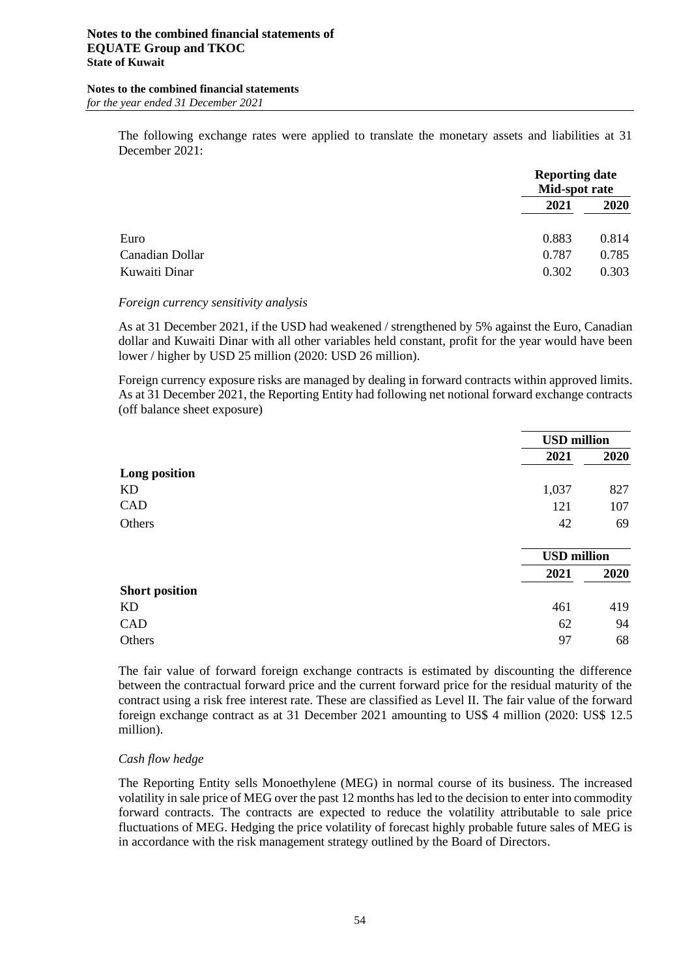The following exchange rates were applied to translate the monetary assets and liabilities at 31 December 2021:

|                 |       | <b>Reporting date</b><br>Mid-spot rate |  |
|-----------------|-------|----------------------------------------|--|
|                 | 2021  | 2020                                   |  |
| Euro            | 0.883 | 0.814                                  |  |
| Canadian Dollar | 0.787 | 0.785                                  |  |
| Kuwaiti Dinar   | 0.302 | 0.303                                  |  |

#### *Foreign currency sensitivity analysis*

As at 31 December 2021, if the USD had weakened / strengthened by 5% against the Euro, Canadian dollar and Kuwaiti Dinar with all other variables held constant, profit for the year would have been lower / higher by USD 25 million (2020: USD 26 million).

Foreign currency exposure risks are managed by dealing in forward contracts within approved limits. As at 31 December 2021, the Reporting Entity had following net notional forward exchange contracts (off balance sheet exposure)

|                       | <b>USD</b> million |      |
|-----------------------|--------------------|------|
|                       | 2021               | 2020 |
| Long position         |                    |      |
| KD                    | 1,037              | 827  |
| CAD                   | 121                | 107  |
| Others                | 42                 | 69   |
|                       |                    |      |
|                       | <b>USD</b> million |      |
|                       | 2021               | 2020 |
| <b>Short position</b> |                    |      |
| KD                    | 461                | 419  |
| CAD                   | 62                 | 94   |
| Others                | 97                 | 68   |

The fair value of forward foreign exchange contracts is estimated by discounting the difference between the contractual forward price and the current forward price for the residual maturity of the contract using a risk free interest rate. These are classified as Level II. The fair value of the forward foreign exchange contract as at 31 December 2021 amounting to US\$ 4 million (2020: US\$ 12.5 million).

#### *Cash flow hedge*

The Reporting Entity sells Monoethylene (MEG) in normal course of its business. The increased volatility in sale price of MEG over the past 12 months has led to the decision to enter into commodity forward contracts. The contracts are expected to reduce the volatility attributable to sale price fluctuations of MEG. Hedging the price volatility of forecast highly probable future sales of MEG is in accordance with the risk management strategy outlined by the Board of Directors.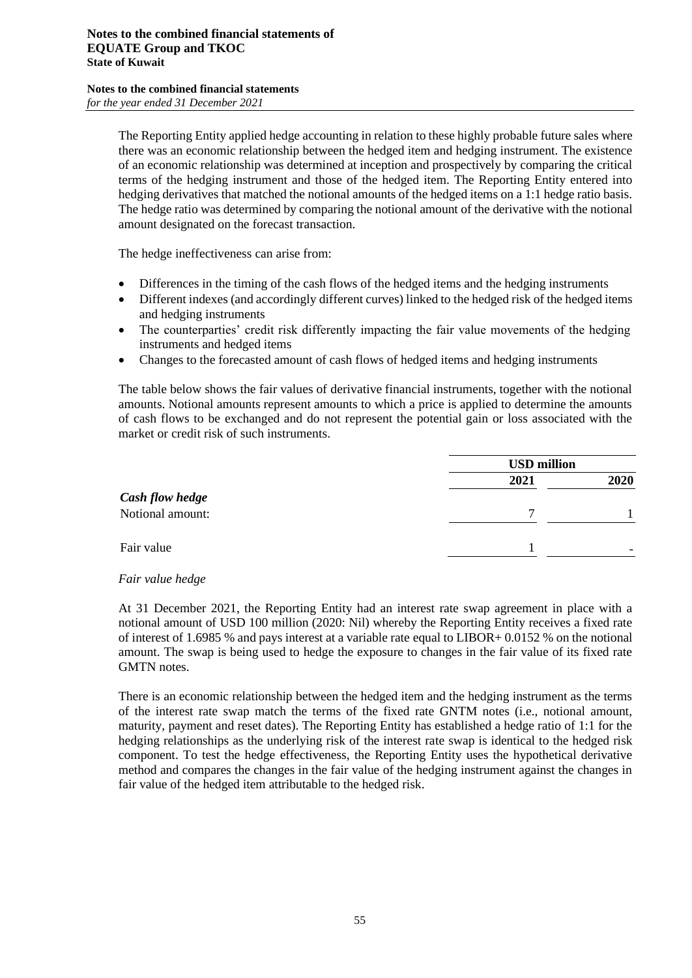The Reporting Entity applied hedge accounting in relation to these highly probable future sales where there was an economic relationship between the hedged item and hedging instrument. The existence of an economic relationship was determined at inception and prospectively by comparing the critical terms of the hedging instrument and those of the hedged item. The Reporting Entity entered into hedging derivatives that matched the notional amounts of the hedged items on a 1:1 hedge ratio basis. The hedge ratio was determined by comparing the notional amount of the derivative with the notional amount designated on the forecast transaction.

The hedge ineffectiveness can arise from:

- Differences in the timing of the cash flows of the hedged items and the hedging instruments
- Different indexes (and accordingly different curves) linked to the hedged risk of the hedged items and hedging instruments
- The counterparties' credit risk differently impacting the fair value movements of the hedging instruments and hedged items
- Changes to the forecasted amount of cash flows of hedged items and hedging instruments

The table below shows the fair values of derivative financial instruments, together with the notional amounts. Notional amounts represent amounts to which a price is applied to determine the amounts of cash flows to be exchanged and do not represent the potential gain or loss associated with the market or credit risk of such instruments.

|                        |      | <b>USD million</b> |  |  |
|------------------------|------|--------------------|--|--|
|                        | 2021 | 2020               |  |  |
| <b>Cash flow hedge</b> |      |                    |  |  |
| Notional amount:       | 7    |                    |  |  |
|                        |      |                    |  |  |
| Fair value             |      |                    |  |  |

#### *Fair value hedge*

At 31 December 2021, the Reporting Entity had an interest rate swap agreement in place with a notional amount of USD 100 million (2020: Nil) whereby the Reporting Entity receives a fixed rate of interest of 1.6985 % and pays interest at a variable rate equal to LIBOR+ 0.0152 % on the notional amount. The swap is being used to hedge the exposure to changes in the fair value of its fixed rate GMTN notes.

There is an economic relationship between the hedged item and the hedging instrument as the terms of the interest rate swap match the terms of the fixed rate GNTM notes (i.e., notional amount, maturity, payment and reset dates). The Reporting Entity has established a hedge ratio of 1:1 for the hedging relationships as the underlying risk of the interest rate swap is identical to the hedged risk component. To test the hedge effectiveness, the Reporting Entity uses the hypothetical derivative method and compares the changes in the fair value of the hedging instrument against the changes in fair value of the hedged item attributable to the hedged risk.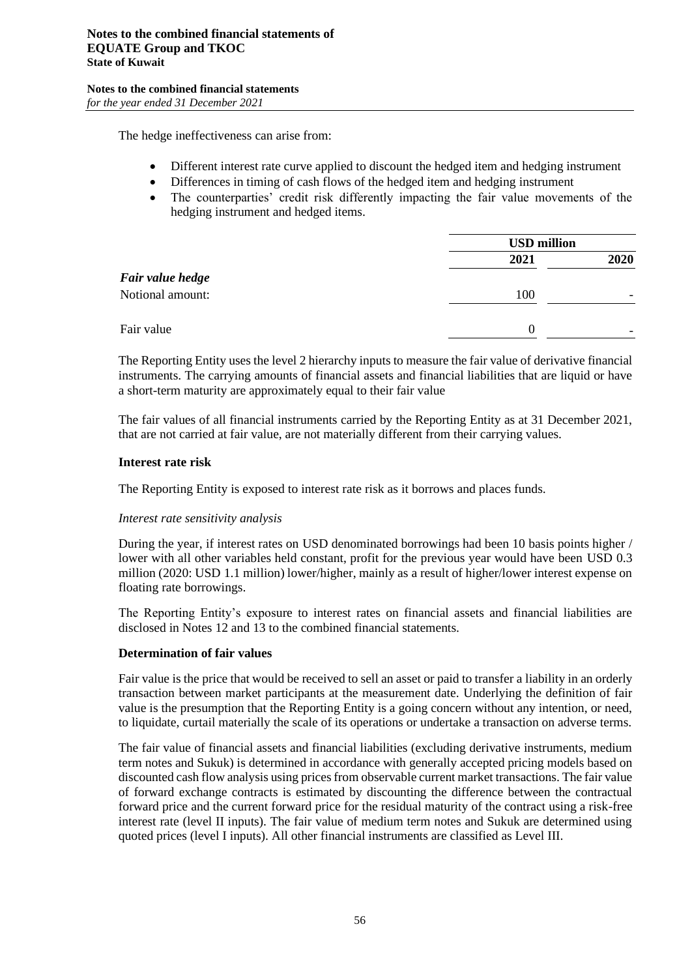The hedge ineffectiveness can arise from:

- Different interest rate curve applied to discount the hedged item and hedging instrument
- Differences in timing of cash flows of the hedged item and hedging instrument
- The counterparties' credit risk differently impacting the fair value movements of the hedging instrument and hedged items.

|                  |          | <b>USD million</b> |  |  |  |
|------------------|----------|--------------------|--|--|--|
|                  | 2021     | 2020               |  |  |  |
| Fair value hedge |          |                    |  |  |  |
| Notional amount: | 100      |                    |  |  |  |
|                  |          |                    |  |  |  |
| Fair value       | $\Omega$ |                    |  |  |  |
|                  |          |                    |  |  |  |

The Reporting Entity uses the level 2 hierarchy inputs to measure the fair value of derivative financial instruments. The carrying amounts of financial assets and financial liabilities that are liquid or have a short-term maturity are approximately equal to their fair value

The fair values of all financial instruments carried by the Reporting Entity as at 31 December 2021, that are not carried at fair value, are not materially different from their carrying values.

#### **Interest rate risk**

The Reporting Entity is exposed to interest rate risk as it borrows and places funds.

#### *Interest rate sensitivity analysis*

During the year, if interest rates on USD denominated borrowings had been 10 basis points higher / lower with all other variables held constant, profit for the previous year would have been USD 0.3 million (2020: USD 1.1 million) lower/higher, mainly as a result of higher/lower interest expense on floating rate borrowings.

The Reporting Entity's exposure to interest rates on financial assets and financial liabilities are disclosed in Notes 12 and 13 to the combined financial statements.

#### **Determination of fair values**

Fair value is the price that would be received to sell an asset or paid to transfer a liability in an orderly transaction between market participants at the measurement date. Underlying the definition of fair value is the presumption that the Reporting Entity is a going concern without any intention, or need, to liquidate, curtail materially the scale of its operations or undertake a transaction on adverse terms.

The fair value of financial assets and financial liabilities (excluding derivative instruments, medium term notes and Sukuk) is determined in accordance with generally accepted pricing models based on discounted cash flow analysis using prices from observable current market transactions. The fair value of forward exchange contracts is estimated by discounting the difference between the contractual forward price and the current forward price for the residual maturity of the contract using a risk-free interest rate (level II inputs). The fair value of medium term notes and Sukuk are determined using quoted prices (level I inputs). All other financial instruments are classified as Level III.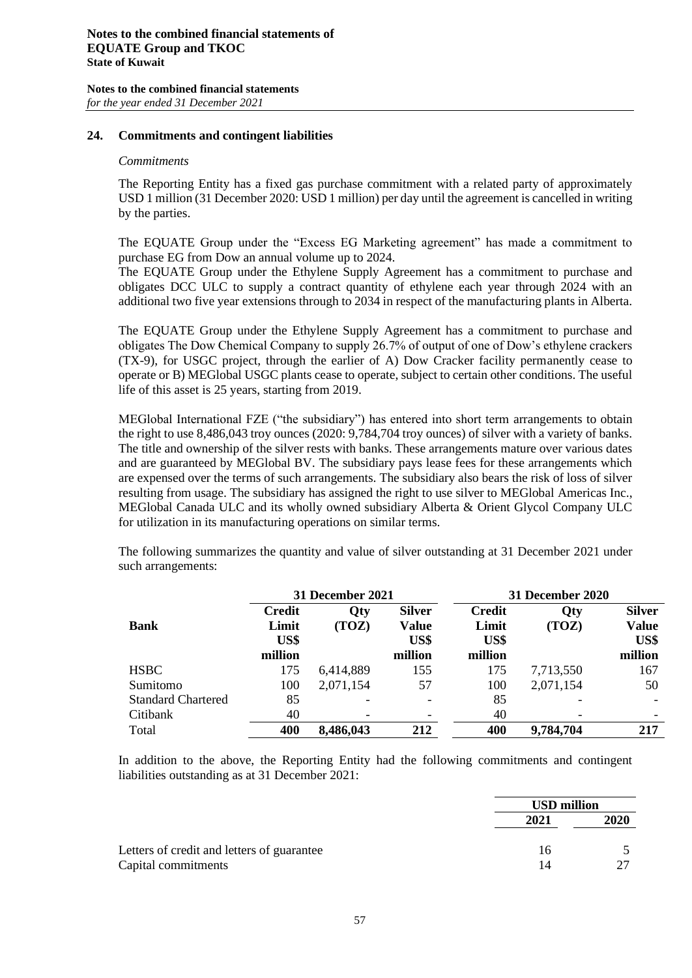#### **24. Commitments and contingent liabilities**

#### *Commitments*

The Reporting Entity has a fixed gas purchase commitment with a related party of approximately USD 1 million (31 December 2020: USD 1 million) per day until the agreement is cancelled in writing by the parties.

The EQUATE Group under the "Excess EG Marketing agreement" has made a commitment to purchase EG from Dow an annual volume up to 2024.

The EQUATE Group under the Ethylene Supply Agreement has a commitment to purchase and obligates DCC ULC to supply a contract quantity of ethylene each year through 2024 with an additional two five year extensions through to 2034 in respect of the manufacturing plants in Alberta.

The EQUATE Group under the Ethylene Supply Agreement has a commitment to purchase and obligates The Dow Chemical Company to supply 26.7% of output of one of Dow's ethylene crackers (TX-9), for USGC project, through the earlier of A) Dow Cracker facility permanently cease to operate or B) MEGlobal USGC plants cease to operate, subject to certain other conditions. The useful life of this asset is 25 years, starting from 2019.

MEGlobal International FZE ("the subsidiary") has entered into short term arrangements to obtain the right to use 8,486,043 troy ounces (2020: 9,784,704 troy ounces) of silver with a variety of banks. The title and ownership of the silver rests with banks. These arrangements mature over various dates and are guaranteed by MEGlobal BV. The subsidiary pays lease fees for these arrangements which are expensed over the terms of such arrangements. The subsidiary also bears the risk of loss of silver resulting from usage. The subsidiary has assigned the right to use silver to MEGlobal Americas Inc., MEGlobal Canada ULC and its wholly owned subsidiary Alberta & Orient Glycol Company ULC for utilization in its manufacturing operations on similar terms.

The following summarizes the quantity and value of silver outstanding at 31 December 2021 under such arrangements:

|                           | 31 December 2021 |           |                          | <b>31 December 2020</b> |            |               |
|---------------------------|------------------|-----------|--------------------------|-------------------------|------------|---------------|
|                           | <b>Credit</b>    | Qty       | <b>Silver</b>            | <b>Credit</b>           | <b>Qty</b> | <b>Silver</b> |
| <b>Bank</b>               | Limit            | (TOZ)     | <b>Value</b>             | Limit                   | (TOZ)      | <b>Value</b>  |
|                           | US\$             |           | US\$                     | US\$                    |            | US\$          |
|                           | million          |           | million                  | million                 |            | million       |
| <b>HSBC</b>               | 175              | 6,414,889 | 155                      | 175                     | 7,713,550  | 167           |
| Sumitomo                  | 100              | 2,071,154 | 57                       | 100                     | 2,071,154  | 50            |
| <b>Standard Chartered</b> | 85               |           | $\overline{\phantom{a}}$ | 85                      |            |               |
| Citibank                  | 40               |           |                          | 40                      |            |               |
| Total                     | 400              | 8,486,043 | 212                      | 400                     | 9,784,704  | 217           |

In addition to the above, the Reporting Entity had the following commitments and contingent liabilities outstanding as at 31 December 2021:

|                                            | <b>USD</b> million |      |
|--------------------------------------------|--------------------|------|
|                                            | 2021               | 2020 |
| Letters of credit and letters of guarantee | 16                 |      |
| Capital commitments                        | 14                 |      |